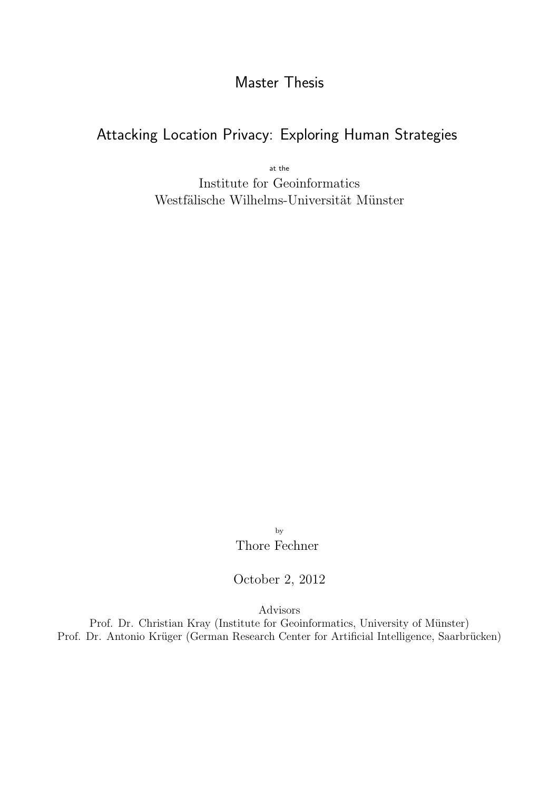# Master Thesis

# Attacking Location Privacy: Exploring Human Strategies

at the Institute for Geoinformatics Westfälische Wilhelms-Universität Münster

> by Thore Fechner

October 2, 2012

Advisors

Prof. Dr. Christian Kray (Institute for Geoinformatics, University of Münster) Prof. Dr. Antonio Krüger (German Research Center for Artificial Intelligence, Saarbrücken)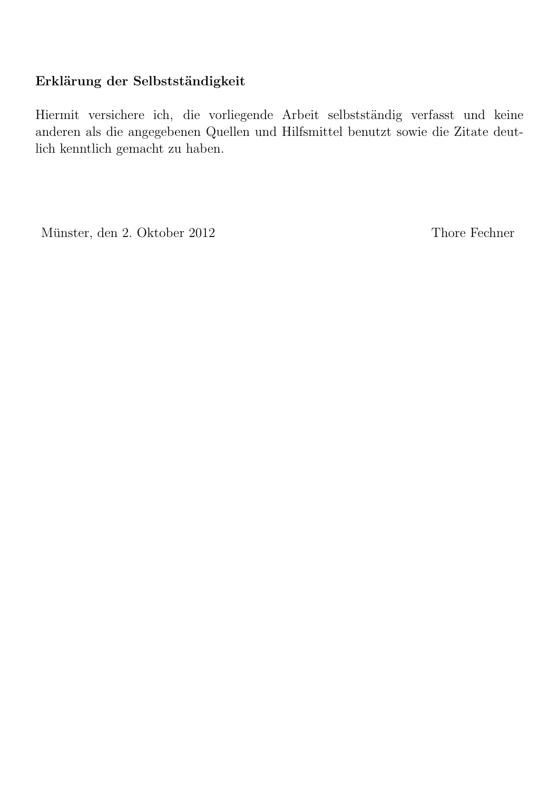# Erklärung der Selbstständigkeit

Hiermit versichere ich, die vorliegende Arbeit selbstständig verfasst und keine anderen als die angegebenen Quellen und Hilfsmittel benutzt sowie die Zitate deutlich kenntlich gemacht zu haben.

Münster, den 2. Oktober 2012 Thore Fechner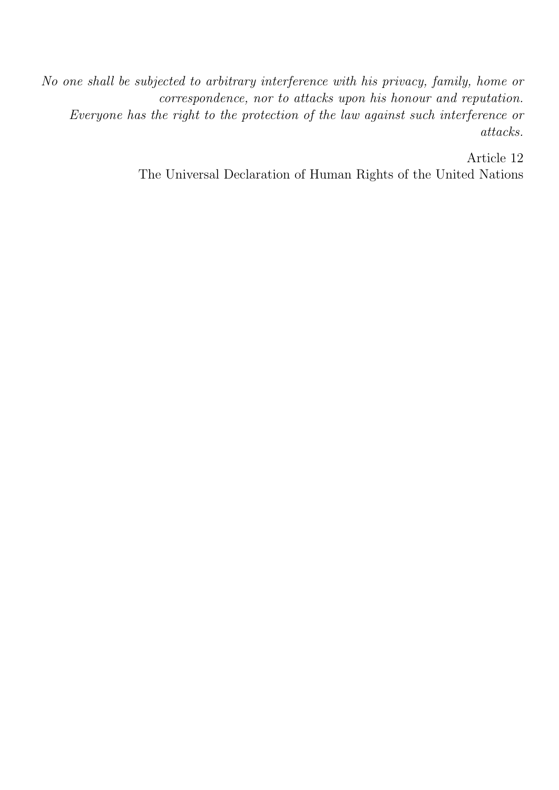No one shall be subjected to arbitrary interference with his privacy, family, home or correspondence, nor to attacks upon his honour and reputation. Everyone has the right to the protection of the law against such interference or attacks.

> Article 12 The Universal Declaration of Human Rights of the United Nations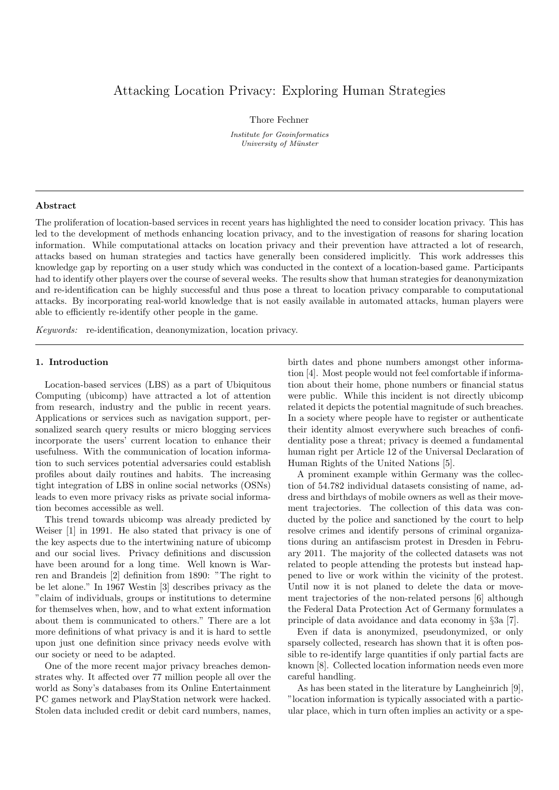## Attacking Location Privacy: Exploring Human Strategies

Thore Fechner

Institute for Geoinformatics University of Münster

#### Abstract

The proliferation of location-based services in recent years has highlighted the need to consider location privacy. This has led to the development of methods enhancing location privacy, and to the investigation of reasons for sharing location information. While computational attacks on location privacy and their prevention have attracted a lot of research, attacks based on human strategies and tactics have generally been considered implicitly. This work addresses this knowledge gap by reporting on a user study which was conducted in the context of a location-based game. Participants had to identify other players over the course of several weeks. The results show that human strategies for deanonymization and re-identification can be highly successful and thus pose a threat to location privacy comparable to computational attacks. By incorporating real-world knowledge that is not easily available in automated attacks, human players were able to efficiently re-identify other people in the game.

Keywords: re-identification, deanonymization, location privacy.

## 1. Introduction

Location-based services (LBS) as a part of Ubiquitous Computing (ubicomp) have attracted a lot of attention from research, industry and the public in recent years. Applications or services such as navigation support, personalized search query results or micro blogging services incorporate the users' current location to enhance their usefulness. With the communication of location information to such services potential adversaries could establish profiles about daily routines and habits. The increasing tight integration of LBS in online social networks (OSNs) leads to even more privacy risks as private social information becomes accessible as well.

This trend towards ubicomp was already predicted by Weiser [1] in 1991. He also stated that privacy is one of the key aspects due to the intertwining nature of ubicomp and our social lives. Privacy definitions and discussion have been around for a long time. Well known is Warren and Brandeis [2] definition from 1890: "The right to be let alone." In 1967 Westin [3] describes privacy as the "claim of individuals, groups or institutions to determine for themselves when, how, and to what extent information about them is communicated to others." There are a lot more definitions of what privacy is and it is hard to settle upon just one definition since privacy needs evolve with our society or need to be adapted.

One of the more recent major privacy breaches demonstrates why. It affected over 77 million people all over the world as Sony's databases from its Online Entertainment PC games network and PlayStation network were hacked. Stolen data included credit or debit card numbers, names,

birth dates and phone numbers amongst other information [4]. Most people would not feel comfortable if information about their home, phone numbers or financial status were public. While this incident is not directly ubicomp related it depicts the potential magnitude of such breaches. In a society where people have to register or authenticate their identity almost everywhere such breaches of confidentiality pose a threat; privacy is deemed a fundamental human right per Article 12 of the Universal Declaration of Human Rights of the United Nations [5].

A prominent example within Germany was the collection of 54.782 individual datasets consisting of name, address and birthdays of mobile owners as well as their movement trajectories. The collection of this data was conducted by the police and sanctioned by the court to help resolve crimes and identify persons of criminal organizations during an antifascism protest in Dresden in February 2011. The majority of the collected datasets was not related to people attending the protests but instead happened to live or work within the vicinity of the protest. Until now it is not planed to delete the data or movement trajectories of the non-related persons [6] although the Federal Data Protection Act of Germany formulates a principle of data avoidance and data economy in §3a [7].

Even if data is anonymized, pseudonymized, or only sparsely collected, research has shown that it is often possible to re-identify large quantities if only partial facts are known [8]. Collected location information needs even more careful handling.

As has been stated in the literature by Langheinrich [9], "location information is typically associated with a particular place, which in turn often implies an activity or a spe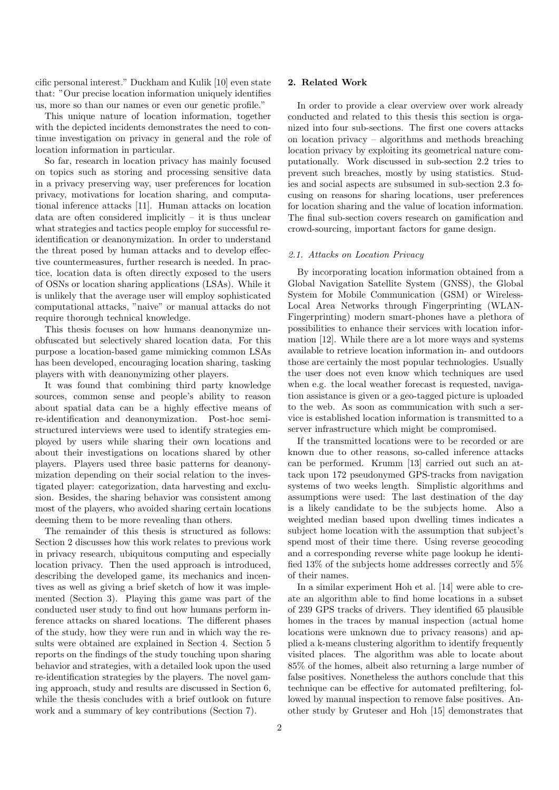cific personal interest." Duckham and Kulik [10] even state that: "Our precise location information uniquely identifies us, more so than our names or even our genetic profile."

This unique nature of location information, together with the depicted incidents demonstrates the need to continue investigation on privacy in general and the role of location information in particular.

So far, research in location privacy has mainly focused on topics such as storing and processing sensitive data in a privacy preserving way, user preferences for location privacy, motivations for location sharing, and computational inference attacks [11]. Human attacks on location data are often considered implicitly  $-$  it is thus unclear what strategies and tactics people employ for successful reidentification or deanonymization. In order to understand the threat posed by human attacks and to develop effective countermeasures, further research is needed. In practice, location data is often directly exposed to the users of OSNs or location sharing applications (LSAs). While it is unlikely that the average user will employ sophisticated computational attacks, "naive" or manual attacks do not require thorough technical knowledge.

This thesis focuses on how humans deanonymize unobfuscated but selectively shared location data. For this purpose a location-based game mimicking common LSAs has been developed, encouraging location sharing, tasking players with with deanonymizing other players.

It was found that combining third party knowledge sources, common sense and people's ability to reason about spatial data can be a highly effective means of re-identification and deanonymization. Post-hoc semistructured interviews were used to identify strategies employed by users while sharing their own locations and about their investigations on locations shared by other players. Players used three basic patterns for deanonymization depending on their social relation to the investigated player: categorization, data harvesting and exclusion. Besides, the sharing behavior was consistent among most of the players, who avoided sharing certain locations deeming them to be more revealing than others.

The remainder of this thesis is structured as follows: Section 2 discusses how this work relates to previous work in privacy research, ubiquitous computing and especially location privacy. Then the used approach is introduced, describing the developed game, its mechanics and incentives as well as giving a brief sketch of how it was implemented (Section 3). Playing this game was part of the conducted user study to find out how humans perform inference attacks on shared locations. The different phases of the study, how they were run and in which way the results were obtained are explained in Section 4. Section 5 reports on the findings of the study touching upon sharing behavior and strategies, with a detailed look upon the used re-identification strategies by the players. The novel gaming approach, study and results are discussed in Section 6, while the thesis concludes with a brief outlook on future work and a summary of key contributions (Section 7).

## 2. Related Work

In order to provide a clear overview over work already conducted and related to this thesis this section is organized into four sub-sections. The first one covers attacks on location privacy – algorithms and methods breaching location privacy by exploiting its geometrical nature computationally. Work discussed in sub-section 2.2 tries to prevent such breaches, mostly by using statistics. Studies and social aspects are subsumed in sub-section 2.3 focusing on reasons for sharing locations, user preferences for location sharing and the value of location information. The final sub-section covers research on gamification and crowd-sourcing, important factors for game design.

## 2.1. Attacks on Location Privacy

By incorporating location information obtained from a Global Navigation Satellite System (GNSS), the Global System for Mobile Communication (GSM) or Wireless-Local Area Networks through Fingerprinting (WLAN-Fingerprinting) modern smart-phones have a plethora of possibilities to enhance their services with location information [12]. While there are a lot more ways and systems available to retrieve location information in- and outdoors those are certainly the most popular technologies. Usually the user does not even know which techniques are used when e.g. the local weather forecast is requested, navigation assistance is given or a geo-tagged picture is uploaded to the web. As soon as communication with such a service is established location information is transmitted to a server infrastructure which might be compromised.

If the transmitted locations were to be recorded or are known due to other reasons, so-called inference attacks can be performed. Krumm [13] carried out such an attack upon 172 pseudonymed GPS-tracks from navigation systems of two weeks length. Simplistic algorithms and assumptions were used: The last destination of the day is a likely candidate to be the subjects home. Also a weighted median based upon dwelling times indicates a subject home location with the assumption that subject's spend most of their time there. Using reverse geocoding and a corresponding reverse white page lookup he identified 13% of the subjects home addresses correctly and 5% of their names.

In a similar experiment Hoh et al. [14] were able to create an algorithm able to find home locations in a subset of 239 GPS tracks of drivers. They identified 65 plausible homes in the traces by manual inspection (actual home locations were unknown due to privacy reasons) and applied a k-means clustering algorithm to identify frequently visited places. The algorithm was able to locate about 85% of the homes, albeit also returning a large number of false positives. Nonetheless the authors conclude that this technique can be effective for automated prefiltering, followed by manual inspection to remove false positives. Another study by Gruteser and Hoh [15] demonstrates that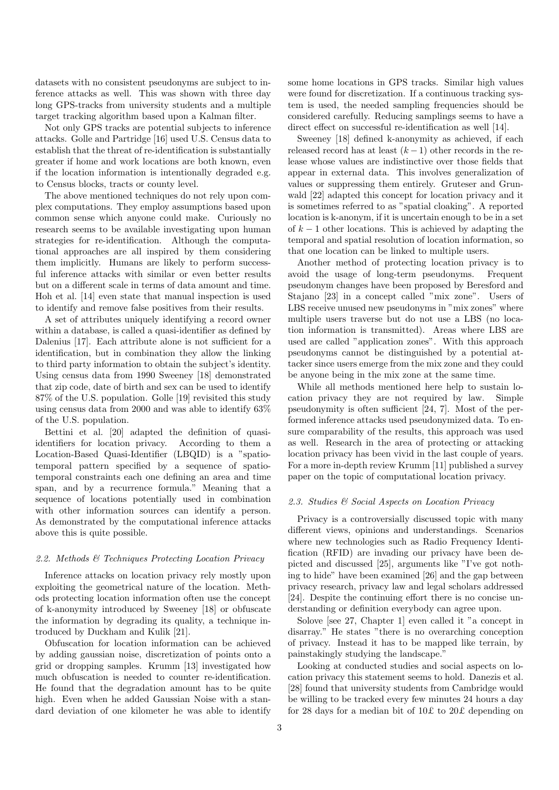datasets with no consistent pseudonyms are subject to inference attacks as well. This was shown with three day long GPS-tracks from university students and a multiple target tracking algorithm based upon a Kalman filter.

Not only GPS tracks are potential subjects to inference attacks. Golle and Partridge [16] used U.S. Census data to establish that the threat of re-identification is substantially greater if home and work locations are both known, even if the location information is intentionally degraded e.g. to Census blocks, tracts or county level.

The above mentioned techniques do not rely upon complex computations. They employ assumptions based upon common sense which anyone could make. Curiously no research seems to be available investigating upon human strategies for re-identification. Although the computational approaches are all inspired by them considering them implicitly. Humans are likely to perform successful inference attacks with similar or even better results but on a different scale in terms of data amount and time. Hoh et al. [14] even state that manual inspection is used to identify and remove false positives from their results.

A set of attributes uniquely identifying a record owner within a database, is called a quasi-identifier as defined by Dalenius [17]. Each attribute alone is not sufficient for a identification, but in combination they allow the linking to third party information to obtain the subject's identity. Using census data from 1990 Sweeney [18] demonstrated that zip code, date of birth and sex can be used to identify 87% of the U.S. population. Golle [19] revisited this study using census data from 2000 and was able to identify 63% of the U.S. population.

Bettini et al. [20] adapted the definition of quasiidentifiers for location privacy. According to them a Location-Based Quasi-Identifier (LBQID) is a "spatiotemporal pattern specified by a sequence of spatiotemporal constraints each one defining an area and time span, and by a recurrence formula." Meaning that a sequence of locations potentially used in combination with other information sources can identify a person. As demonstrated by the computational inference attacks above this is quite possible.

## 2.2. Methods & Techniques Protecting Location Privacy

Inference attacks on location privacy rely mostly upon exploiting the geometrical nature of the location. Methods protecting location information often use the concept of k-anonymity introduced by Sweeney [18] or obfuscate the information by degrading its quality, a technique introduced by Duckham and Kulik [21].

Obfuscation for location information can be achieved by adding gaussian noise, discretization of points onto a grid or dropping samples. Krumm [13] investigated how much obfuscation is needed to counter re-identification. He found that the degradation amount has to be quite high. Even when he added Gaussian Noise with a standard deviation of one kilometer he was able to identify

some home locations in GPS tracks. Similar high values were found for discretization. If a continuous tracking system is used, the needed sampling frequencies should be considered carefully. Reducing samplings seems to have a direct effect on successful re-identification as well [14].

Sweeney [18] defined k-anonymity as achieved, if each released record has at least  $(k-1)$  other records in the release whose values are indistinctive over those fields that appear in external data. This involves generalization of values or suppressing them entirely. Gruteser and Grunwald [22] adapted this concept for location privacy and it is sometimes referred to as "spatial cloaking". A reported location is k-anonym, if it is uncertain enough to be in a set of  $k-1$  other locations. This is achieved by adapting the temporal and spatial resolution of location information, so that one location can be linked to multiple users.

Another method of protecting location privacy is to avoid the usage of long-term pseudonyms. Frequent pseudonym changes have been proposed by Beresford and Stajano [23] in a concept called "mix zone". Users of LBS receive unused new pseudonyms in "mix zones" where multiple users traverse but do not use a LBS (no location information is transmitted). Areas where LBS are used are called "application zones". With this approach pseudonyms cannot be distinguished by a potential attacker since users emerge from the mix zone and they could be anyone being in the mix zone at the same time.

While all methods mentioned here help to sustain location privacy they are not required by law. Simple pseudonymity is often sufficient [24, 7]. Most of the performed inference attacks used pseudonymized data. To ensure comparability of the results, this approach was used as well. Research in the area of protecting or attacking location privacy has been vivid in the last couple of years. For a more in-depth review Krumm [11] published a survey paper on the topic of computational location privacy.

## 2.3. Studies & Social Aspects on Location Privacy

Privacy is a controversially discussed topic with many different views, opinions and understandings. Scenarios where new technologies such as Radio Frequency Identification (RFID) are invading our privacy have been depicted and discussed [25], arguments like "I've got nothing to hide" have been examined [26] and the gap between privacy research, privacy law and legal scholars addressed [24]. Despite the continuing effort there is no concise understanding or definition everybody can agree upon.

Solove [see 27, Chapter 1] even called it "a concept in disarray." He states "there is no overarching conception of privacy. Instead it has to be mapped like terrain, by painstakingly studying the landscape."

Looking at conducted studies and social aspects on location privacy this statement seems to hold. Danezis et al. [28] found that university students from Cambridge would be willing to be tracked every few minutes 24 hours a day for 28 days for a median bit of 10£ to 20£ depending on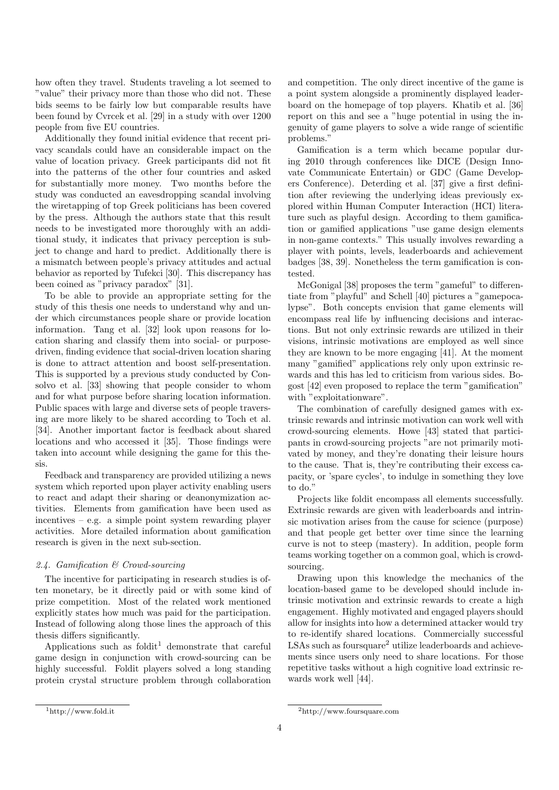how often they travel. Students traveling a lot seemed to "value" their privacy more than those who did not. These bids seems to be fairly low but comparable results have been found by Cvrcek et al. [29] in a study with over 1200 people from five EU countries.

Additionally they found initial evidence that recent privacy scandals could have an considerable impact on the value of location privacy. Greek participants did not fit into the patterns of the other four countries and asked for substantially more money. Two months before the study was conducted an eavesdropping scandal involving the wiretapping of top Greek politicians has been covered by the press. Although the authors state that this result needs to be investigated more thoroughly with an additional study, it indicates that privacy perception is subject to change and hard to predict. Additionally there is a mismatch between people's privacy attitudes and actual behavior as reported by Tufekci [30]. This discrepancy has been coined as "privacy paradox" [31].

To be able to provide an appropriate setting for the study of this thesis one needs to understand why and under which circumstances people share or provide location information. Tang et al. [32] look upon reasons for location sharing and classify them into social- or purposedriven, finding evidence that social-driven location sharing is done to attract attention and boost self-presentation. This is supported by a previous study conducted by Consolvo et al. [33] showing that people consider to whom and for what purpose before sharing location information. Public spaces with large and diverse sets of people traversing are more likely to be shared according to Toch et al. [34]. Another important factor is feedback about shared locations and who accessed it [35]. Those findings were taken into account while designing the game for this thesis.

Feedback and transparency are provided utilizing a news system which reported upon player activity enabling users to react and adapt their sharing or deanonymization activities. Elements from gamification have been used as incentives – e.g. a simple point system rewarding player activities. More detailed information about gamification research is given in the next sub-section.

## 2.4. Gamification & Crowd-sourcing

The incentive for participating in research studies is often monetary, be it directly paid or with some kind of prize competition. Most of the related work mentioned explicitly states how much was paid for the participation. Instead of following along those lines the approach of this thesis differs significantly.

Applications such as foldit<sup>1</sup> demonstrate that careful game design in conjunction with crowd-sourcing can be highly successful. Foldit players solved a long standing protein crystal structure problem through collaboration

and competition. The only direct incentive of the game is a point system alongside a prominently displayed leaderboard on the homepage of top players. Khatib et al. [36] report on this and see a "huge potential in using the ingenuity of game players to solve a wide range of scientific problems."

Gamification is a term which became popular during 2010 through conferences like DICE (Design Innovate Communicate Entertain) or GDC (Game Developers Conference). Deterding et al. [37] give a first definition after reviewing the underlying ideas previously explored within Human Computer Interaction (HCI) literature such as playful design. According to them gamification or gamified applications "use game design elements in non-game contexts." This usually involves rewarding a player with points, levels, leaderboards and achievement badges [38, 39]. Nonetheless the term gamification is contested.

McGonigal [38] proposes the term "gameful" to differentiate from "playful" and Schell [40] pictures a "gamepocalypse". Both concepts envision that game elements will encompass real life by influencing decisions and interactions. But not only extrinsic rewards are utilized in their visions, intrinsic motivations are employed as well since they are known to be more engaging [41]. At the moment many "gamified" applications rely only upon extrinsic rewards and this has led to criticism from various sides. Bogost [42] even proposed to replace the term "gamification" with "exploitationware".

The combination of carefully designed games with extrinsic rewards and intrinsic motivation can work well with crowd-sourcing elements. Howe [43] stated that participants in crowd-sourcing projects "are not primarily motivated by money, and they're donating their leisure hours to the cause. That is, they're contributing their excess capacity, or 'spare cycles', to indulge in something they love to do."

Projects like foldit encompass all elements successfully. Extrinsic rewards are given with leaderboards and intrinsic motivation arises from the cause for science (purpose) and that people get better over time since the learning curve is not to steep (mastery). In addition, people form teams working together on a common goal, which is crowdsourcing.

Drawing upon this knowledge the mechanics of the location-based game to be developed should include intrinsic motivation and extrinsic rewards to create a high engagement. Highly motivated and engaged players should allow for insights into how a determined attacker would try to re-identify shared locations. Commercially successful LSAs such as foursquare<sup>2</sup> utilize leaderboards and achievements since users only need to share locations. For those repetitive tasks without a high cognitive load extrinsic rewards work well [44].

<sup>1</sup>http://www.fold.it

<sup>2</sup>http://www.foursquare.com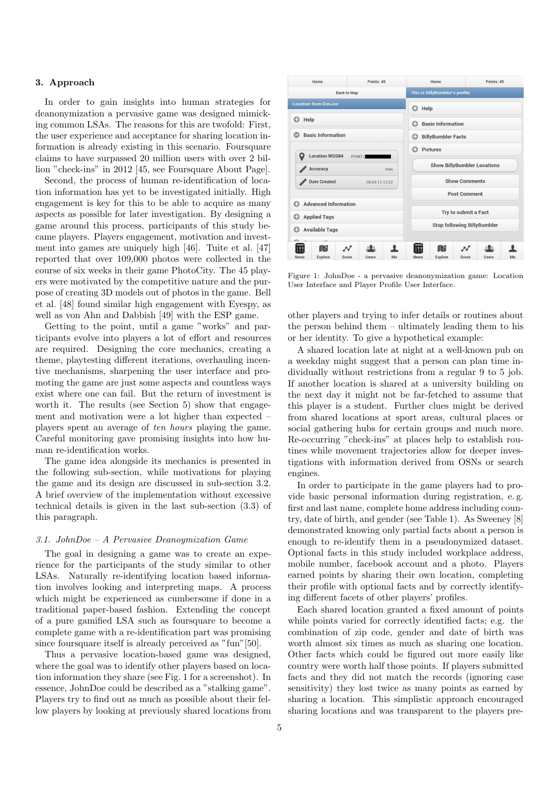## 3. Approach

In order to gain insights into human strategies for deanonymization a pervasive game was designed mimicking common LSAs. The reasons for this are twofold: First, the user experience and acceptance for sharing location information is already existing in this scenario. Foursquare claims to have surpassed 20 million users with over 2 billion "check-ins" in 2012 [45, see Foursquare About Page].

Second, the process of human re-identification of location information has yet to be investigated initially. High engagement is key for this to be able to acquire as many aspects as possible for later investigation. By designing a game around this process, participants of this study became players. Players engagement, motivation and investment into games are uniquely high [46]. Tuite et al. [47] reported that over 109,000 photos were collected in the course of six weeks in their game PhotoCity. The 45 players were motivated by the competitive nature and the purpose of creating 3D models out of photos in the game. Bell et al. [48] found similar high engagement with Eyespy, as well as von Ahn and Dabbish [49] with the ESP game.

Getting to the point, until a game "works" and participants evolve into players a lot of effort and resources are required. Designing the core mechanics, creating a theme, playtesting different iterations, overhauling incentive mechanisms, sharpening the user interface and promoting the game are just some aspects and countless ways exist where one can fail. But the return of investment is worth it. The results (see Section 5) show that engagement and motivation were a lot higher than expected – players spent an average of ten hours playing the game. Careful monitoring gave promising insights into how human re-identification works.

The game idea alongside its mechanics is presented in the following sub-section, while motivations for playing the game and its design are discussed in sub-section 3.2. A brief overview of the implementation without excessive technical details is given in the last sub-section (3.3) of this paragraph.

## 3.1. JohnDoe – A Pervasive Deanoymization Game

The goal in designing a game was to create an experience for the participants of the study similar to other LSAs. Naturally re-identifying location based information involves looking and interpreting maps. A process which might be experienced as cumbersome if done in a traditional paper-based fashion. Extending the concept of a pure gamified LSA such as foursquare to become a complete game with a re-identification part was promising since foursquare itself is already perceived as "fun"[50].

Thus a pervasive location-based game was designed, where the goal was to identify other players based on location information they share (see Fig. 1 for a screenshot). In essence, JohnDoe could be described as a "stalking game". Players try to find out as much as possible about their fellow players by looking at previously shared locations from



Figure 1: JohnDoe - a pervasive deanonymization game: Location User Interface and Player Profile User Interface.

other players and trying to infer details or routines about the person behind them – ultimately leading them to his or her identity. To give a hypothetical example:

A shared location late at night at a well-known pub on a weekday might suggest that a person can plan time individually without restrictions from a regular 9 to 5 job. If another location is shared at a university building on the next day it might not be far-fetched to assume that this player is a student. Further clues might be derived from shared locations at sport areas, cultural places or social gathering hubs for certain groups and much more. Re-occurring "check-ins" at places help to establish routines while movement trajectories allow for deeper investigations with information derived from OSNs or search engines.

In order to participate in the game players had to provide basic personal information during registration, e. g. first and last name, complete home address including country, date of birth, and gender (see Table 1). As Sweeney [8] demonstrated knowing only partial facts about a person is enough to re-identify them in a pseudonymized dataset. Optional facts in this study included workplace address, mobile number, facebook account and a photo. Players earned points by sharing their own location, completing their profile with optional facts and by correctly identifying different facets of other players' profiles.

Each shared location granted a fixed amount of points while points varied for correctly identified facts; e.g. the combination of zip code, gender and date of birth was worth almost six times as much as sharing one location. Other facts which could be figured out more easily like country were worth half those points. If players submitted facts and they did not match the records (ignoring case sensitivity) they lost twice as many points as earned by sharing a location. This simplistic approach encouraged sharing locations and was transparent to the players pre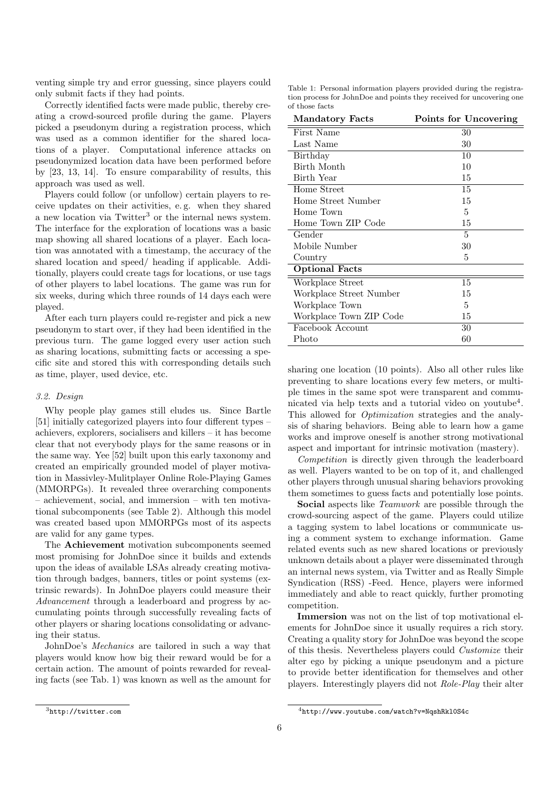venting simple try and error guessing, since players could only submit facts if they had points.

Correctly identified facts were made public, thereby creating a crowd-sourced profile during the game. Players picked a pseudonym during a registration process, which was used as a common identifier for the shared locations of a player. Computational inference attacks on pseudonymized location data have been performed before by [23, 13, 14]. To ensure comparability of results, this approach was used as well.

Players could follow (or unfollow) certain players to receive updates on their activities, e. g. when they shared a new location via Twitter<sup>3</sup> or the internal news system. The interface for the exploration of locations was a basic map showing all shared locations of a player. Each location was annotated with a timestamp, the accuracy of the shared location and speed/ heading if applicable. Additionally, players could create tags for locations, or use tags of other players to label locations. The game was run for six weeks, during which three rounds of 14 days each were played.

After each turn players could re-register and pick a new pseudonym to start over, if they had been identified in the previous turn. The game logged every user action such as sharing locations, submitting facts or accessing a specific site and stored this with corresponding details such as time, player, used device, etc.

## 3.2. Design

Why people play games still eludes us. Since Bartle [51] initially categorized players into four different types – achievers, explorers, socialisers and killers – it has become clear that not everybody plays for the same reasons or in the same way. Yee [52] built upon this early taxonomy and created an empirically grounded model of player motivation in Massivley-Mulitplayer Online Role-Playing Games (MMORPGs). It revealed three overarching components – achievement, social, and immersion – with ten motivational subcomponents (see Table 2). Although this model was created based upon MMORPGs most of its aspects are valid for any game types.

The Achievement motivation subcomponents seemed most promising for JohnDoe since it builds and extends upon the ideas of available LSAs already creating motivation through badges, banners, titles or point systems (extrinsic rewards). In JohnDoe players could measure their Advancement through a leaderboard and progress by accumulating points through successfully revealing facts of other players or sharing locations consolidating or advancing their status.

JohnDoe's Mechanics are tailored in such a way that players would know how big their reward would be for a certain action. The amount of points rewarded for revealing facts (see Tab. 1) was known as well as the amount for

Table 1: Personal information players provided during the registration process for JohnDoe and points they received for uncovering one of those facts

| <b>Mandatory Facts</b>  | Points for Uncovering |
|-------------------------|-----------------------|
| First Name              | 30                    |
| Last Name               | 30                    |
| Birthday                | 10                    |
| Birth Month             | 10                    |
| Birth Year              | 15                    |
| Home Street             | 15                    |
| Home Street Number      | 15                    |
| Home Town               | 5                     |
| Home Town ZIP Code      | 15                    |
| Gender                  | 5                     |
| Mobile Number           | 30                    |
| Country                 | 5                     |
| <b>Optional Facts</b>   |                       |
| Workplace Street        | 15                    |
| Workplace Street Number | 15                    |
| Workplace Town          | 5                     |
| Workplace Town ZIP Code | 15                    |
| Facebook Account        | 30                    |
| Photo                   | 60                    |

sharing one location (10 points). Also all other rules like preventing to share locations every few meters, or multiple times in the same spot were transparent and communicated via help texts and a tutorial video on youtube<sup>4</sup> . This allowed for Optimization strategies and the analysis of sharing behaviors. Being able to learn how a game works and improve oneself is another strong motivational aspect and important for intrinsic motivation (mastery).

Competition is directly given through the leaderboard as well. Players wanted to be on top of it, and challenged other players through unusual sharing behaviors provoking them sometimes to guess facts and potentially lose points.

Social aspects like *Teamwork* are possible through the crowd-sourcing aspect of the game. Players could utilize a tagging system to label locations or communicate using a comment system to exchange information. Game related events such as new shared locations or previously unknown details about a player were disseminated through an internal news system, via Twitter and as Really Simple Syndication (RSS) -Feed. Hence, players were informed immediately and able to react quickly, further promoting competition.

Immersion was not on the list of top motivational elements for JohnDoe since it usually requires a rich story. Creating a quality story for JohnDoe was beyond the scope of this thesis. Nevertheless players could Customize their alter ego by picking a unique pseudonym and a picture to provide better identification for themselves and other players. Interestingly players did not Role-Play their alter

<sup>3</sup>http://twitter.com

<sup>4</sup>http://www.youtube.com/watch?v=NqshRkl0S4c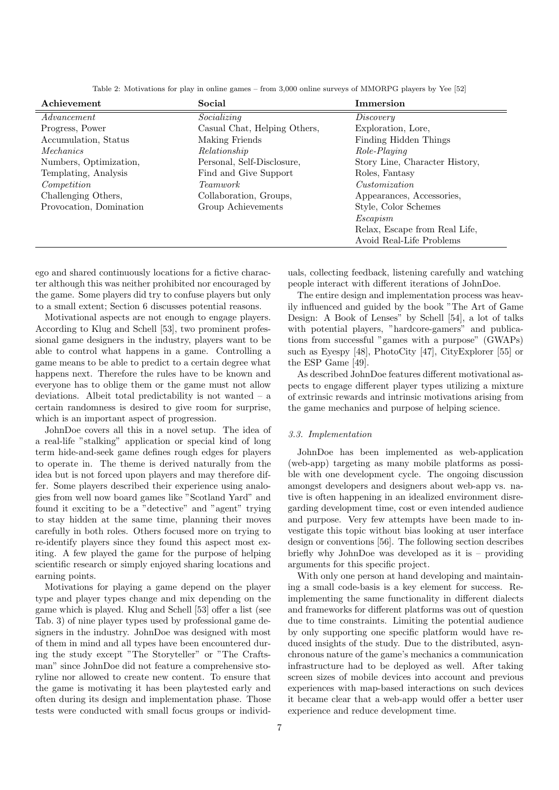| Achievement             | Social                       | <b>Immersion</b>               |
|-------------------------|------------------------------|--------------------------------|
| Advancement             | Socializing                  | Discovery                      |
| Progress, Power         | Casual Chat, Helping Others, | Exploration, Lore,             |
| Accumulation, Status    | Making Friends               | Finding Hidden Things          |
| Mechanics               | Relationship                 | Role-Playing                   |
| Numbers, Optimization,  | Personal, Self-Disclosure,   | Story Line, Character History, |
| Templating, Analysis    | Find and Give Support        | Roles, Fantasy                 |
| Competition             | <i>Teamwork</i>              | Customization                  |
| Challenging Others,     | Collaboration, Groups,       | Appearances, Accessories,      |
| Provocation, Domination | Group Achievements           | Style, Color Schemes           |
|                         |                              | Escapism                       |
|                         |                              | Relax, Escape from Real Life,  |
|                         |                              | Avoid Real-Life Problems       |

Table 2: Motivations for play in online games – from 3,000 online surveys of MMORPG players by Yee [52]

ego and shared continuously locations for a fictive character although this was neither prohibited nor encouraged by the game. Some players did try to confuse players but only to a small extent; Section 6 discusses potential reasons.

Motivational aspects are not enough to engage players. According to Klug and Schell [53], two prominent professional game designers in the industry, players want to be able to control what happens in a game. Controlling a game means to be able to predict to a certain degree what happens next. Therefore the rules have to be known and everyone has to oblige them or the game must not allow deviations. Albeit total predictability is not wanted  $-$  a certain randomness is desired to give room for surprise, which is an important aspect of progression.

JohnDoe covers all this in a novel setup. The idea of a real-life "stalking" application or special kind of long term hide-and-seek game defines rough edges for players to operate in. The theme is derived naturally from the idea but is not forced upon players and may therefore differ. Some players described their experience using analogies from well now board games like "Scotland Yard" and found it exciting to be a "detective" and "agent" trying to stay hidden at the same time, planning their moves carefully in both roles. Others focused more on trying to re-identify players since they found this aspect most exiting. A few played the game for the purpose of helping scientific research or simply enjoyed sharing locations and earning points.

Motivations for playing a game depend on the player type and player types change and mix depending on the game which is played. Klug and Schell [53] offer a list (see Tab. 3) of nine player types used by professional game designers in the industry. JohnDoe was designed with most of them in mind and all types have been encountered during the study except "The Storyteller" or "The Craftsman" since JohnDoe did not feature a comprehensive storyline nor allowed to create new content. To ensure that the game is motivating it has been playtested early and often during its design and implementation phase. Those tests were conducted with small focus groups or individ-

uals, collecting feedback, listening carefully and watching people interact with different iterations of JohnDoe.

The entire design and implementation process was heavily influenced and guided by the book "The Art of Game Design: A Book of Lenses" by Schell [54], a lot of talks with potential players, "hardcore-gamers" and publications from successful "games with a purpose" (GWAPs) such as Eyespy [48], PhotoCity [47], CityExplorer [55] or the ESP Game [49].

As described JohnDoe features different motivational aspects to engage different player types utilizing a mixture of extrinsic rewards and intrinsic motivations arising from the game mechanics and purpose of helping science.

## 3.3. Implementation

JohnDoe has been implemented as web-application (web-app) targeting as many mobile platforms as possible with one development cycle. The ongoing discussion amongst developers and designers about web-app vs. native is often happening in an idealized environment disregarding development time, cost or even intended audience and purpose. Very few attempts have been made to investigate this topic without bias looking at user interface design or conventions [56]. The following section describes briefly why JohnDoe was developed as it is – providing arguments for this specific project.

With only one person at hand developing and maintaining a small code-basis is a key element for success. Reimplementing the same functionality in different dialects and frameworks for different platforms was out of question due to time constraints. Limiting the potential audience by only supporting one specific platform would have reduced insights of the study. Due to the distributed, asynchronous nature of the game's mechanics a communication infrastructure had to be deployed as well. After taking screen sizes of mobile devices into account and previous experiences with map-based interactions on such devices it became clear that a web-app would offer a better user experience and reduce development time.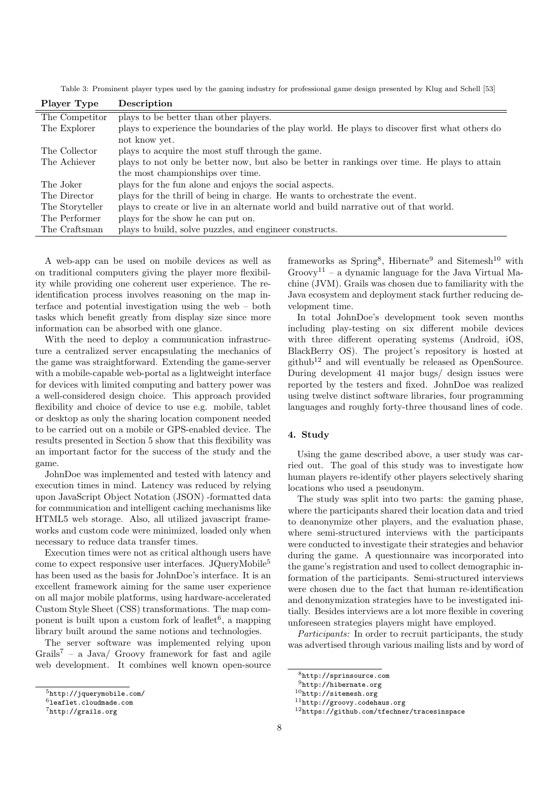Table 3: Prominent player types used by the gaming industry for professional game design presented by Klug and Schell [53]

| Player Type     | Description                                                                                     |
|-----------------|-------------------------------------------------------------------------------------------------|
| The Competitor  | plays to be better than other players.                                                          |
| The Explorer    | plays to experience the boundaries of the play world. He plays to discover first what others do |
|                 | not know yet.                                                                                   |
| The Collector   | plays to acquire the most stuff through the game.                                               |
| The Achiever    | plays to not only be better now, but also be better in rankings over time. He plays to attain   |
|                 | the most championships over time.                                                               |
| The Joker       | plays for the fun alone and enjoys the social aspects.                                          |
| The Director    | plays for the thrill of being in charge. He wants to orchestrate the event.                     |
| The Storyteller | plays to create or live in an alternate world and build narrative out of that world.            |
| The Performer   | plays for the show he can put on.                                                               |
| The Craftsman   | plays to build, solve puzzles, and engineer constructs.                                         |
|                 |                                                                                                 |

A web-app can be used on mobile devices as well as on traditional computers giving the player more flexibility while providing one coherent user experience. The reidentification process involves reasoning on the map interface and potential investigation using the web – both tasks which benefit greatly from display size since more information can be absorbed with one glance.

With the need to deploy a communication infrastructure a centralized server encapsulating the mechanics of the game was straightforward. Extending the game-server with a mobile-capable web-portal as a lightweight interface for devices with limited computing and battery power was a well-considered design choice. This approach provided flexibility and choice of device to use e.g. mobile, tablet or desktop as only the sharing location component needed to be carried out on a mobile or GPS-enabled device. The results presented in Section 5 show that this flexibility was an important factor for the success of the study and the game.

JohnDoe was implemented and tested with latency and execution times in mind. Latency was reduced by relying upon JavaScript Object Notation (JSON) -formatted data for communication and intelligent caching mechanisms like HTML5 web storage. Also, all utilized javascript frameworks and custom code were minimized, loaded only when necessary to reduce data transfer times.

Execution times were not as critical although users have come to expect responsive user interfaces. JQueryMobile<sup>5</sup> has been used as the basis for JohnDoe's interface. It is an excellent framework aiming for the same user experience on all major mobile platforms, using hardware-accelerated Custom Style Sheet (CSS) transformations. The map component is built upon a custom fork of leaflet<sup>6</sup>, a mapping library built around the same notions and technologies.

The server software was implemented relying upon Grails<sup>7</sup> – a Java/ Groovy framework for fast and agile web development. It combines well known open-source

frameworks as Spring<sup>8</sup>, Hibernate<sup>9</sup> and Sitemesh<sup>10</sup> with  $G_{\text{roov}}$ <sup>11</sup> – a dynamic language for the Java Virtual Machine (JVM). Grails was chosen due to familiarity with the Java ecosystem and deployment stack further reducing development time.

In total JohnDoe's development took seven months including play-testing on six different mobile devices with three different operating systems (Android, iOS, BlackBerry OS). The project's repository is hosted at  $github<sup>12</sup>$  and will eventually be released as OpenSource. During development 41 major bugs/ design issues were reported by the testers and fixed. JohnDoe was realized using twelve distinct software libraries, four programming languages and roughly forty-three thousand lines of code.

## 4. Study

Using the game described above, a user study was carried out. The goal of this study was to investigate how human players re-identify other players selectively sharing locations who used a pseudonym.

The study was split into two parts: the gaming phase, where the participants shared their location data and tried to deanonymize other players, and the evaluation phase, where semi-structured interviews with the participants were conducted to investigate their strategies and behavior during the game. A questionnaire was incorporated into the game's registration and used to collect demographic information of the participants. Semi-structured interviews were chosen due to the fact that human re-identification and denonymization strategies have to be investigated initially. Besides interviews are a lot more flexible in covering unforeseen strategies players might have employed.

Participants: In order to recruit participants, the study was advertised through various mailing lists and by word of

<sup>11</sup>http://groovy.codehaus.org

<sup>5</sup>http://jquerymobile.com/

<sup>6</sup>leaflet.cloudmade.com

<sup>7</sup>http://grails.org

<sup>8</sup>http://sprinsource.com

<sup>9</sup>http://hibernate.org

<sup>10</sup>http://sitemesh.org

<sup>12</sup>https://github.com/tfechner/tracesinspace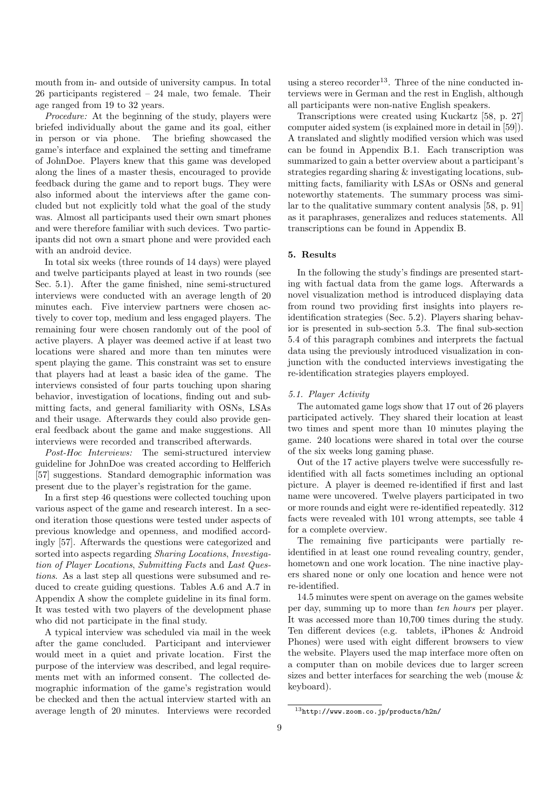mouth from in- and outside of university campus. In total 26 participants registered – 24 male, two female. Their age ranged from 19 to 32 years.

Procedure: At the beginning of the study, players were briefed individually about the game and its goal, either in person or via phone. The briefing showcased the game's interface and explained the setting and timeframe of JohnDoe. Players knew that this game was developed along the lines of a master thesis, encouraged to provide feedback during the game and to report bugs. They were also informed about the interviews after the game concluded but not explicitly told what the goal of the study was. Almost all participants used their own smart phones and were therefore familiar with such devices. Two participants did not own a smart phone and were provided each with an android device.

In total six weeks (three rounds of 14 days) were played and twelve participants played at least in two rounds (see Sec. 5.1). After the game finished, nine semi-structured interviews were conducted with an average length of 20 minutes each. Five interview partners were chosen actively to cover top, medium and less engaged players. The remaining four were chosen randomly out of the pool of active players. A player was deemed active if at least two locations were shared and more than ten minutes were spent playing the game. This constraint was set to ensure that players had at least a basic idea of the game. The interviews consisted of four parts touching upon sharing behavior, investigation of locations, finding out and submitting facts, and general familiarity with OSNs, LSAs and their usage. Afterwards they could also provide general feedback about the game and make suggestions. All interviews were recorded and transcribed afterwards.

Post-Hoc Interviews: The semi-structured interview guideline for JohnDoe was created according to Helfferich [57] suggestions. Standard demographic information was present due to the player's registration for the game.

In a first step 46 questions were collected touching upon various aspect of the game and research interest. In a second iteration those questions were tested under aspects of previous knowledge and openness, and modified accordingly [57]. Afterwards the questions were categorized and sorted into aspects regarding Sharing Locations, Investigation of Player Locations, Submitting Facts and Last Questions. As a last step all questions were subsumed and reduced to create guiding questions. Tables A.6 and A.7 in Appendix A show the complete guideline in its final form. It was tested with two players of the development phase who did not participate in the final study.

A typical interview was scheduled via mail in the week after the game concluded. Participant and interviewer would meet in a quiet and private location. First the purpose of the interview was described, and legal requirements met with an informed consent. The collected demographic information of the game's registration would be checked and then the actual interview started with an average length of 20 minutes. Interviews were recorded

using a stereo recorder<sup>13</sup>. Three of the nine conducted interviews were in German and the rest in English, although all participants were non-native English speakers.

Transcriptions were created using Kuckartz [58, p. 27] computer aided system (is explained more in detail in [59]). A translated and slightly modified version which was used can be found in Appendix B.1. Each transcription was summarized to gain a better overview about a participant's strategies regarding sharing & investigating locations, submitting facts, familiarity with LSAs or OSNs and general noteworthy statements. The summary process was similar to the qualitative summary content analysis [58, p. 91] as it paraphrases, generalizes and reduces statements. All transcriptions can be found in Appendix B.

## 5. Results

In the following the study's findings are presented starting with factual data from the game logs. Afterwards a novel visualization method is introduced displaying data from round two providing first insights into players reidentification strategies (Sec. 5.2). Players sharing behavior is presented in sub-section 5.3. The final sub-section 5.4 of this paragraph combines and interprets the factual data using the previously introduced visualization in conjunction with the conducted interviews investigating the re-identification strategies players employed.

## 5.1. Player Activity

The automated game logs show that 17 out of 26 players participated actively. They shared their location at least two times and spent more than 10 minutes playing the game. 240 locations were shared in total over the course of the six weeks long gaming phase.

Out of the 17 active players twelve were successfully reidentified with all facts sometimes including an optional picture. A player is deemed re-identified if first and last name were uncovered. Twelve players participated in two or more rounds and eight were re-identified repeatedly. 312 facts were revealed with 101 wrong attempts, see table 4 for a complete overview.

The remaining five participants were partially reidentified in at least one round revealing country, gender, hometown and one work location. The nine inactive players shared none or only one location and hence were not re-identified.

14.5 minutes were spent on average on the games website per day, summing up to more than ten hours per player. It was accessed more than 10,700 times during the study. Ten different devices (e.g. tablets, iPhones & Android Phones) were used with eight different browsers to view the website. Players used the map interface more often on a computer than on mobile devices due to larger screen sizes and better interfaces for searching the web (mouse & keyboard).

<sup>13</sup>http://www.zoom.co.jp/products/h2n/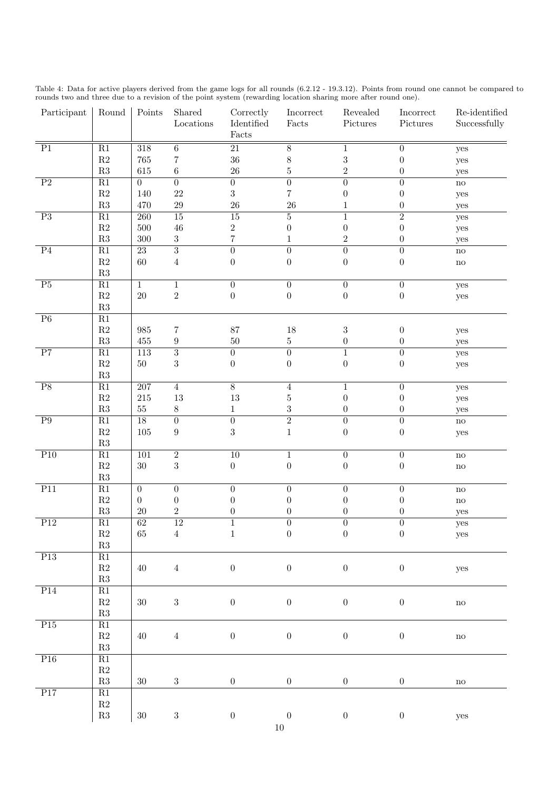| Table 4: Data for active players derived from the game logs for all rounds (6.2.12 - 19.3.12). Points from round one cannot be compared to |  |  |  |  |  |  |  |  |
|--------------------------------------------------------------------------------------------------------------------------------------------|--|--|--|--|--|--|--|--|
| rounds two and three due to a revision of the point system (rewarding location sharing more after round one).                              |  |  |  |  |  |  |  |  |

| Participant      | Round                          | Points           | Shared<br>$\operatorname{Locations}$ | Correctly<br>Identified<br>Facts | Incorrect<br>Facts | Revealed<br>$\operatorname{Pictures}$ | Incorrect<br>Pictures | Re-identified<br>Successfully                    |
|------------------|--------------------------------|------------------|--------------------------------------|----------------------------------|--------------------|---------------------------------------|-----------------------|--------------------------------------------------|
| $\overline{P1}$  | $\overline{R1}$                | $\overline{318}$ | $\overline{6}$                       | $\overline{21}$                  | $\overline{8}$     | $\mathbf{1}$                          | $\boldsymbol{0}$      | yes                                              |
|                  | $\mathbf{R}2$                  | $765\,$          | 7                                    | 36                               | $\,$ $\,$          | $\boldsymbol{3}$                      | $\boldsymbol{0}$      | yes                                              |
|                  | $\mathbf{R}3$                  | 615              | $\,6\,$                              | $26\,$                           | $\overline{5}$     | $\overline{2}$                        | $\boldsymbol{0}$      | yes                                              |
| $\overline{P2}$  | $\overline{R1}$                | $\overline{0}$   | $\overline{0}$                       | $\overline{0}$                   | $\overline{0}$     | $\overline{0}$                        | $\boldsymbol{0}$      | $\operatorname{no}$                              |
|                  | $\mathbf{R}2$                  | 140              | $22\,$                               | $\sqrt{3}$                       | $\overline{7}$     | $\boldsymbol{0}$                      | $\boldsymbol{0}$      | yes                                              |
|                  | $\mathbf{R}3$                  | 470              | $\,29$                               | 26                               | 26                 | $\mathbf{1}$                          | $\boldsymbol{0}$      | yes                                              |
| $\overline{P3}$  | $\overline{R1}$                | $\overline{260}$ | $\overline{15}$                      | $\overline{15}$                  | $\overline{5}$     | $\mathbf{1}$                          | $\overline{2}$        | yes                                              |
|                  | $\mathbf{R}2$                  | $500\,$          | $46\,$                               | $\,2$                            | $\boldsymbol{0}$   | $\boldsymbol{0}$                      | $\boldsymbol{0}$      | yes                                              |
|                  | $\mathbf{R}3$                  | $300\,$          | $\sqrt{3}$                           | $\overline{7}$                   | $\mathbf 1$        | $\overline{2}$                        | $\boldsymbol{0}$      | yes                                              |
| P <sub>4</sub>   | R1                             | 23               | $\overline{3}$                       | $\overline{0}$                   | $\overline{0}$     | $\overline{0}$                        | $\boldsymbol{0}$      | $\operatorname{no}$                              |
|                  | $\mathbf{R}2$                  | $60\,$           | $\,4\,$                              | $\boldsymbol{0}$                 | $\boldsymbol{0}$   | $\boldsymbol{0}$                      | $\boldsymbol{0}$      | $\rm no$                                         |
|                  | $\mathbf{R}3$                  |                  |                                      |                                  |                    |                                       |                       |                                                  |
| $\overline{P5}$  | $\overline{R1}$                | $\mathbf 1$      | $\mathbf{1}$                         | $\overline{0}$                   | $\overline{0}$     | $\overline{0}$                        | $\boldsymbol{0}$      | yes                                              |
|                  | $\mathbf{R}2$                  | $20\,$           | $\,2$                                | $\boldsymbol{0}$                 | $\boldsymbol{0}$   | $\boldsymbol{0}$                      | $\boldsymbol{0}$      | yes                                              |
|                  | $\mathbf{R}3$                  |                  |                                      |                                  |                    |                                       |                       |                                                  |
| $\overline{P6}$  | $\overline{R1}$                |                  |                                      |                                  |                    |                                       |                       |                                                  |
|                  | $\mathbf{R}2$                  | $985\,$          | 7                                    | 87                               | $18\,$             | $\sqrt{3}$                            | $\boldsymbol{0}$      | yes                                              |
|                  | $\mathbf{R}3$                  | $455\,$          | $\boldsymbol{9}$                     | $50\,$                           | $\rm 5$            | $\boldsymbol{0}$                      | $\boldsymbol{0}$      | yes                                              |
| $\overline{P7}$  | $\overline{R1}$                | 113              | $\overline{3}$                       | $\overline{0}$                   | $\overline{0}$     | $\mathbf{1}$                          | $\boldsymbol{0}$      | yes                                              |
|                  | $\mathbf{R}2$                  | $50\,$           | $\sqrt{3}$                           | $\boldsymbol{0}$                 | $\boldsymbol{0}$   | $\boldsymbol{0}$                      | $\boldsymbol{0}$      | yes                                              |
|                  | $\mathbf{R}3$                  |                  |                                      |                                  |                    |                                       |                       |                                                  |
| P8               | R1                             | 207              | $\overline{4}$                       | $\overline{8}$                   | $\overline{4}$     | $\mathbf{1}$                          | $\boldsymbol{0}$      | yes                                              |
|                  | $\mathbf{R}2$                  | $215\,$          | 13                                   | $13\,$                           | $\bf 5$            | $\boldsymbol{0}$                      | $\boldsymbol{0}$      | yes                                              |
|                  | $\mathbf{R}3$                  | $55\,$           | 8                                    | $\mathbf{1}$                     | $\boldsymbol{3}$   | $\boldsymbol{0}$                      | $\boldsymbol{0}$      | yes                                              |
| $\overline{P9}$  | $\overline{R1}$                | $\overline{18}$  | $\overline{0}$                       | $\overline{0}$                   | $\overline{2}$     | $\overline{0}$                        | $\boldsymbol{0}$      | $\mathbf{n}\mathbf{o}$                           |
|                  | $\mathbf{R}2$                  | $105\,$          | $\boldsymbol{9}$                     | $\sqrt{3}$                       | $\mathbf{1}$       | $\boldsymbol{0}$                      | $\boldsymbol{0}$      |                                                  |
|                  | $\mathbf{R}3$                  |                  |                                      |                                  |                    |                                       |                       | yes                                              |
| P10              | $\overline{R1}$                | $\overline{101}$ | $\overline{2}$                       | $\overline{10}$                  | $\,1$              | $\boldsymbol{0}$                      | $\boldsymbol{0}$      | $\mathbf{n}\mathbf{o}$                           |
|                  | $\mathbf{R}2$                  | $30\,$           | $\sqrt{3}$                           | $\boldsymbol{0}$                 | $\boldsymbol{0}$   | $\boldsymbol{0}$                      | $\boldsymbol{0}$      |                                                  |
|                  | $\mathbf{R}3$                  |                  |                                      |                                  |                    |                                       |                       | $\rm no$                                         |
| P11              | R1                             | $\boldsymbol{0}$ | $\overline{0}$                       | $\boldsymbol{0}$                 | $\boldsymbol{0}$   | $\boldsymbol{0}$                      | $\boldsymbol{0}$      |                                                  |
|                  | $\mathbf{R}2$                  | $\boldsymbol{0}$ | $\boldsymbol{0}$                     | $\overline{0}$                   | $\boldsymbol{0}$   | $\boldsymbol{0}$                      |                       | $\mathbf{n}\mathbf{o}$<br>$\mathbf{n}\mathbf{o}$ |
|                  | $\mathbf{R}3$                  | $20\,$           | $\,2$                                | $\boldsymbol{0}$                 | $\boldsymbol{0}$   | $\boldsymbol{0}$                      | $\boldsymbol{0}$<br>0 |                                                  |
| $\overline{P12}$ | R1                             | 62               | 12                                   |                                  | $\overline{0}$     | $\overline{0}$                        | $\overline{0}$        | yes                                              |
|                  | $\mathbf{R}2$                  | $65\,$           | $\sqrt{4}$                           | $\,1\,$                          | $\boldsymbol{0}$   | $\boldsymbol{0}$                      | $\boldsymbol{0}$      | yes                                              |
|                  | $\mathbf{R}3$                  |                  |                                      |                                  |                    |                                       |                       | yes                                              |
| P13              | R1                             |                  |                                      |                                  |                    |                                       |                       |                                                  |
|                  | $\mathbf{R}2$                  | $40\,$           | $\,4$                                | $\boldsymbol{0}$                 | $\boldsymbol{0}$   | $\boldsymbol{0}$                      |                       |                                                  |
|                  | $\mathbf{R}3$                  |                  |                                      |                                  |                    |                                       | $\boldsymbol{0}$      | yes                                              |
| P14              |                                |                  |                                      |                                  |                    |                                       |                       |                                                  |
|                  | R1<br>$\mathbf{R}2$            | $30\,$           |                                      | $\boldsymbol{0}$                 |                    | $\boldsymbol{0}$                      |                       |                                                  |
|                  | $\mathbf{R}3$                  |                  | $\sqrt{3}$                           |                                  | $\boldsymbol{0}$   |                                       | $\boldsymbol{0}$      | $\rm no$                                         |
| P15              |                                |                  |                                      |                                  |                    |                                       |                       |                                                  |
|                  | $\mathbf{R}1$<br>$\mathbf{R}2$ | $40\,$           |                                      | $\boldsymbol{0}$                 |                    | $\boldsymbol{0}$                      |                       |                                                  |
|                  | $\mathbf{R}3$                  |                  | $\,4\,$                              |                                  | $\boldsymbol{0}$   |                                       | $\boldsymbol{0}$      | $\rm no$                                         |
|                  |                                |                  |                                      |                                  |                    |                                       |                       |                                                  |
| P16              | R1                             |                  |                                      |                                  |                    |                                       |                       |                                                  |
|                  | $\mathbf{R}2$                  |                  |                                      |                                  |                    |                                       |                       |                                                  |
|                  | $\mathbf{R}3$                  | $30\,$           | $\sqrt{3}$                           | $\boldsymbol{0}$                 | $\boldsymbol{0}$   | $\boldsymbol{0}$                      | $\boldsymbol{0}$      | $\rm no$                                         |
| P17              | R1                             |                  |                                      |                                  |                    |                                       |                       |                                                  |
|                  | $\mathbf{R}2$                  |                  |                                      |                                  |                    |                                       |                       |                                                  |
|                  | $\mathbf{R}3$                  | $30\,$           | $\sqrt{3}$                           | $\boldsymbol{0}$                 | $\boldsymbol{0}$   | $\boldsymbol{0}$                      | $\boldsymbol{0}$      | yes                                              |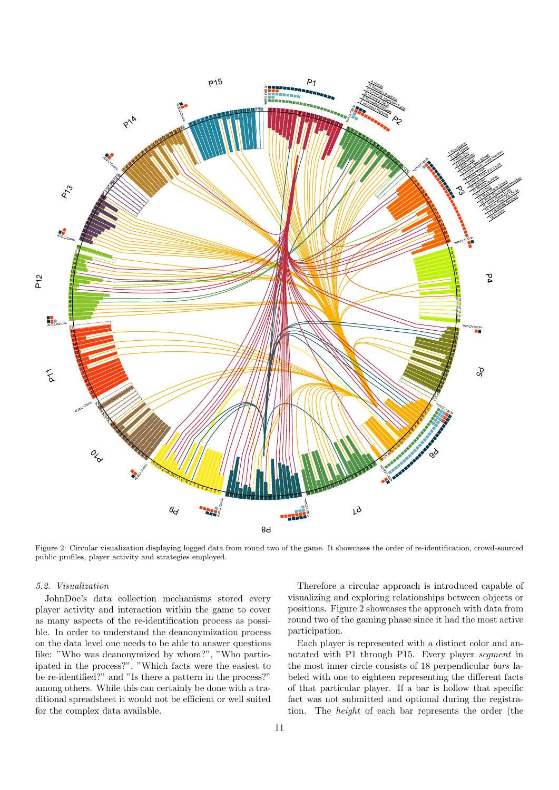

Figure 2: Circular visualization displaying logged data from round two of the game. It showcases the order of re-identification, crowd-sourced public profiles, player activity and strategies employed.

#### 5.2. Visualization

JohnDoe's data collection mechanisms stored every player activity and interaction within the game to cover as many aspects of the re-identification process as possible. In order to understand the deanonymization process on the data level one needs to be able to answer questions like: "Who was deanonymized by whom?", "Who participated in the process?", "Which facts were the easiest to be re-identified?" and "Is there a pattern in the process?" among others. While this can certainly be done with a traditional spreadsheet it would not be efficient or well suited for the complex data available.

Therefore a circular approach is introduced capable of visualizing and exploring relationships between objects or positions. Figure 2 showcases the approach with data from round two of the gaming phase since it had the most active participation.

Each player is represented with a distinct color and annotated with P1 through P15. Every player segment in the most inner circle consists of 18 perpendicular bars labeled with one to eighteen representing the different facts of that particular player. If a bar is hollow that specific fact was not submitted and optional during the registration. The height of each bar represents the order (the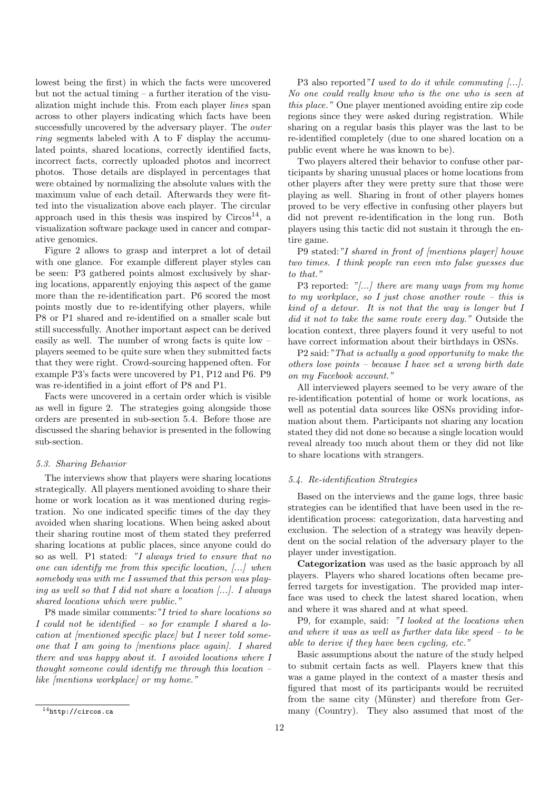lowest being the first) in which the facts were uncovered but not the actual timing – a further iteration of the visualization might include this. From each player lines span across to other players indicating which facts have been successfully uncovered by the adversary player. The *outer* ring segments labeled with A to F display the accumulated points, shared locations, correctly identified facts, incorrect facts, correctly uploaded photos and incorrect photos. Those details are displayed in percentages that were obtained by normalizing the absolute values with the maximum value of each detail. Afterwards they were fitted into the visualization above each player. The circular approach used in this thesis was inspired by  $Circos<sup>14</sup>$ , a visualization software package used in cancer and comparative genomics.

Figure 2 allows to grasp and interpret a lot of detail with one glance. For example different player styles can be seen: P3 gathered points almost exclusively by sharing locations, apparently enjoying this aspect of the game more than the re-identification part. P6 scored the most points mostly due to re-identifying other players, while P8 or P1 shared and re-identified on a smaller scale but still successfully. Another important aspect can be derived easily as well. The number of wrong facts is quite low – players seemed to be quite sure when they submitted facts that they were right. Crowd-sourcing happened often. For example P3's facts were uncovered by P1, P12 and P6. P9 was re-identified in a joint effort of P8 and P1.

Facts were uncovered in a certain order which is visible as well in figure 2. The strategies going alongside those orders are presented in sub-section 5.4. Before those are discussed the sharing behavior is presented in the following sub-section.

## 5.3. Sharing Behavior

The interviews show that players were sharing locations strategically. All players mentioned avoiding to share their home or work location as it was mentioned during registration. No one indicated specific times of the day they avoided when sharing locations. When being asked about their sharing routine most of them stated they preferred sharing locations at public places, since anyone could do so as well. P1 stated: "I always tried to ensure that no one can identify me from this specific location, [...] when somebody was with me I assumed that this person was playing as well so that I did not share a location  $[\dots]$ . I always shared locations which were public."

P8 made similar comments:"I tried to share locations so I could not be identified – so for example I shared a location at *[mentioned specific place]* but *I never told some*one that I am going to [mentions place again]. I shared there and was happy about it. I avoided locations where I thought someone could identify me through this location  $$ like [mentions workplace] or my home."

P3 also reported"I used to do it while commuting [...]. No one could really know who is the one who is seen at this place." One player mentioned avoiding entire zip code regions since they were asked during registration. While sharing on a regular basis this player was the last to be re-identified completely (due to one shared location on a public event where he was known to be).

Two players altered their behavior to confuse other participants by sharing unusual places or home locations from other players after they were pretty sure that those were playing as well. Sharing in front of other players homes proved to be very effective in confusing other players but did not prevent re-identification in the long run. Both players using this tactic did not sustain it through the entire game.

P9 stated:"I shared in front of [mentions player] house two times. I think people ran even into false guesses due to that."

P3 reported: "[...] there are many ways from my home to my workplace, so I just chose another route – this is kind of a detour. It is not that the way is longer but I did it not to take the same route every day." Outside the location context, three players found it very useful to not have correct information about their birthdays in OSNs.

P2 said:"That is actually a good opportunity to make the others lose points – because  $I$  have set a wrong birth date on my Facebook account."

All interviewed players seemed to be very aware of the re-identification potential of home or work locations, as well as potential data sources like OSNs providing information about them. Participants not sharing any location stated they did not done so because a single location would reveal already too much about them or they did not like to share locations with strangers.

## 5.4. Re-identification Strategies

Based on the interviews and the game logs, three basic strategies can be identified that have been used in the reidentification process: categorization, data harvesting and exclusion. The selection of a strategy was heavily dependent on the social relation of the adversary player to the player under investigation.

Categorization was used as the basic approach by all players. Players who shared locations often became preferred targets for investigation. The provided map interface was used to check the latest shared location, when and where it was shared and at what speed.

P9, for example, said: "I looked at the locations when and where it was as well as further data like speed – to be able to derive if they have been cycling, etc."

Basic assumptions about the nature of the study helped to submit certain facts as well. Players knew that this was a game played in the context of a master thesis and figured that most of its participants would be recruited from the same city (Münster) and therefore from Germany (Country). They also assumed that most of the

<sup>14</sup>http://circos.ca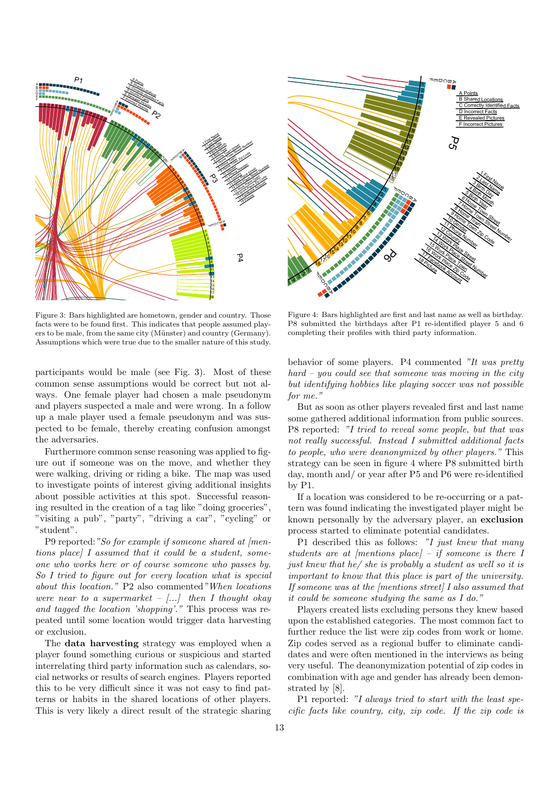

Figure 3: Bars highlighted are hometown, gender and country. Those facts were to be found first. This indicates that people assumed players to be male, from the same city (Münster) and country (Germany). Assumptions which were true due to the smaller nature of this study.

participants would be male (see Fig. 3). Most of these common sense assumptions would be correct but not always. One female player had chosen a male pseudonym and players suspected a male and were wrong. In a follow up a male player used a female pseudonym and was suspected to be female, thereby creating confusion amongst the adversaries.

Furthermore common sense reasoning was applied to figure out if someone was on the move, and whether they were walking, driving or riding a bike. The map was used to investigate points of interest giving additional insights about possible activities at this spot. Successful reasoning resulted in the creation of a tag like "doing groceries", "visiting a pub", "party", "driving a car", "cycling" or "student".

P9 reported: "So for example if someone shared at /mentions place] I assumed that it could be a student, someone who works here or of course someone who passes by. So I tried to figure out for every location what is special about this location." P2 also commented"When locations were near to a supermarket  $-$  [...] then I thought okay and tagged the location 'shopping'." This process was repeated until some location would trigger data harvesting or exclusion.

The data harvesting strategy was employed when a player found something curious or suspicious and started interrelating third party information such as calendars, social networks or results of search engines. Players reported this to be very difficult since it was not easy to find patterns or habits in the shared locations of other players. This is very likely a direct result of the strategic sharing



Figure 4: Bars highlighted are first and last name as well as birthday. P8 submitted the birthdays after P1 re-identified player 5 and 6 completing their profiles with third party information.

behavior of some players. P4 commented "It was pretty  $hard - you could see that someone was moving in the city$ but identifying hobbies like playing soccer was not possible for me."

But as soon as other players revealed first and last name some gathered additional information from public sources. P8 reported: "I tried to reveal some people, but that was not really successful. Instead I submitted additional facts to people, who were deanonymized by other players." This strategy can be seen in figure 4 where P8 submitted birth day, month and/ or year after P5 and P6 were re-identified by P1.

If a location was considered to be re-occurring or a pattern was found indicating the investigated player might be known personally by the adversary player, an exclusion process started to eliminate potential candidates.

P1 described this as follows: "I just knew that many students are at [mentions place] – if someone is there I just knew that he/ she is probably a student as well so it is important to know that this place is part of the university. If someone was at the [mentions street] I also assumed that it could be someone studying the same as I do."

Players created lists excluding persons they knew based upon the established categories. The most common fact to further reduce the list were zip codes from work or home. Zip codes served as a regional buffer to eliminate candidates and were often mentioned in the interviews as being very useful. The deanonymization potential of zip codes in combination with age and gender has already been demonstrated by [8].

P1 reported: "I always tried to start with the least specific facts like country, city, zip code. If the zip code is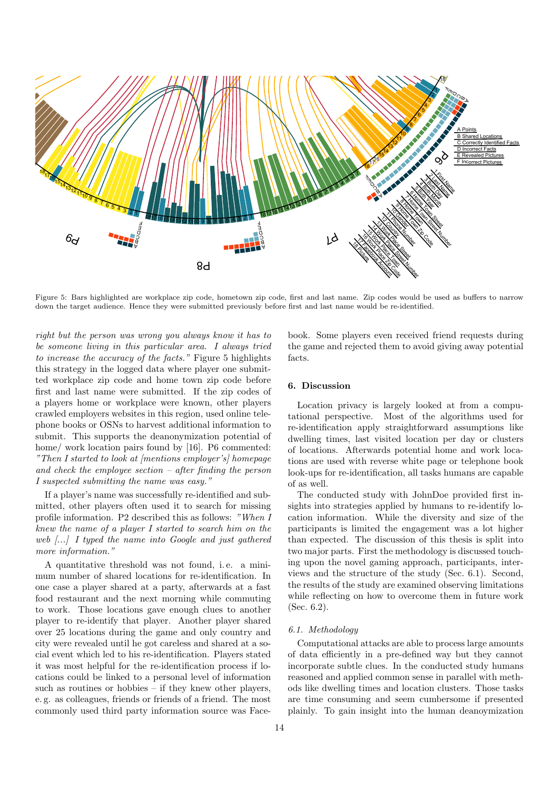

Figure 5: Bars highlighted are workplace zip code, hometown zip code, first and last name. Zip codes would be used as buffers to narrow down the target audience. Hence they were submitted previously before first and last name would be re-identified.

right but the person was wrong you always know it has to be someone living in this particular area. I always tried to increase the accuracy of the facts." Figure 5 highlights this strategy in the logged data where player one submitted workplace zip code and home town zip code before first and last name were submitted. If the zip codes of a players home or workplace were known, other players crawled employers websites in this region, used online telephone books or OSNs to harvest additional information to submit. This supports the deanonymization potential of home/ work location pairs found by [16]. P6 commented: "Then I started to look at [mentions employer's] homepage and check the employee section  $-$  after finding the person I suspected submitting the name was easy."

If a player's name was successfully re-identified and submitted, other players often used it to search for missing profile information. P2 described this as follows: "When I knew the name of a player I started to search him on the web [...] I typed the name into Google and just gathered more information."

A quantitative threshold was not found, i. e. a minimum number of shared locations for re-identification. In one case a player shared at a party, afterwards at a fast food restaurant and the next morning while commuting to work. Those locations gave enough clues to another player to re-identify that player. Another player shared over 25 locations during the game and only country and city were revealed until he got careless and shared at a social event which led to his re-identification. Players stated it was most helpful for the re-identification process if locations could be linked to a personal level of information such as routines or hobbies – if they knew other players, e. g. as colleagues, friends or friends of a friend. The most commonly used third party information source was Facebook. Some players even received friend requests during the game and rejected them to avoid giving away potential facts.

## 6. Discussion

Location privacy is largely looked at from a computational perspective. Most of the algorithms used for re-identification apply straightforward assumptions like dwelling times, last visited location per day or clusters of locations. Afterwards potential home and work locations are used with reverse white page or telephone book look-ups for re-identification, all tasks humans are capable of as well.

The conducted study with JohnDoe provided first insights into strategies applied by humans to re-identify location information. While the diversity and size of the participants is limited the engagement was a lot higher than expected. The discussion of this thesis is split into two major parts. First the methodology is discussed touching upon the novel gaming approach, participants, interviews and the structure of the study (Sec. 6.1). Second, the results of the study are examined observing limitations while reflecting on how to overcome them in future work (Sec. 6.2).

## 6.1. Methodology

Computational attacks are able to process large amounts of data efficiently in a pre-defined way but they cannot incorporate subtle clues. In the conducted study humans reasoned and applied common sense in parallel with methods like dwelling times and location clusters. Those tasks are time consuming and seem cumbersome if presented plainly. To gain insight into the human deanoymization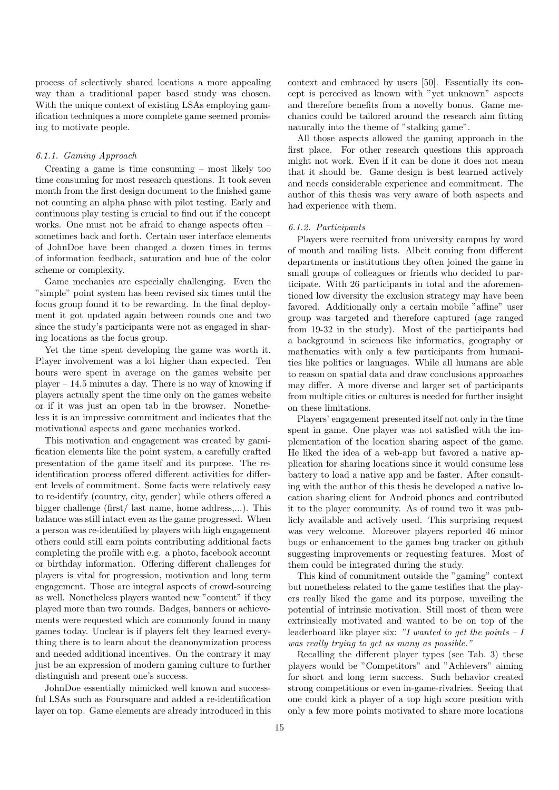process of selectively shared locations a more appealing way than a traditional paper based study was chosen. With the unique context of existing LSAs employing gamification techniques a more complete game seemed promising to motivate people.

#### 6.1.1. Gaming Approach

Creating a game is time consuming – most likely too time consuming for most research questions. It took seven month from the first design document to the finished game not counting an alpha phase with pilot testing. Early and continuous play testing is crucial to find out if the concept works. One must not be afraid to change aspects often – sometimes back and forth. Certain user interface elements of JohnDoe have been changed a dozen times in terms of information feedback, saturation and hue of the color scheme or complexity.

Game mechanics are especially challenging. Even the "simple" point system has been revised six times until the focus group found it to be rewarding. In the final deployment it got updated again between rounds one and two since the study's participants were not as engaged in sharing locations as the focus group.

Yet the time spent developing the game was worth it. Player involvement was a lot higher than expected. Ten hours were spent in average on the games website per player – 14.5 minutes a day. There is no way of knowing if players actually spent the time only on the games website or if it was just an open tab in the browser. Nonetheless it is an impressive commitment and indicates that the motivational aspects and game mechanics worked.

This motivation and engagement was created by gamification elements like the point system, a carefully crafted presentation of the game itself and its purpose. The reidentification process offered different activities for different levels of commitment. Some facts were relatively easy to re-identify (country, city, gender) while others offered a bigger challenge (first/ last name, home address,...). This balance was still intact even as the game progressed. When a person was re-identified by players with high engagement others could still earn points contributing additional facts completing the profile with e.g. a photo, facebook account or birthday information. Offering different challenges for players is vital for progression, motivation and long term engagement. Those are integral aspects of crowd-sourcing as well. Nonetheless players wanted new "content" if they played more than two rounds. Badges, banners or achievements were requested which are commonly found in many games today. Unclear is if players felt they learned everything there is to learn about the deanonymization process and needed additional incentives. On the contrary it may just be an expression of modern gaming culture to further distinguish and present one's success.

JohnDoe essentially mimicked well known and successful LSAs such as Foursquare and added a re-identification layer on top. Game elements are already introduced in this

context and embraced by users [50]. Essentially its concept is perceived as known with "yet unknown" aspects and therefore benefits from a novelty bonus. Game mechanics could be tailored around the research aim fitting naturally into the theme of "stalking game".

All those aspects allowed the gaming approach in the first place. For other research questions this approach might not work. Even if it can be done it does not mean that it should be. Game design is best learned actively and needs considerable experience and commitment. The author of this thesis was very aware of both aspects and had experience with them.

#### 6.1.2. Participants

Players were recruited from university campus by word of mouth and mailing lists. Albeit coming from different departments or institutions they often joined the game in small groups of colleagues or friends who decided to participate. With 26 participants in total and the aforementioned low diversity the exclusion strategy may have been favored. Additionally only a certain mobile "affine" user group was targeted and therefore captured (age ranged from 19-32 in the study). Most of the participants had a background in sciences like informatics, geography or mathematics with only a few participants from humanities like politics or languages. While all humans are able to reason on spatial data and draw conclusions approaches may differ. A more diverse and larger set of participants from multiple cities or cultures is needed for further insight on these limitations.

Players' engagement presented itself not only in the time spent in game. One player was not satisfied with the implementation of the location sharing aspect of the game. He liked the idea of a web-app but favored a native application for sharing locations since it would consume less battery to load a native app and be faster. After consulting with the author of this thesis he developed a native location sharing client for Android phones and contributed it to the player community. As of round two it was publicly available and actively used. This surprising request was very welcome. Moreover players reported 46 minor bugs or enhancement to the games bug tracker on github suggesting improvements or requesting features. Most of them could be integrated during the study.

This kind of commitment outside the "gaming" context but nonetheless related to the game testifies that the players really liked the game and its purpose, unveiling the potential of intrinsic motivation. Still most of them were extrinsically motivated and wanted to be on top of the leaderboard like player six: "I wanted to get the points  $-I$ was really trying to get as many as possible."

Recalling the different player types (see Tab. 3) these players would be "Competitors" and "Achievers" aiming for short and long term success. Such behavior created strong competitions or even in-game-rivalries. Seeing that one could kick a player of a top high score position with only a few more points motivated to share more locations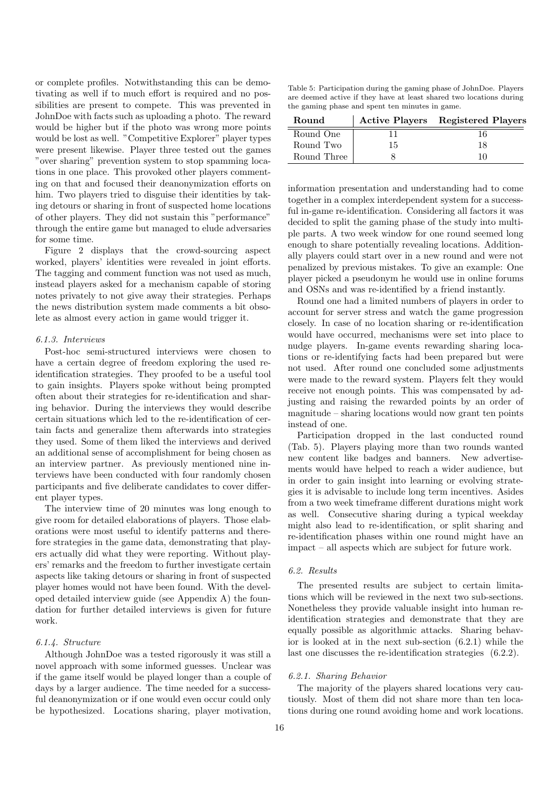or complete profiles. Notwithstanding this can be demotivating as well if to much effort is required and no possibilities are present to compete. This was prevented in JohnDoe with facts such as uploading a photo. The reward would be higher but if the photo was wrong more points would be lost as well. "Competitive Explorer" player types were present likewise. Player three tested out the games "over sharing" prevention system to stop spamming locations in one place. This provoked other players commenting on that and focused their deanonymization efforts on him. Two players tried to disguise their identities by taking detours or sharing in front of suspected home locations of other players. They did not sustain this "performance" through the entire game but managed to elude adversaries for some time.

Figure 2 displays that the crowd-sourcing aspect worked, players' identities were revealed in joint efforts. The tagging and comment function was not used as much, instead players asked for a mechanism capable of storing notes privately to not give away their strategies. Perhaps the news distribution system made comments a bit obsolete as almost every action in game would trigger it.

#### 6.1.3. Interviews

Post-hoc semi-structured interviews were chosen to have a certain degree of freedom exploring the used reidentification strategies. They proofed to be a useful tool to gain insights. Players spoke without being prompted often about their strategies for re-identification and sharing behavior. During the interviews they would describe certain situations which led to the re-identification of certain facts and generalize them afterwards into strategies they used. Some of them liked the interviews and derived an additional sense of accomplishment for being chosen as an interview partner. As previously mentioned nine interviews have been conducted with four randomly chosen participants and five deliberate candidates to cover different player types.

The interview time of 20 minutes was long enough to give room for detailed elaborations of players. Those elaborations were most useful to identify patterns and therefore strategies in the game data, demonstrating that players actually did what they were reporting. Without players' remarks and the freedom to further investigate certain aspects like taking detours or sharing in front of suspected player homes would not have been found. With the developed detailed interview guide (see Appendix A) the foundation for further detailed interviews is given for future work.

## 6.1.4. Structure

Although JohnDoe was a tested rigorously it was still a novel approach with some informed guesses. Unclear was if the game itself would be played longer than a couple of days by a larger audience. The time needed for a successful deanonymization or if one would even occur could only be hypothesized. Locations sharing, player motivation,

Table 5: Participation during the gaming phase of JohnDoe. Players are deemed active if they have at least shared two locations during the gaming phase and spent ten minutes in game.

| <b>Round</b> |    | <b>Active Players</b> Registered Players |
|--------------|----|------------------------------------------|
| Round One    |    |                                          |
| Round Two    | 15 | 18                                       |
| Round Three  |    |                                          |

information presentation and understanding had to come together in a complex interdependent system for a successful in-game re-identification. Considering all factors it was decided to split the gaming phase of the study into multiple parts. A two week window for one round seemed long enough to share potentially revealing locations. Additionally players could start over in a new round and were not penalized by previous mistakes. To give an example: One player picked a pseudonym he would use in online forums and OSNs and was re-identified by a friend instantly.

Round one had a limited numbers of players in order to account for server stress and watch the game progression closely. In case of no location sharing or re-identification would have occurred, mechanisms were set into place to nudge players. In-game events rewarding sharing locations or re-identifying facts had been prepared but were not used. After round one concluded some adjustments were made to the reward system. Players felt they would receive not enough points. This was compensated by adjusting and raising the rewarded points by an order of magnitude – sharing locations would now grant ten points instead of one.

Participation dropped in the last conducted round (Tab. 5). Players playing more than two rounds wanted new content like badges and banners. New advertisements would have helped to reach a wider audience, but in order to gain insight into learning or evolving strategies it is advisable to include long term incentives. Asides from a two week timeframe different durations might work as well. Consecutive sharing during a typical weekday might also lead to re-identification, or split sharing and re-identification phases within one round might have an impact – all aspects which are subject for future work.

## 6.2. Results

The presented results are subject to certain limitations which will be reviewed in the next two sub-sections. Nonetheless they provide valuable insight into human reidentification strategies and demonstrate that they are equally possible as algorithmic attacks. Sharing behavior is looked at in the next sub-section (6.2.1) while the last one discusses the re-identification strategies (6.2.2).

#### 6.2.1. Sharing Behavior

The majority of the players shared locations very cautiously. Most of them did not share more than ten locations during one round avoiding home and work locations.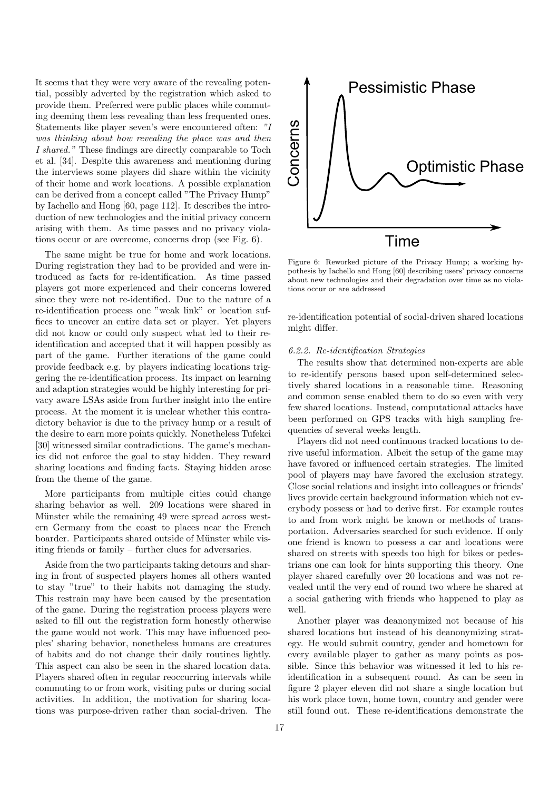It seems that they were very aware of the revealing potential, possibly adverted by the registration which asked to provide them. Preferred were public places while commuting deeming them less revealing than less frequented ones. Statements like player seven's were encountered often: "I was thinking about how revealing the place was and then I shared." These findings are directly comparable to Toch et al. [34]. Despite this awareness and mentioning during the interviews some players did share within the vicinity of their home and work locations. A possible explanation can be derived from a concept called "The Privacy Hump" by Iachello and Hong [60, page 112]. It describes the introduction of new technologies and the initial privacy concern arising with them. As time passes and no privacy violations occur or are overcome, concerns drop (see Fig. 6).

The same might be true for home and work locations. During registration they had to be provided and were introduced as facts for re-identification. As time passed players got more experienced and their concerns lowered since they were not re-identified. Due to the nature of a re-identification process one "weak link" or location suffices to uncover an entire data set or player. Yet players did not know or could only suspect what led to their reidentification and accepted that it will happen possibly as part of the game. Further iterations of the game could provide feedback e.g. by players indicating locations triggering the re-identification process. Its impact on learning and adaption strategies would be highly interesting for privacy aware LSAs aside from further insight into the entire process. At the moment it is unclear whether this contradictory behavior is due to the privacy hump or a result of the desire to earn more points quickly. Nonetheless Tufekci [30] witnessed similar contradictions. The game's mechanics did not enforce the goal to stay hidden. They reward sharing locations and finding facts. Staying hidden arose from the theme of the game.

More participants from multiple cities could change sharing behavior as well. 209 locations were shared in Münster while the remaining 49 were spread across western Germany from the coast to places near the French boarder. Participants shared outside of Münster while visiting friends or family – further clues for adversaries.

Aside from the two participants taking detours and sharing in front of suspected players homes all others wanted to stay "true" to their habits not damaging the study. This restrain may have been caused by the presentation of the game. During the registration process players were asked to fill out the registration form honestly otherwise the game would not work. This may have influenced peoples' sharing behavior, nonetheless humans are creatures of habits and do not change their daily routines lightly. This aspect can also be seen in the shared location data. Players shared often in regular reoccurring intervals while commuting to or from work, visiting pubs or during social activities. In addition, the motivation for sharing locations was purpose-driven rather than social-driven. The



Figure 6: Reworked picture of the Privacy Hump; a working hypothesis by Iachello and Hong [60] describing users' privacy concerns about new technologies and their degradation over time as no violations occur or are addressed

re-identification potential of social-driven shared locations might differ.

#### 6.2.2. Re-identification Strategies

The results show that determined non-experts are able to re-identify persons based upon self-determined selectively shared locations in a reasonable time. Reasoning and common sense enabled them to do so even with very few shared locations. Instead, computational attacks have been performed on GPS tracks with high sampling frequencies of several weeks length.

Players did not need continuous tracked locations to derive useful information. Albeit the setup of the game may have favored or influenced certain strategies. The limited pool of players may have favored the exclusion strategy. Close social relations and insight into colleagues or friends' lives provide certain background information which not everybody possess or had to derive first. For example routes to and from work might be known or methods of transportation. Adversaries searched for such evidence. If only one friend is known to possess a car and locations were shared on streets with speeds too high for bikes or pedestrians one can look for hints supporting this theory. One player shared carefully over 20 locations and was not revealed until the very end of round two where he shared at a social gathering with friends who happened to play as well.

Another player was deanonymized not because of his shared locations but instead of his deanonymizing strategy. He would submit country, gender and hometown for every available player to gather as many points as possible. Since this behavior was witnessed it led to his reidentification in a subsequent round. As can be seen in figure 2 player eleven did not share a single location but his work place town, home town, country and gender were still found out. These re-identifications demonstrate the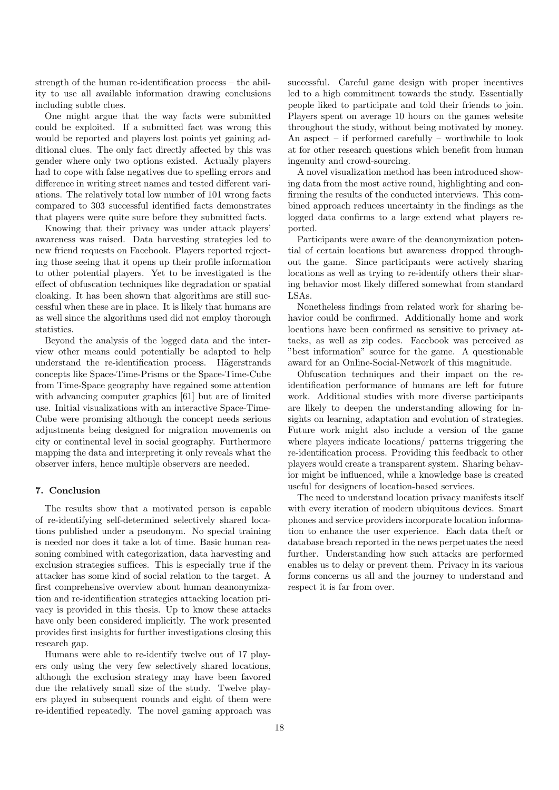strength of the human re-identification process – the ability to use all available information drawing conclusions including subtle clues.

One might argue that the way facts were submitted could be exploited. If a submitted fact was wrong this would be reported and players lost points yet gaining additional clues. The only fact directly affected by this was gender where only two options existed. Actually players had to cope with false negatives due to spelling errors and difference in writing street names and tested different variations. The relatively total low number of 101 wrong facts compared to 303 successful identified facts demonstrates that players were quite sure before they submitted facts.

Knowing that their privacy was under attack players' awareness was raised. Data harvesting strategies led to new friend requests on Facebook. Players reported rejecting those seeing that it opens up their profile information to other potential players. Yet to be investigated is the effect of obfuscation techniques like degradation or spatial cloaking. It has been shown that algorithms are still successful when these are in place. It is likely that humans are as well since the algorithms used did not employ thorough statistics.

Beyond the analysis of the logged data and the interview other means could potentially be adapted to help understand the re-identification process. Hägerstrands concepts like Space-Time-Prisms or the Space-Time-Cube from Time-Space geography have regained some attention with advancing computer graphics [61] but are of limited use. Initial visualizations with an interactive Space-Time-Cube were promising although the concept needs serious adjustments being designed for migration movements on city or continental level in social geography. Furthermore mapping the data and interpreting it only reveals what the observer infers, hence multiple observers are needed.

## 7. Conclusion

The results show that a motivated person is capable of re-identifying self-determined selectively shared locations published under a pseudonym. No special training is needed nor does it take a lot of time. Basic human reasoning combined with categorization, data harvesting and exclusion strategies suffices. This is especially true if the attacker has some kind of social relation to the target. A first comprehensive overview about human deanonymization and re-identification strategies attacking location privacy is provided in this thesis. Up to know these attacks have only been considered implicitly. The work presented provides first insights for further investigations closing this research gap.

Humans were able to re-identify twelve out of 17 players only using the very few selectively shared locations, although the exclusion strategy may have been favored due the relatively small size of the study. Twelve players played in subsequent rounds and eight of them were re-identified repeatedly. The novel gaming approach was

successful. Careful game design with proper incentives led to a high commitment towards the study. Essentially people liked to participate and told their friends to join. Players spent on average 10 hours on the games website throughout the study, without being motivated by money. An aspect – if performed carefully – worthwhile to look at for other research questions which benefit from human ingenuity and crowd-sourcing.

A novel visualization method has been introduced showing data from the most active round, highlighting and confirming the results of the conducted interviews. This combined approach reduces uncertainty in the findings as the logged data confirms to a large extend what players reported.

Participants were aware of the deanonymization potential of certain locations but awareness dropped throughout the game. Since participants were actively sharing locations as well as trying to re-identify others their sharing behavior most likely differed somewhat from standard LSAs.

Nonetheless findings from related work for sharing behavior could be confirmed. Additionally home and work locations have been confirmed as sensitive to privacy attacks, as well as zip codes. Facebook was perceived as "best information" source for the game. A questionable award for an Online-Social-Network of this magnitude.

Obfuscation techniques and their impact on the reidentification performance of humans are left for future work. Additional studies with more diverse participants are likely to deepen the understanding allowing for insights on learning, adaptation and evolution of strategies. Future work might also include a version of the game where players indicate locations/ patterns triggering the re-identification process. Providing this feedback to other players would create a transparent system. Sharing behavior might be influenced, while a knowledge base is created useful for designers of location-based services.

The need to understand location privacy manifests itself with every iteration of modern ubiquitous devices. Smart phones and service providers incorporate location information to enhance the user experience. Each data theft or database breach reported in the news perpetuates the need further. Understanding how such attacks are performed enables us to delay or prevent them. Privacy in its various forms concerns us all and the journey to understand and respect it is far from over.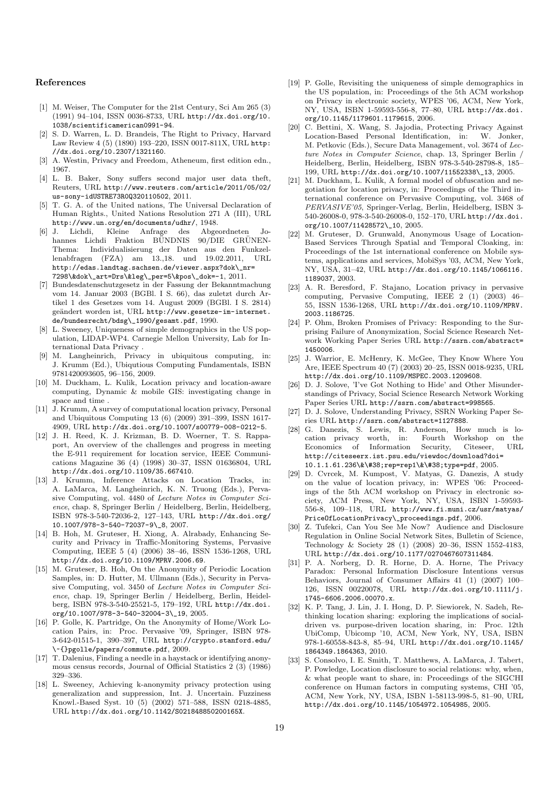#### References

- [1] M. Weiser, The Computer for the 21st Century, Sci Am 265 (3) (1991) 94–104, ISSN 0036-8733, URL http://dx.doi.org/10. 1038/scientificamerican0991-94.
- [2] S. D. Warren, L. D. Brandeis, The Right to Privacy, Harvard Law Review 4 (5) (1890) 193–220, ISSN 0017-811X, URL http: //dx.doi.org/10.2307/1321160.
- [3] A. Westin, Privacy and Freedom, Atheneum, first edition edn., 1967.
- [4] L. B. Baker, Sony suffers second major user data theft, Reuters, URL http://www.reuters.com/article/2011/05/02/ us-sony-idUSTRE73R0Q320110502, 2011.
- [5] T. G. A. of the United nations, The Universal Declaration of Human Rights., United Nations Resolution 271 A (III), URL http://www.un.org/en/documents/udhr/, 1948.
- Kleine Anfrage des Abgeordneten Johannes Lichdi Fraktion BÜNDNIS 90/DIE GRÜNEN-Thema: Individualisierung der Daten aus den Funkzellenabfragen (FZA) am 13.,18. und 19.02.2011, URL http://edas.landtag.sachsen.de/viewer.aspx?dok\\_nr= 7298\&dok\\_art=Drs\&leg\\_per=5\&pos\\_dok=-1, 2011.
- [7] Bundesdatenschutzgesetz in der Fassung der Bekanntmachung vom 14. Januar 2003 (BGBl. I S. 66), das zuletzt durch Artikel 1 des Gesetzes vom 14. August 2009 (BGBl. I S. 2814) geändert worden ist, URL  ${\tt http://www.gesetze-in-internet}.$ de/bundesrecht/bdsg\\_1990/gesamt.pdf, 1990.
- [8] L. Sweeney, Uniqueness of simple demographics in the US population, LIDAP-WP4. Carnegie Mellon University, Lab for International Data Privacy .
- [9] M. Langheinrich, Privacy in ubiquitous computing, in: J. Krumm (Ed.), Ubiqutious Computing Fundamentals, ISBN 9781420093605, 96–156, 2009.
- [10] M. Duckham, L. Kulik, Location privacy and location-aware computing, Dynamic & mobile GIS: investigating change in space and time .
- [11] J. Krumm, A survey of computational location privacy, Personal and Ubiquitous Computing 13 (6) (2009) 391–399, ISSN 1617- 4909, URL http://dx.doi.org/10.1007/s00779-008-0212-5.
- [12] J. H. Reed, K. J. Krizman, B. D. Woerner, T. S. Rappaport, An overview of the challenges and progress in meeting the E-911 requirement for location service, IEEE Communications Magazine 36 (4) (1998) 30–37, ISSN 01636804, URL http://dx.doi.org/10.1109/35.667410.
- [13] J. Krumm, Inference Attacks on Location Tracks, in: A. LaMarca, M. Langheinrich, K. N. Truong (Eds.), Pervasive Computing, vol. 4480 of Lecture Notes in Computer Science, chap. 8, Springer Berlin / Heidelberg, Berlin, Heidelberg, ISBN 978-3-540-72036-2, 127–143, URL http://dx.doi.org/ 10.1007/978-3-540-72037-9\\_8, 2007.
- [14] B. Hoh, M. Gruteser, H. Xiong, A. Alrabady, Enhancing Security and Privacy in Traffic-Monitoring Systems, Pervasive Computing, IEEE 5 (4) (2006) 38–46, ISSN 1536-1268, URL http://dx.doi.org/10.1109/MPRV.2006.69.
- [15] M. Gruteser, B. Hoh, On the Anonymity of Periodic Location Samples, in: D. Hutter, M. Ullmann (Eds.), Security in Pervasive Computing, vol. 3450 of Lecture Notes in Computer Science, chap. 19, Springer Berlin / Heidelberg, Berlin, Heidelberg, ISBN 978-3-540-25521-5, 179–192, URL http://dx.doi. org/10.1007/978-3-540-32004-3\\_19, 2005.
- [16] P. Golle, K. Partridge, On the Anonymity of Home/Work Location Pairs, in: Proc. Pervasive '09, Springer, ISBN 978- 3-642-01515-1, 390–397, URL http://crypto.stanford.edu/ \~{}pgolle/papers/commute.pdf, 2009.
- [17] T. Dalenius, Finding a needle in a haystack or identifying anonymous census records, Journal of Official Statistics 2 (3) (1986) 329–336.
- [18] L. Sweeney, Achieving k-anonymity privacy protection using generalization and suppression, Int. J. Uncertain. Fuzziness Knowl.-Based Syst. 10 (5) (2002) 571–588, ISSN 0218-4885, URL http://dx.doi.org/10.1142/S021848850200165X.
- [19] P. Golle, Revisiting the uniqueness of simple demographics in the US population, in: Proceedings of the 5th ACM workshop on Privacy in electronic society, WPES '06, ACM, New York, NY, USA, ISBN 1-59593-556-8, 77–80, URL http://dx.doi. org/10.1145/1179601.1179615, 2006.
- [20] C. Bettini, X. Wang, S. Jajodia, Protecting Privacy Against Location-Based Personal Identification, in: W. Jonker, M. Petkovic (Eds.), Secure Data Management, vol. 3674 of Lecture Notes in Computer Science, chap. 13, Springer Berlin / Heidelberg, Berlin, Heidelberg, ISBN 978-3-540-28798-8, 185– 199, URL http://dx.doi.org/10.1007/11552338\\_13, 2005.
- [21] M. Duckham, L. Kulik, A formal model of obfuscation and negotiation for location privacy, in: Proceedings of the Third international conference on Pervasive Computing, vol. 3468 of PERVASIVE'05, Springer-Verlag, Berlin, Heidelberg, ISBN 3- 540-26008-0, 978-3-540-26008-0, 152–170, URL http://dx.doi. org/10.1007/11428572\\_10, 2005.
- [22] M. Gruteser, D. Grunwald, Anonymous Usage of Location-Based Services Through Spatial and Temporal Cloaking, in: Proceedings of the 1st international conference on Mobile systems, applications and services, MobiSys '03, ACM, New York, NY, USA, 31–42, URL http://dx.doi.org/10.1145/1066116. 1189037, 2003.
- [23] A. R. Beresford, F. Stajano, Location privacy in pervasive computing, Pervasive Computing, IEEE 2 (1) (2003) 46– 55, ISSN 1536-1268, URL http://dx.doi.org/10.1109/MPRV. 2003.1186725.
- [24] P. Ohm, Broken Promises of Privacy: Responding to the Surprising Failure of Anonymization, Social Science Research Network Working Paper Series URL http://ssrn.com/abstract= 1450006.
- [25] J. Warrior, E. McHenry, K. McGee, They Know Where You Are, IEEE Spectrum 40 (7) (2003) 20–25, ISSN 0018-9235, URL http://dx.doi.org/10.1109/MSPEC.2003.1209608.
- [26] D. J. Solove, 'I've Got Nothing to Hide' and Other Misunderstandings of Privacy, Social Science Research Network Working Paper Series URL http://ssrn.com/abstract=998565.
- [27] D. J. Solove, Understanding Privacy, SSRN Working Paper Series URL http://ssrn.com/abstract=1127888.
- [28] G. Danezis, S. Lewis, R. Anderson, How much is location privacy worth, in: Fourth Workshop on the Economics of Information Security, Citeseer, URL Economics of Information Security, Citeseer, URL http://citeseerx.ist.psu.edu/viewdoc/download?doi= 10.1.1.61.236\&\#38;rep=rep1\&\#38;type=pdf, 2005.
- [29] D. Cvrcek, M. Kumpost, V. Matyas, G. Danezis, A study on the value of location privacy, in: WPES '06: Proceedings of the 5th ACM workshop on Privacy in electronic society, ACM Press, New York, NY, USA, ISBN 1-59593- 556-8, 109–118, URL http://www.fi.muni.cz/usr/matyas/ PriceOfLocationPrivacy\\_proceedings.pdf, 2006.
- [30] Z. Tufekci, Can You See Me Now? Audience and Disclosure Regulation in Online Social Network Sites, Bulletin of Science, Technology & Society 28 (1) (2008) 20–36, ISSN 1552-4183, URL http://dx.doi.org/10.1177/0270467607311484.
- [31] P. A. Norberg, D. R. Horne, D. A. Horne, The Privacy Paradox: Personal Information Disclosure Intentions versus Behaviors, Journal of Consumer Affairs 41 (1) (2007) 100– 126, ISSN 00220078, URL http://dx.doi.org/10.1111/j. 1745-6606.2006.00070.x.
- [32] K. P. Tang, J. Lin, J. I. Hong, D. P. Siewiorek, N. Sadeh, Rethinking location sharing: exploring the implications of socialdriven vs. purpose-driven location sharing, in: Proc. 12th UbiComp, Ubicomp '10, ACM, New York, NY, USA, ISBN 978-1-60558-843-8, 85–94, URL http://dx.doi.org/10.1145/ 1864349.1864363, 2010.
- [33] S. Consolvo, I. E. Smith, T. Matthews, A. LaMarca, J. Tabert, P. Powledge, Location disclosure to social relations: why, when, & what people want to share, in: Proceedings of the SIGCHI conference on Human factors in computing systems, CHI '05, ACM, New York, NY, USA, ISBN 1-58113-998-5, 81–90, URL http://dx.doi.org/10.1145/1054972.1054985, 2005.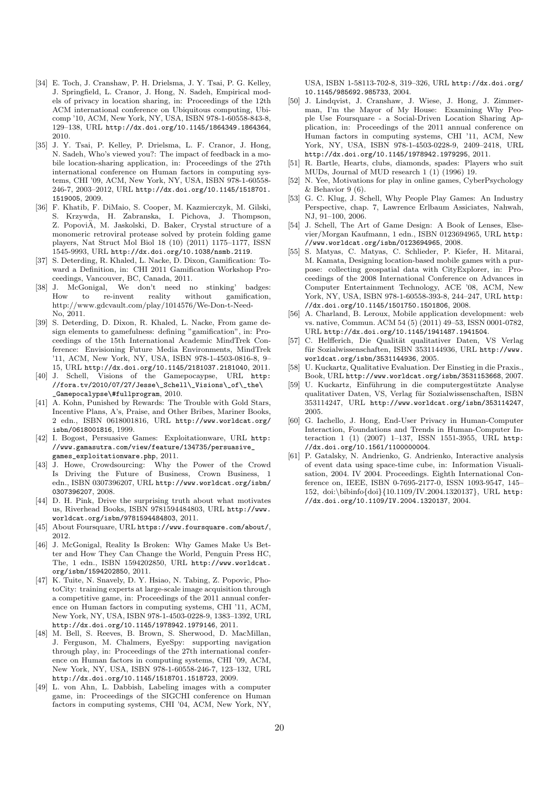- [34] E. Toch, J. Cranshaw, P. H. Drielsma, J. Y. Tsai, P. G. Kelley, J. Springfield, L. Cranor, J. Hong, N. Sadeh, Empirical models of privacy in location sharing, in: Proceedings of the 12th ACM international conference on Ubiquitous computing, Ubicomp '10, ACM, New York, NY, USA, ISBN 978-1-60558-843-8, 129–138, URL http://dx.doi.org/10.1145/1864349.1864364, 2010.
- [35] J. Y. Tsai, P. Kelley, P. Drielsma, L. F. Cranor, J. Hong, N. Sadeh, Who's viewed you?: The impact of feedback in a mobile location-sharing application, in: Proceedings of the 27th international conference on Human factors in computing systems, CHI '09, ACM, New York, NY, USA, ISBN 978-1-60558- 246-7, 2003–2012, URL http://dx.doi.org/10.1145/1518701. 1519005, 2009.
- [36] F. Khatib, F. DiMaio, S. Cooper, M. Kazmierczyk, M. Gilski, S. Krzywda, H. Zabranska, I. Pichova, J. Thompson, Z. Popovi $\ddot{A}$ , M. Jaskolski, D. Baker, Crystal structure of a monomeric retroviral protease solved by protein folding game players, Nat Struct Mol Biol 18 (10) (2011) 1175–1177, ISSN 1545-9993, URL http://dx.doi.org/10.1038/nsmb.2119.
- [37] S. Deterding, R. Khaled, L. Nacke, D. Dixon, Gamification: Toward a Definition, in: CHI 2011 Gamification Workshop Proceedings, Vancouver, BC, Canada, 2011.
- [38] J. McGonigal, We don't need no stinking' badges: How to re-invent reality without gamification, http://www.gdcvault.com/play/1014576/We-Don-t-Need-No, 2011.
- [39] S. Deterding, D. Dixon, R. Khaled, L. Nacke, From game design elements to gamefulness: defining "gamification", in: Proceedings of the 15th International Academic MindTrek Conference: Envisioning Future Media Environments, MindTrek '11, ACM, New York, NY, USA, ISBN 978-1-4503-0816-8, 9– 15, URL http://dx.doi.org/10.1145/2181037.2181040, 2011.
- [40] J. Schell, Visions of the Gamepocaypse, URL http:  $// for a.tv/2010/07/27/Jesse\_Schell\_\Visions\_of\_\the\$ \_Gamepocalypse\#fullprogram, 2010.
- [41] A. Kohn, Punished by Rewards: The Trouble with Gold Stars, Incentive Plans, A's, Praise, and Other Bribes, Mariner Books, 2 edn., ISBN 0618001816, URL http://www.worldcat.org/ isbn/0618001816, 1999.
- [42] I. Bogost, Persuasive Games: Exploitationware, URL http: //www.gamasutra.com/view/feature/134735/persuasive\_
- games\_exploitationware.php, 2011.<br>[43] J. Howe, Crowdsourcing: Why t Why the Power of the Crowd Is Driving the Future of Business, Crown Business, 1 edn., ISBN 0307396207, URL http://www.worldcat.org/isbn/ 0307396207, 2008.
- [44] D. H. Pink, Drive the surprising truth about what motivates us, Riverhead Books, ISBN 9781594484803, URL http://www. worldcat.org/isbn/9781594484803, 2011.
- [45] About Foursquare, URL https://www.foursquare.com/about/, 2012.
- [46] J. McGonigal, Reality Is Broken: Why Games Make Us Better and How They Can Change the World, Penguin Press HC, The, 1 edn., ISBN 1594202850, URL http://www.worldcat. org/isbn/1594202850, 2011.
- [47] K. Tuite, N. Snavely, D. Y. Hsiao, N. Tabing, Z. Popovic, PhotoCity: training experts at large-scale image acquisition through a competitive game, in: Proceedings of the 2011 annual conference on Human factors in computing systems, CHI '11, ACM, New York, NY, USA, ISBN 978-1-4503-0228-9, 1383–1392, URL http://dx.doi.org/10.1145/1978942.1979146, 2011.
- [48] M. Bell, S. Reeves, B. Brown, S. Sherwood, D. MacMillan, J. Ferguson, M. Chalmers, EyeSpy: supporting navigation through play, in: Proceedings of the 27th international conference on Human factors in computing systems, CHI '09, ACM, New York, NY, USA, ISBN 978-1-60558-246-7, 123–132, URL http://dx.doi.org/10.1145/1518701.1518723, 2009.
- [49] L. von Ahn, L. Dabbish, Labeling images with a computer game, in: Proceedings of the SIGCHI conference on Human factors in computing systems, CHI '04, ACM, New York, NY,

USA, ISBN 1-58113-702-8, 319–326, URL http://dx.doi.org/ 10.1145/985692.985733, 2004.

- [50] J. Lindqvist, J. Cranshaw, J. Wiese, J. Hong, J. Zimmerman, I'm the Mayor of My House: Examining Why People Use Foursquare - a Social-Driven Location Sharing Application, in: Proceedings of the 2011 annual conference on Human factors in computing systems, CHI '11, ACM, New York, NY, USA, ISBN 978-1-4503-0228-9, 2409–2418, URL http://dx.doi.org/10.1145/1978942.1979295, 2011.
- [51] R. Bartle, Hearts, clubs, diamonds, spades: Players who suit MUDs, Journal of MUD research 1 (1) (1996) 19.
- [52] N. Yee, Motivations for play in online games, CyberPsychology  $&$  Behavior 9 (6).
- [53] G. C. Klug, J. Schell, Why People Play Games: An Industry Perspective, chap. 7, Lawrence Erlbaum Assiciates, Nahwah, NJ, 91–100, 2006.
- [54] J. Schell, The Art of Game Design: A Book of Lenses, Elsevier/Morgan Kaufmann, 1 edn., ISBN 0123694965, URL http: //www.worldcat.org/isbn/0123694965, 2008.
- [55] S. Matyas, C. Matyas, C. Schlieder, P. Kiefer, H. Mitarai, M. Kamata, Designing location-based mobile games with a purpose: collecting geospatial data with CityExplorer, in: Proceedings of the 2008 International Conference on Advances in Computer Entertainment Technology, ACE '08, ACM, New York, NY, USA, ISBN 978-1-60558-393-8, 244–247, URL http: //dx.doi.org/10.1145/1501750.1501806, 2008.
- [56] A. Charland, B. Leroux, Mobile application development: web vs. native, Commun. ACM 54 (5) (2011) 49–53, ISSN 0001-0782, URL http://dx.doi.org/10.1145/1941487.1941504.
- [57] C. Helfferich, Die Qualität qualitativer Daten, VS Verlag für Sozialwissenschaften, ISBN 3531144936, URL http://www. worldcat.org/isbn/3531144936, 2005.
- [58] U. Kuckartz, Qualitative Evaluation. Der Einstieg in die Praxis., Book, URL http://www.worldcat.org/isbn/3531153668, 2007.
- [59] U. Kuckartz, Einführung in die computergestützte Analyse qualitativer Daten, VS, Verlag für Sozialwissenschaften, ISBN 353114247, URL http://www.worldcat.org/isbn/353114247, 2005.
- [60] G. Iachello, J. Hong, End-User Privacy in Human-Computer Interaction, Foundations and Trends in Human-Computer Interaction 1 (1) (2007) 1–137, ISSN 1551-3955, URL http: //dx.doi.org/10.1561/1100000004.
- [61] P. Gatalsky, N. Andrienko, G. Andrienko, Interactive analysis of event data using space-time cube, in: Information Visualisation, 2004. IV 2004. Proceedings. Eighth International Conference on, IEEE, ISBN 0-7695-2177-0, ISSN 1093-9547, 145– 152, doi:\bibinfo{doi}{10.1109/IV.2004.1320137}, URL http: //dx.doi.org/10.1109/IV.2004.1320137, 2004.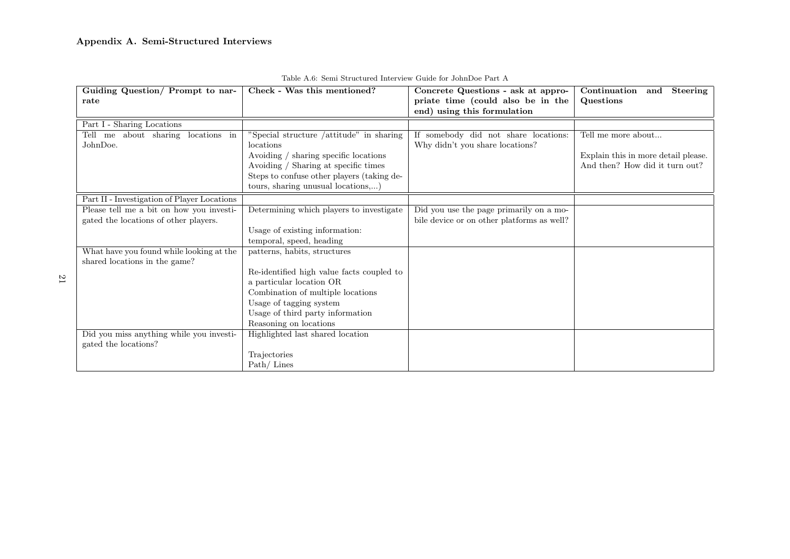## Appendix A. Semi-Structured Interviews

| Guiding Question/ Prompt to nar-            | Check - Was this mentioned?                | Concrete Questions - ask at appro-         | Continuation<br>Steering<br>and     |
|---------------------------------------------|--------------------------------------------|--------------------------------------------|-------------------------------------|
| rate                                        |                                            | priate time (could also be in the          | Questions                           |
|                                             |                                            | end) using this formulation                |                                     |
| Part I - Sharing Locations                  |                                            |                                            |                                     |
| Tell me about sharing locations in          | "Special structure /attitude" in sharing   | If somebody did not share locations:       | Tell me more about                  |
| JohnDoe.                                    | locations                                  | Why didn't you share locations?            |                                     |
|                                             | Avoiding / sharing specific locations      |                                            | Explain this in more detail please. |
|                                             | Avoiding / Sharing at specific times       |                                            | And then? How did it turn out?      |
|                                             | Steps to confuse other players (taking de- |                                            |                                     |
|                                             | tours, sharing unusual locations,)         |                                            |                                     |
| Part II - Investigation of Player Locations |                                            |                                            |                                     |
| Please tell me a bit on how you investi-    | Determining which players to investigate   | Did you use the page primarily on a mo-    |                                     |
| gated the locations of other players.       |                                            | bile device or on other platforms as well? |                                     |
|                                             | Usage of existing information:             |                                            |                                     |
|                                             | temporal, speed, heading                   |                                            |                                     |
| What have you found while looking at the    | patterns, habits, structures               |                                            |                                     |
| shared locations in the game?               |                                            |                                            |                                     |
|                                             | Re-identified high value facts coupled to  |                                            |                                     |
|                                             | a particular location OR                   |                                            |                                     |
|                                             | Combination of multiple locations          |                                            |                                     |
|                                             | Usage of tagging system                    |                                            |                                     |
|                                             | Usage of third party information           |                                            |                                     |
|                                             | Reasoning on locations                     |                                            |                                     |
| Did you miss anything while you investi-    | Highlighted last shared location           |                                            |                                     |
| gated the locations?                        |                                            |                                            |                                     |
|                                             | Trajectories                               |                                            |                                     |
|                                             | Path/Lines                                 |                                            |                                     |

|  |  | Table A.6: Semi Structured Interview Guide for JohnDoe Part A |  |  |  |
|--|--|---------------------------------------------------------------|--|--|--|
|--|--|---------------------------------------------------------------|--|--|--|

21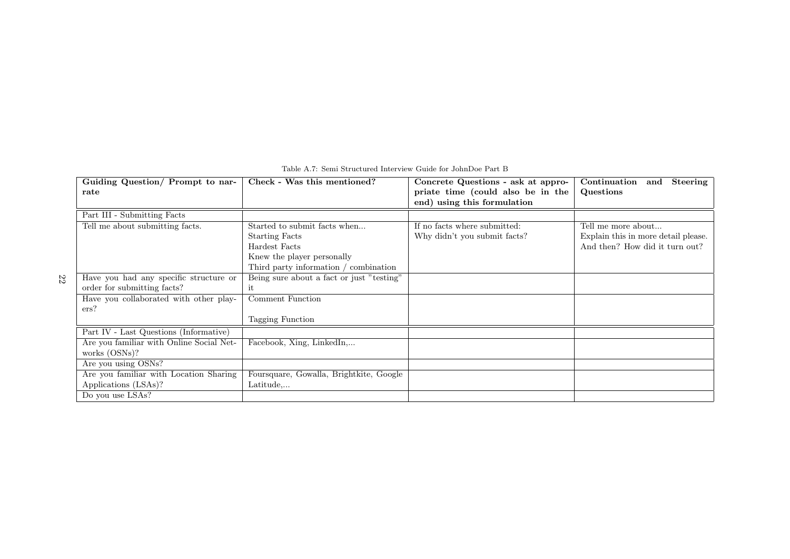| Guiding Question/ Prompt to nar-         | Check - Was this mentioned?               | Concrete Questions - ask at appro- | Continuation<br>Steering<br>and     |
|------------------------------------------|-------------------------------------------|------------------------------------|-------------------------------------|
| rate                                     |                                           | priate time (could also be in the  | Questions                           |
|                                          |                                           | end) using this formulation        |                                     |
| Part III - Submitting Facts              |                                           |                                    |                                     |
| Tell me about submitting facts.          | Started to submit facts when              | If no facts where submitted:       | Tell me more about                  |
|                                          | <b>Starting Facts</b>                     | Why didn't you submit facts?       | Explain this in more detail please. |
|                                          | Hardest Facts                             |                                    | And then? How did it turn out?      |
|                                          | Knew the player personally                |                                    |                                     |
|                                          | Third party information / combination     |                                    |                                     |
| Have you had any specific structure or   | Being sure about a fact or just "testing" |                                    |                                     |
| order for submitting facts?              | it                                        |                                    |                                     |
| Have you collaborated with other play-   | Comment Function                          |                                    |                                     |
| ers?                                     |                                           |                                    |                                     |
|                                          | Tagging Function                          |                                    |                                     |
| Part IV - Last Questions (Informative)   |                                           |                                    |                                     |
| Are you familiar with Online Social Net- | Facebook, Xing, LinkedIn,                 |                                    |                                     |
| works $(OSNs)$ ?                         |                                           |                                    |                                     |
| Are you using OSNs?                      |                                           |                                    |                                     |
| Are you familiar with Location Sharing   | Foursquare, Gowalla, Brightkite, Google   |                                    |                                     |
| Applications (LSAs)?                     | Latitude                                  |                                    |                                     |
| Do you use LSAs?                         |                                           |                                    |                                     |

Table A.7: Semi Structured Interview Guide for JohnDoe Part B

22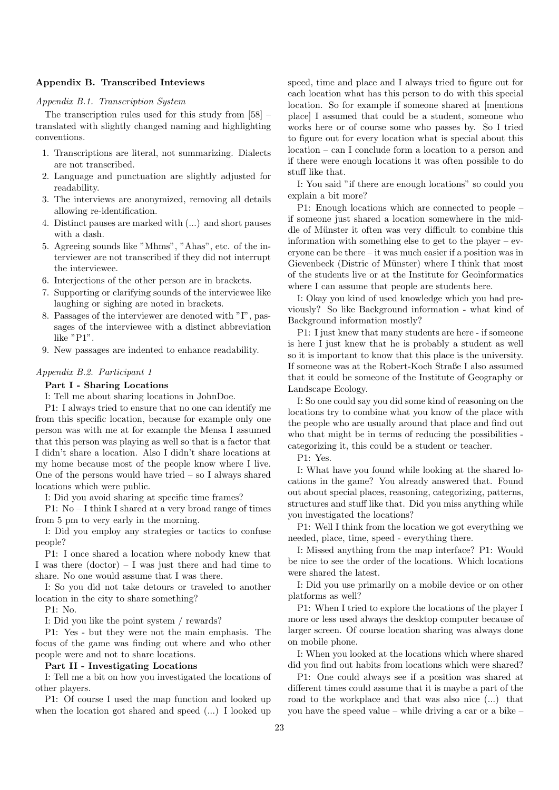## Appendix B. Transcribed Inteviews

## Appendix B.1. Transcription System

The transcription rules used for this study from [58] – translated with slightly changed naming and highlighting conventions.

- 1. Transcriptions are literal, not summarizing. Dialects are not transcribed.
- 2. Language and punctuation are slightly adjusted for readability.
- 3. The interviews are anonymized, removing all details allowing re-identification.
- 4. Distinct pauses are marked with (...) and short pauses with a dash.
- 5. Agreeing sounds like "Mhms", "Ahas", etc. of the interviewer are not transcribed if they did not interrupt the interviewee.
- 6. Interjections of the other person are in brackets.
- 7. Supporting or clarifying sounds of the interviewee like laughing or sighing are noted in brackets.
- 8. Passages of the interviewer are denoted with "I", passages of the interviewee with a distinct abbreviation like "P1".
- 9. New passages are indented to enhance readability.

## Appendix B.2. Participant 1

## Part I - Sharing Locations

I: Tell me about sharing locations in JohnDoe.

P1: I always tried to ensure that no one can identify me from this specific location, because for example only one person was with me at for example the Mensa I assumed that this person was playing as well so that is a factor that I didn't share a location. Also I didn't share locations at my home because most of the people know where I live. One of the persons would have tried  $-$  so I always shared locations which were public.

I: Did you avoid sharing at specific time frames?

P1: No – I think I shared at a very broad range of times from 5 pm to very early in the morning.

I: Did you employ any strategies or tactics to confuse people?

P1: I once shared a location where nobody knew that I was there  $(dofor) - I$  was just there and had time to share. No one would assume that I was there.

I: So you did not take detours or traveled to another location in the city to share something?

P1: No.

I: Did you like the point system / rewards?

P1: Yes - but they were not the main emphasis. The focus of the game was finding out where and who other people were and not to share locations.

#### Part II - Investigating Locations

I: Tell me a bit on how you investigated the locations of other players.

P1: Of course I used the map function and looked up when the location got shared and speed (...) I looked up

speed, time and place and I always tried to figure out for each location what has this person to do with this special location. So for example if someone shared at [mentions place] I assumed that could be a student, someone who works here or of course some who passes by. So I tried to figure out for every location what is special about this location – can I conclude form a location to a person and if there were enough locations it was often possible to do stuff like that.

I: You said "if there are enough locations" so could you explain a bit more?

P1: Enough locations which are connected to people – if someone just shared a location somewhere in the middle of Münster it often was very difficult to combine this information with something else to get to the player –  $ev$ eryone can be there – it was much easier if a position was in Gievenbeck (Distric of Münster) where I think that most of the students live or at the Institute for Geoinformatics where I can assume that people are students here.

I: Okay you kind of used knowledge which you had previously? So like Background information - what kind of Background information mostly?

P1: I just knew that many students are here - if someone is here I just knew that he is probably a student as well so it is important to know that this place is the university. If someone was at the Robert-Koch Straße I also assumed that it could be someone of the Institute of Geography or Landscape Ecology.

I: So one could say you did some kind of reasoning on the locations try to combine what you know of the place with the people who are usually around that place and find out who that might be in terms of reducing the possibilities categorizing it, this could be a student or teacher.

P1: Yes.

I: What have you found while looking at the shared locations in the game? You already answered that. Found out about special places, reasoning, categorizing, patterns, structures and stuff like that. Did you miss anything while you investigated the locations?

P1: Well I think from the location we got everything we needed, place, time, speed - everything there.

I: Missed anything from the map interface? P1: Would be nice to see the order of the locations. Which locations were shared the latest.

I: Did you use primarily on a mobile device or on other platforms as well?

P1: When I tried to explore the locations of the player I more or less used always the desktop computer because of larger screen. Of course location sharing was always done on mobile phone.

I: When you looked at the locations which where shared did you find out habits from locations which were shared?

P1: One could always see if a position was shared at different times could assume that it is maybe a part of the road to the workplace and that was also nice (...) that you have the speed value – while driving a car or a bike –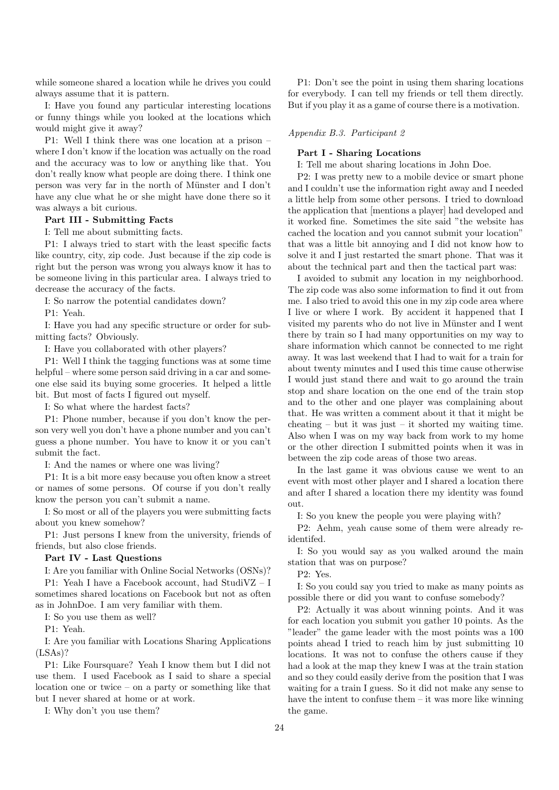while someone shared a location while he drives you could always assume that it is pattern.

I: Have you found any particular interesting locations or funny things while you looked at the locations which would might give it away?

P1: Well I think there was one location at a prison – where I don't know if the location was actually on the road and the accuracy was to low or anything like that. You don't really know what people are doing there. I think one person was very far in the north of Münster and I don't have any clue what he or she might have done there so it was always a bit curious.

## Part III - Submitting Facts

I: Tell me about submitting facts.

P1: I always tried to start with the least specific facts like country, city, zip code. Just because if the zip code is right but the person was wrong you always know it has to be someone living in this particular area. I always tried to decrease the accuracy of the facts.

I: So narrow the potential candidates down?

P1: Yeah.

I: Have you had any specific structure or order for submitting facts? Obviously.

I: Have you collaborated with other players?

P1: Well I think the tagging functions was at some time helpful – where some person said driving in a car and someone else said its buying some groceries. It helped a little bit. But most of facts I figured out myself.

I: So what where the hardest facts?

P1: Phone number, because if you don't know the person very well you don't have a phone number and you can't guess a phone number. You have to know it or you can't submit the fact.

I: And the names or where one was living?

P1: It is a bit more easy because you often know a street or names of some persons. Of course if you don't really know the person you can't submit a name.

I: So most or all of the players you were submitting facts about you knew somehow?

P1: Just persons I knew from the university, friends of friends, but also close friends.

## Part IV - Last Questions

I: Are you familiar with Online Social Networks (OSNs)?

P1: Yeah I have a Facebook account, had StudiVZ – I sometimes shared locations on Facebook but not as often as in JohnDoe. I am very familiar with them.

I: So you use them as well?

P1: Yeah.

I: Are you familiar with Locations Sharing Applications (LSAs)?

P1: Like Foursquare? Yeah I know them but I did not use them. I used Facebook as I said to share a special location one or twice – on a party or something like that but I never shared at home or at work.

I: Why don't you use them?

P1: Don't see the point in using them sharing locations for everybody. I can tell my friends or tell them directly. But if you play it as a game of course there is a motivation.

## Appendix B.3. Participant 2

## Part I - Sharing Locations

I: Tell me about sharing locations in John Doe.

P2: I was pretty new to a mobile device or smart phone and I couldn't use the information right away and I needed a little help from some other persons. I tried to download the application that [mentions a player] had developed and it worked fine. Sometimes the site said "the website has cached the location and you cannot submit your location" that was a little bit annoying and I did not know how to solve it and I just restarted the smart phone. That was it about the technical part and then the tactical part was:

I avoided to submit any location in my neighborhood. The zip code was also some information to find it out from me. I also tried to avoid this one in my zip code area where I live or where I work. By accident it happened that I visited my parents who do not live in Münster and I went there by train so I had many opportunities on my way to share information which cannot be connected to me right away. It was last weekend that I had to wait for a train for about twenty minutes and I used this time cause otherwise I would just stand there and wait to go around the train stop and share location on the one end of the train stop and to the other and one player was complaining about that. He was written a comment about it that it might be cheating – but it was just – it shorted my waiting time. Also when I was on my way back from work to my home or the other direction I submitted points when it was in between the zip code areas of those two areas.

In the last game it was obvious cause we went to an event with most other player and I shared a location there and after I shared a location there my identity was found out.

I: So you knew the people you were playing with?

P2: Aehm, yeah cause some of them were already reidentifed.

I: So you would say as you walked around the main station that was on purpose?

P2: Yes.

I: So you could say you tried to make as many points as possible there or did you want to confuse somebody?

P2: Actually it was about winning points. And it was for each location you submit you gather 10 points. As the "leader" the game leader with the most points was a 100 points ahead I tried to reach him by just submitting 10 locations. It was not to confuse the others cause if they had a look at the map they knew I was at the train station and so they could easily derive from the position that I was waiting for a train I guess. So it did not make any sense to have the intent to confuse them  $-$  it was more like winning the game.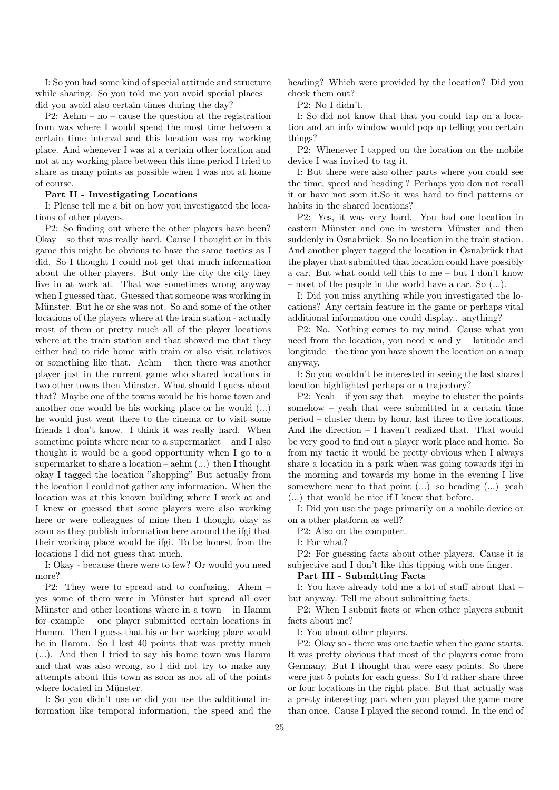I: So you had some kind of special attitude and structure while sharing. So you told me you avoid special places did you avoid also certain times during the day?

P2: Aehm – no – cause the question at the registration from was where I would spend the most time between a certain time interval and this location was my working place. And whenever I was at a certain other location and not at my working place between this time period I tried to share as many points as possible when I was not at home of course.

#### Part II - Investigating Locations

I: Please tell me a bit on how you investigated the locations of other players.

P2: So finding out where the other players have been? Okay – so that was really hard. Cause I thought or in this game this might be obvious to have the same tactics as I did. So I thought I could not get that much information about the other players. But only the city the city they live in at work at. That was sometimes wrong anyway when I guessed that. Guessed that someone was working in Münster. But he or she was not. So and some of the other locations of the players where at the train station - actually most of them or pretty much all of the player locations where at the train station and that showed me that they either had to ride home with train or also visit relatives or something like that. Aehm – then there was another player just in the current game who shared locations in two other towns then Münster. What should I guess about that? Maybe one of the towns would be his home town and another one would be his working place or he would (...) he would just went there to the cinema or to visit some friends I don't know. I think it was really hard. When sometime points where near to a supermarket – and I also thought it would be a good opportunity when I go to a supermarket to share a location – aehm (...) then I thought okay I tagged the location "shopping" But actually from the location I could not gather any information. When the location was at this known building where I work at and I knew or guessed that some players were also working here or were colleagues of mine then I thought okay as soon as they publish information here around the ifgi that their working place would be ifgi. To be honest from the locations I did not guess that much.

I: Okay - because there were to few? Or would you need more?

P2: They were to spread and to confusing. Ahem – yes some of them were in Münster but spread all over Münster and other locations where in a town – in Hamm for example – one player submitted certain locations in Hamm. Then I guess that his or her working place would be in Hamm. So I lost 40 points that was pretty much (...). And then I tried to say his home town was Hamm and that was also wrong, so I did not try to make any attempts about this town as soon as not all of the points where located in Münster.

I: So you didn't use or did you use the additional information like temporal information, the speed and the heading? Which were provided by the location? Did you check them out?

P2: No I didn't.

I: So did not know that that you could tap on a location and an info window would pop up telling you certain things?

P2: Whenever I tapped on the location on the mobile device I was invited to tag it.

I: But there were also other parts where you could see the time, speed and heading ? Perhaps you don not recall it or have not seen it.So it was hard to find patterns or habits in the shared locations?

P2: Yes, it was very hard. You had one location in eastern Münster and one in western Münster and then suddenly in Osnabrück. So no location in the train station. And another player tagged the location in Osnabrück that the player that submitted that location could have possibly a car. But what could tell this to me – but I don't know – most of the people in the world have a car. So (...).

I: Did you miss anything while you investigated the locations? Any certain feature in the game or perhaps vital additional information one could display.. anything?

P2: No. Nothing comes to my mind. Cause what you need from the location, you need x and y – latitude and longitude – the time you have shown the location on a map anyway.

I: So you wouldn't be interested in seeing the last shared location highlighted perhaps or a trajectory?

P2: Yeah – if you say that – maybe to cluster the points somehow – yeah that were submitted in a certain time period – cluster them by hour, last three to five locations. And the direction – I haven't realized that. That would be very good to find out a player work place and home. So from my tactic it would be pretty obvious when I always share a location in a park when was going towards ifgi in the morning and towards my home in the evening I live somewhere near to that point (...) so heading (...) yeah (...) that would be nice if I knew that before.

I: Did you use the page primarily on a mobile device or on a other platform as well?

P2: Also on the computer.

I: For what?

P2: For guessing facts about other players. Cause it is subjective and I don't like this tipping with one finger.

## Part III - Submitting Facts

I: You have already told me a lot of stuff about that – but anyway. Tell me about submitting facts.

P2: When I submit facts or when other players submit facts about me?

I: You about other players.

P2: Okay so - there was one tactic when the game starts. It was pretty obvious that most of the players come from Germany. But I thought that were easy points. So there were just 5 points for each guess. So I'd rather share three or four locations in the right place. But that actually was a pretty interesting part when you played the game more than once. Cause I played the second round. In the end of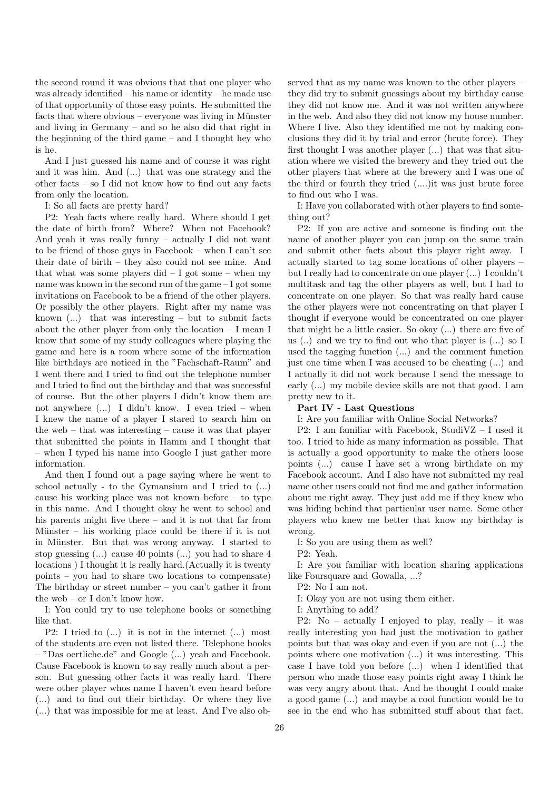the second round it was obvious that that one player who was already identified – his name or identity – he made use of that opportunity of those easy points. He submitted the facts that where obvious – everyone was living in Münster and living in Germany – and so he also did that right in the beginning of the third game – and I thought hey who is he.

And I just guessed his name and of course it was right and it was him. And (...) that was one strategy and the other facts – so I did not know how to find out any facts from only the location.

I: So all facts are pretty hard?

P2: Yeah facts where really hard. Where should I get the date of birth from? Where? When not Facebook? And yeah it was really funny – actually I did not want to be friend of those guys in Facebook – when I can't see their date of birth – they also could not see mine. And that what was some players did  $-$  I got some  $-$  when my name was known in the second run of the game – I got some invitations on Facebook to be a friend of the other players. Or possibly the other players. Right after my name was known  $(...)$  that was interesting – but to submit facts about the other player from only the location – I mean I know that some of my study colleagues where playing the game and here is a room where some of the information like birthdays are noticed in the "Fachschaft-Raum" and I went there and I tried to find out the telephone number and I tried to find out the birthday and that was successful of course. But the other players I didn't know them are not anywhere (...) I didn't know. I even tried – when I knew the name of a player I stared to search him on the web – that was interesting – cause it was that player that submitted the points in Hamm and I thought that – when I typed his name into Google I just gather more information.

And then I found out a page saying where he went to school actually - to the Gymansium and I tried to (...) cause his working place was not known before – to type in this name. And I thought okay he went to school and his parents might live there – and it is not that far from Münster – his working place could be there if it is not in Münster. But that was wrong anyway. I started to stop guessing (...) cause 40 points (...) you had to share 4 locations ) I thought it is really hard.(Actually it is twenty points – you had to share two locations to compensate) The birthday or street number – you can't gather it from the web – or I don't know how.

I: You could try to use telephone books or something like that.

P2: I tried to (...) it is not in the internet (...) most of the students are even not listed there. Telephone books – "Das oertliche.de" and Google (...) yeah and Facebook. Cause Facebook is known to say really much about a person. But guessing other facts it was really hard. There were other player whos name I haven't even heard before (...) and to find out their birthday. Or where they live (...) that was impossible for me at least. And I've also ob-

served that as my name was known to the other players – they did try to submit guessings about my birthday cause they did not know me. And it was not written anywhere in the web. And also they did not know my house number. Where I live. Also they identified me not by making conclusions they did it by trial and error (brute force). They first thought I was another player (...) that was that situation where we visited the brewery and they tried out the other players that where at the brewery and I was one of the third or fourth they tried (....)it was just brute force to find out who I was.

I: Have you collaborated with other players to find something out?

P2: If you are active and someone is finding out the name of another player you can jump on the same train and submit other facts about this player right away. I actually started to tag some locations of other players – but I really had to concentrate on one player (...) I couldn't multitask and tag the other players as well, but I had to concentrate on one player. So that was really hard cause the other players were not concentrating on that player I thought if everyone would be concentrated on one player that might be a little easier. So okay (...) there are five of us (..) and we try to find out who that player is (...) so I used the tagging function (...) and the comment function just one time when I was accused to be cheating (...) and I actually it did not work because I send the message to early (...) my mobile device skills are not that good. I am pretty new to it.

## Part IV - Last Questions

I: Are you familiar with Online Social Networks?

P2: I am familiar with Facebook, StudiVZ – I used it too. I tried to hide as many information as possible. That is actually a good opportunity to make the others loose points (...) cause I have set a wrong birthdate on my Facebook account. And I also have not submitted my real name other users could not find me and gather information about me right away. They just add me if they knew who was hiding behind that particular user name. Some other players who knew me better that know my birthday is wrong.

I: So you are using them as well?

P2: Yeah.

I: Are you familiar with location sharing applications like Foursquare and Gowalla, ...?

P2: No I am not.

I: Okay you are not using them either.

I: Anything to add?

P2: No – actually I enjoyed to play, really – it was really interesting you had just the motivation to gather points but that was okay and even if you are not (...) the points where one motivation (...) it was interesting. This case I have told you before (...) when I identified that person who made those easy points right away I think he was very angry about that. And he thought I could make a good game (...) and maybe a cool function would be to see in the end who has submitted stuff about that fact.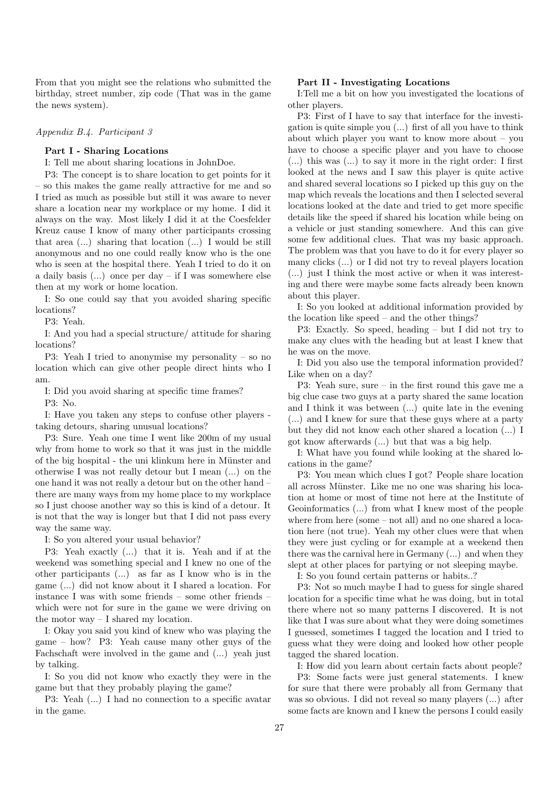From that you might see the relations who submitted the birthday, street number, zip code (That was in the game the news system).

Appendix B.4. Participant 3

## Part I - Sharing Locations

I: Tell me about sharing locations in JohnDoe.

P3: The concept is to share location to get points for it – so this makes the game really attractive for me and so I tried as much as possible but still it was aware to never share a location near my workplace or my home. I did it always on the way. Most likely I did it at the Coesfelder Kreuz cause I know of many other participants crossing that area (...) sharing that location (...) I would be still anonymous and no one could really know who is the one who is seen at the hospital there. Yeah I tried to do it on a daily basis (...) once per day – if I was somewhere else then at my work or home location.

I: So one could say that you avoided sharing specific locations?

P3: Yeah.

I: And you had a special structure/ attitude for sharing locations?

P3: Yeah I tried to anonymise my personality – so no location which can give other people direct hints who I am.

I: Did you avoid sharing at specific time frames?

P3: No.

I: Have you taken any steps to confuse other players taking detours, sharing unusual locations?

P3: Sure. Yeah one time I went like 200m of my usual why from home to work so that it was just in the middle of the big hospital - the uni klinkum here in Münster and otherwise I was not really detour but I mean (...) on the one hand it was not really a detour but on the other hand – there are many ways from my home place to my workplace so I just choose another way so this is kind of a detour. It is not that the way is longer but that I did not pass every way the same way.

I: So you altered your usual behavior?

P3: Yeah exactly (...) that it is. Yeah and if at the weekend was something special and I knew no one of the other participants (...) as far as I know who is in the game (...) did not know about it I shared a location. For instance I was with some friends – some other friends – which were not for sure in the game we were driving on the motor way  $-$  I shared my location.

I: Okay you said you kind of knew who was playing the game – how? P3: Yeah cause many other guys of the Fachschaft were involved in the game and (...) yeah just by talking.

I: So you did not know who exactly they were in the game but that they probably playing the game?

P3: Yeah (...) I had no connection to a specific avatar in the game.

#### Part II - Investigating Locations

I:Tell me a bit on how you investigated the locations of other players.

P3: First of I have to say that interface for the investigation is quite simple you (...) first of all you have to think about which player you want to know more about – you have to choose a specific player and you have to choose (...) this was (...) to say it more in the right order: I first looked at the news and I saw this player is quite active and shared several locations so I picked up this guy on the map which reveals the locations and then I selected several locations looked at the date and tried to get more specific details like the speed if shared his location while being on a vehicle or just standing somewhere. And this can give some few additional clues. That was my basic approach. The problem was that you have to do it for every player so many clicks (...) or I did not try to reveal players location (...) just I think the most active or when it was interesting and there were maybe some facts already been known about this player.

I: So you looked at additional information provided by the location like speed – and the other things?

P3: Exactly. So speed, heading – but I did not try to make any clues with the heading but at least I knew that he was on the move.

I: Did you also use the temporal information provided? Like when on a day?

P3: Yeah sure, sure – in the first round this gave me a big clue case two guys at a party shared the same location and I think it was between (...) quite late in the evening (...) and I knew for sure that these guys where at a party but they did not know each other shared a location (...) I got know afterwards (...) but that was a big help.

I: What have you found while looking at the shared locations in the game?

P3: You mean which clues I got? People share location all across Münster. Like me no one was sharing his location at home or most of time not here at the Institute of Geoinformatics (...) from what I knew most of the people where from here (some – not all) and no one shared a location here (not true). Yeah my other clues were that when they were just cycling or for example at a weekend then there was the carnival here in Germany (...) and when they slept at other places for partying or not sleeping maybe.

I: So you found certain patterns or habits..?

P3: Not so much maybe I had to guess for single shared location for a specific time what he was doing, but in total there where not so many patterns I discovered. It is not like that I was sure about what they were doing sometimes I guessed, sometimes I tagged the location and I tried to guess what they were doing and looked how other people tagged the shared location.

I: How did you learn about certain facts about people?

P3: Some facts were just general statements. I knew for sure that there were probably all from Germany that was so obvious. I did not reveal so many players (...) after some facts are known and I knew the persons I could easily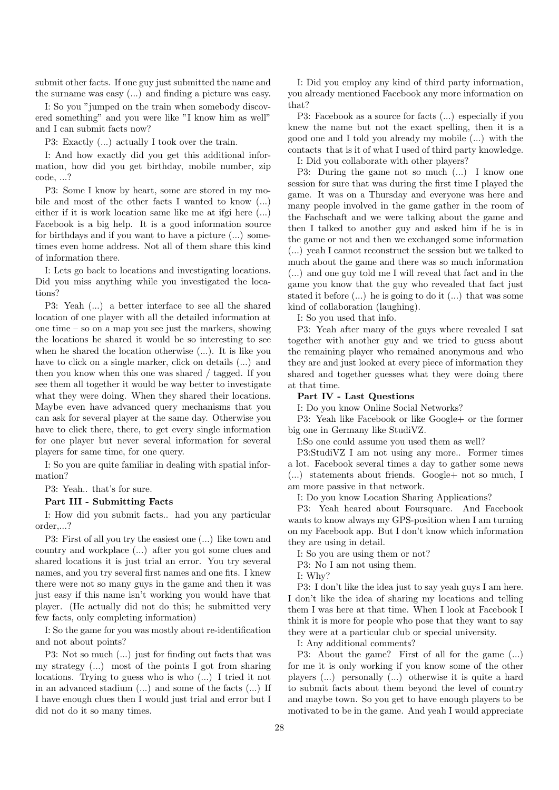submit other facts. If one guy just submitted the name and the surname was easy (...) and finding a picture was easy.

I: So you "jumped on the train when somebody discovered something" and you were like "I know him as well" and I can submit facts now?

P3: Exactly (...) actually I took over the train.

I: And how exactly did you get this additional information, how did you get birthday, mobile number, zip code, ...?

P3: Some I know by heart, some are stored in my mobile and most of the other facts I wanted to know (...) either if it is work location same like me at ifgi here (...) Facebook is a big help. It is a good information source for birthdays and if you want to have a picture (...) sometimes even home address. Not all of them share this kind of information there.

I: Lets go back to locations and investigating locations. Did you miss anything while you investigated the locations?

P3: Yeah (...) a better interface to see all the shared location of one player with all the detailed information at one time – so on a map you see just the markers, showing the locations he shared it would be so interesting to see when he shared the location otherwise (...). It is like you have to click on a single marker, click on details  $(...)$  and then you know when this one was shared / tagged. If you see them all together it would be way better to investigate what they were doing. When they shared their locations. Maybe even have advanced query mechanisms that you can ask for several player at the same day. Otherwise you have to click there, there, to get every single information for one player but never several information for several players for same time, for one query.

I: So you are quite familiar in dealing with spatial information?

P3: Yeah.. that's for sure.

## Part III - Submitting Facts

I: How did you submit facts.. had you any particular order,...?

P3: First of all you try the easiest one (...) like town and country and workplace (...) after you got some clues and shared locations it is just trial an error. You try several names, and you try several first names and one fits. I knew there were not so many guys in the game and then it was just easy if this name isn't working you would have that player. (He actually did not do this; he submitted very few facts, only completing information)

I: So the game for you was mostly about re-identification and not about points?

P3: Not so much (...) just for finding out facts that was my strategy (...) most of the points I got from sharing locations. Trying to guess who is who (...) I tried it not in an advanced stadium (...) and some of the facts (...) If I have enough clues then I would just trial and error but I did not do it so many times.

I: Did you employ any kind of third party information, you already mentioned Facebook any more information on that?

P3: Facebook as a source for facts (...) especially if you knew the name but not the exact spelling, then it is a good one and I told you already my mobile (...) with the contacts that is it of what I used of third party knowledge.

I: Did you collaborate with other players?

P3: During the game not so much (...) I know one session for sure that was during the first time I played the game. It was on a Thursday and everyone was here and many people involved in the game gather in the room of the Fachschaft and we were talking about the game and then I talked to another guy and asked him if he is in the game or not and then we exchanged some information (...) yeah I cannot reconstruct the session but we talked to much about the game and there was so much information (...) and one guy told me I will reveal that fact and in the game you know that the guy who revealed that fact just stated it before (...) he is going to do it (...) that was some kind of collaboration (laughing).

I: So you used that info.

P3: Yeah after many of the guys where revealed I sat together with another guy and we tried to guess about the remaining player who remained anonymous and who they are and just looked at every piece of information they shared and together guesses what they were doing there at that time.

## Part IV - Last Questions

I: Do you know Online Social Networks?

P3: Yeah like Facebook or like Google+ or the former big one in Germany like StudiVZ.

I:So one could assume you used them as well?

P3:StudiVZ I am not using any more.. Former times a lot. Facebook several times a day to gather some news (...) statements about friends. Google+ not so much, I am more passive in that network.

I: Do you know Location Sharing Applications?

P3: Yeah heared about Foursquare. And Facebook wants to know always my GPS-position when I am turning on my Facebook app. But I don't know which information they are using in detail.

I: So you are using them or not?

P3: No I am not using them.

I: Why?

P3: I don't like the idea just to say yeah guys I am here. I don't like the idea of sharing my locations and telling them I was here at that time. When I look at Facebook I think it is more for people who pose that they want to say they were at a particular club or special university.

I: Any additional comments?

P3: About the game? First of all for the game (...) for me it is only working if you know some of the other players (...) personally (...) otherwise it is quite a hard to submit facts about them beyond the level of country and maybe town. So you get to have enough players to be motivated to be in the game. And yeah I would appreciate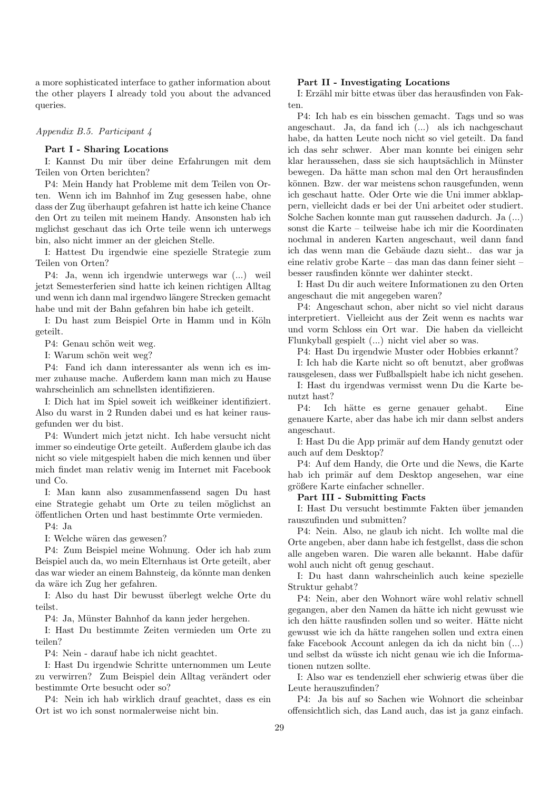a more sophisticated interface to gather information about the other players I already told you about the advanced queries.

#### Appendix B.5. Participant 4

## Part I - Sharing Locations

I: Kannst Du mir über deine Erfahrungen mit dem Teilen von Orten berichten?

P4: Mein Handy hat Probleme mit dem Teilen von Orten. Wenn ich im Bahnhof im Zug gesessen habe, ohne dass der Zug überhaupt gefahren ist hatte ich keine Chance den Ort zu teilen mit meinem Handy. Ansonsten hab ich mglichst geschaut das ich Orte teile wenn ich unterwegs bin, also nicht immer an der gleichen Stelle.

I: Hattest Du irgendwie eine spezielle Strategie zum Teilen von Orten?

P4: Ja, wenn ich irgendwie unterwegs war (...) weil jetzt Semesterferien sind hatte ich keinen richtigen Alltag und wenn ich dann mal irgendwo längere Strecken gemacht habe und mit der Bahn gefahren bin habe ich geteilt.

I: Du hast zum Beispiel Orte in Hamm und in Köln geteilt.

P4: Genau schön weit weg.

I: Warum schön weit weg?

P4: Fand ich dann interessanter als wenn ich es immer zuhause mache. Außerdem kann man mich zu Hause wahrscheinlich am schnellsten identifizieren.

I: Dich hat im Spiel soweit ich weißkeiner identifiziert. Also du warst in 2 Runden dabei und es hat keiner rausgefunden wer du bist.

P4: Wundert mich jetzt nicht. Ich habe versucht nicht immer so eindeutige Orte geteilt. Außerdem glaube ich das nicht so viele mitgespielt haben die mich kennen und über mich findet man relativ wenig im Internet mit Facebook und Co.

I: Man kann also zusammenfassend sagen Du hast eine Strategie gehabt um Orte zu teilen möglichst an ¨offentlichen Orten und hast bestimmte Orte vermieden.

P4: Ja

I: Welche wären das gewesen?

P4: Zum Beispiel meine Wohnung. Oder ich hab zum Beispiel auch da, wo mein Elternhaus ist Orte geteilt, aber das war wieder an einem Bahnsteig, da könnte man denken da wäre ich Zug her gefahren.

I: Also du hast Dir bewusst überlegt welche Orte du teilst.

P4: Ja, Münster Bahnhof da kann jeder hergehen.

I: Hast Du bestimmte Zeiten vermieden um Orte zu teilen?

P4: Nein - darauf habe ich nicht geachtet.

I: Hast Du irgendwie Schritte unternommen um Leute zu verwirren? Zum Beispiel dein Alltag verändert oder bestimmte Orte besucht oder so?

P4: Nein ich hab wirklich drauf geachtet, dass es ein Ort ist wo ich sonst normalerweise nicht bin.

#### Part II - Investigating Locations

I: Erzähl mir bitte etwas über das herausfinden von Fakten.

P4: Ich hab es ein bisschen gemacht. Tags und so was angeschaut. Ja, da fand ich (...) als ich nachgeschaut habe, da hatten Leute noch nicht so viel geteilt. Da fand ich das sehr schwer. Aber man konnte bei einigen sehr klar heraussehen, dass sie sich hauptsächlich in Münster bewegen. Da hätte man schon mal den Ort herausfinden können. Bzw. der war meistens schon rausgefunden, wenn ich geschaut hatte. Oder Orte wie die Uni immer abklappern, vielleicht dads er bei der Uni arbeitet oder studiert. Solche Sachen konnte man gut raussehen dadurch. Ja (...) sonst die Karte – teilweise habe ich mir die Koordinaten nochmal in anderen Karten angeschaut, weil dann fand ich das wenn man die Gebäude dazu sieht.. das war ja eine relativ grobe Karte – das man das dann feiner sieht – besser rausfinden könnte wer dahinter steckt.

I: Hast Du dir auch weitere Informationen zu den Orten angeschaut die mit angegeben waren?

P4: Angeschaut schon, aber nicht so viel nicht daraus interpretiert. Vielleicht aus der Zeit wenn es nachts war und vorm Schloss ein Ort war. Die haben da vielleicht Flunkyball gespielt (...) nicht viel aber so was.

P4: Hast Du irgendwie Muster oder Hobbies erkannt?

I: Ich hab die Karte nicht so oft benutzt, aber großwas rausgelesen, dass wer Fußballspielt habe ich nicht gesehen.

I: Hast du irgendwas vermisst wenn Du die Karte benutzt hast?

P4: Ich hätte es gerne genauer gehabt. Eine genauere Karte, aber das habe ich mir dann selbst anders angeschaut.

I: Hast Du die App primär auf dem Handy genutzt oder auch auf dem Desktop?

P4: Auf dem Handy, die Orte und die News, die Karte hab ich primär auf dem Desktop angesehen, war eine größere Karte einfacher schneller.

#### Part III - Submitting Facts

I: Hast Du versucht bestimmte Fakten über jemanden rauszufinden und submitten?

P4: Nein. Also, ne glaub ich nicht. Ich wollte mal die Orte angeben, aber dann habe ich festgellst, dass die schon alle angeben waren. Die waren alle bekannt. Habe dafür wohl auch nicht oft genug geschaut.

I: Du hast dann wahrscheinlich auch keine spezielle Struktur gehabt?

P4: Nein, aber den Wohnort wäre wohl relativ schnell gegangen, aber den Namen da hätte ich nicht gewusst wie ich den hätte rausfinden sollen und so weiter. Hätte nicht gewusst wie ich da hätte rangehen sollen und extra einen fake Facebook Account anlegen da ich da nicht bin (...) und selbst da wüsste ich nicht genau wie ich die Informationen nutzen sollte.

I: Also war es tendenziell eher schwierig etwas über die Leute herauszufinden?

P4: Ja bis auf so Sachen wie Wohnort die scheinbar offensichtlich sich, das Land auch, das ist ja ganz einfach.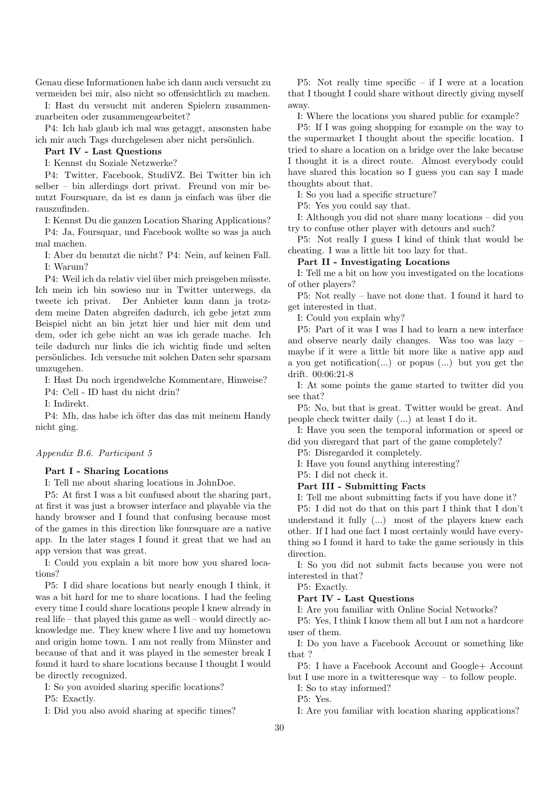Genau diese Informationen habe ich dann auch versucht zu vermeiden bei mir, also nicht so offensichtlich zu machen.

I: Hast du versucht mit anderen Spielern zusammenzuarbeiten oder zusammengearbeitet?

P4: Ich hab glaub ich mal was getaggt, ansonsten habe ich mir auch Tags durchgelesen aber nicht persönlich.

## Part IV - Last Questions

I: Kennst du Soziale Netzwerke?

P4: Twitter, Facebook, StudiVZ. Bei Twitter bin ich selber – bin allerdings dort privat. Freund von mir benutzt Foursquare, da ist es dann ja einfach was über die rauszufinden.

I: Kennst Du die ganzen Location Sharing Applications? P4: Ja, Foursquar, und Facebook wollte so was ja auch mal machen.

I: Aber du benutzt die nicht? P4: Nein, auf keinen Fall. I: Warum?

P4: Weil ich da relativ viel über mich preisgeben müsste. Ich mein ich bin sowieso nur in Twitter unterwegs, da tweete ich privat. Der Anbieter kann dann ja trotzdem meine Daten abgreifen dadurch, ich gebe jetzt zum Beispiel nicht an bin jetzt hier und hier mit dem und dem, oder ich gebe nicht an was ich gerade mache. Ich teile dadurch nur links die ich wichtig finde und selten pers¨onliches. Ich versuche mit solchen Daten sehr sparsam umzugehen.

I: Hast Du noch irgendwelche Kommentare, Hinweise?

P4: Cell - ID hast du nicht drin?

I: Indirekt.

P4: Mh, das habe ich öfter das das mit meinem Handy nicht ging.

## Appendix B.6. Participant 5

## Part I - Sharing Locations

I: Tell me about sharing locations in JohnDoe.

P5: At first I was a bit confused about the sharing part, at first it was just a browser interface and playable via the handy browser and I found that confusing because most of the games in this direction like foursquare are a native app. In the later stages I found it great that we had an app version that was great.

I: Could you explain a bit more how you shared locations?

P5: I did share locations but nearly enough I think, it was a bit hard for me to share locations. I had the feeling every time I could share locations people I knew already in real life – that played this game as well – would directly acknowledge me. They knew where I live and my hometown and origin home town. I am not really from Münster and because of that and it was played in the semester break I found it hard to share locations because I thought I would be directly recognized.

I: So you avoided sharing specific locations?

P5: Exactly.

I: Did you also avoid sharing at specific times?

P5: Not really time specific – if I were at a location that I thought I could share without directly giving myself away.

I: Where the locations you shared public for example?

P5: If I was going shopping for example on the way to the supermarket I thought about the specific location. I tried to share a location on a bridge over the lake because I thought it is a direct route. Almost everybody could have shared this location so I guess you can say I made thoughts about that.

I: So you had a specific structure?

P5: Yes you could say that.

I: Although you did not share many locations – did you try to confuse other player with detours and such?

P5: Not really I guess I kind of think that would be cheating. I was a little bit too lazy for that.

## Part II - Investigating Locations

I: Tell me a bit on how you investigated on the locations of other players?

P5: Not really – have not done that. I found it hard to get interested in that.

I: Could you explain why?

P5: Part of it was I was I had to learn a new interface and observe nearly daily changes. Was too was lazy – maybe if it were a little bit more like a native app and a you get notification(...) or popus (...) but you get the drift. 00:06:21-8

I: At some points the game started to twitter did you see that?

P5: No, but that is great. Twitter would be great. And people check twitter daily (...) at least I do it.

I: Have you seen the temporal information or speed or did you disregard that part of the game completely?

P5: Disregarded it completely.

I: Have you found anything interesting?

P5: I did not check it.

## Part III - Submitting Facts

I: Tell me about submitting facts if you have done it?

P5: I did not do that on this part I think that I don't understand it fully (...) most of the players knew each other. If I had one fact I most certainly would have everything so I found it hard to take the game seriously in this direction.

I: So you did not submit facts because you were not interested in that?

P5: Exactly.

## Part IV - Last Questions

I: Are you familiar with Online Social Networks?

P5: Yes, I think I know them all but I am not a hardcore user of them.

I: Do you have a Facebook Account or something like that ?

P5: I have a Facebook Account and Google+ Account but I use more in a twitteresque way – to follow people.

I: So to stay informed?

P5: Yes.

I: Are you familiar with location sharing applications?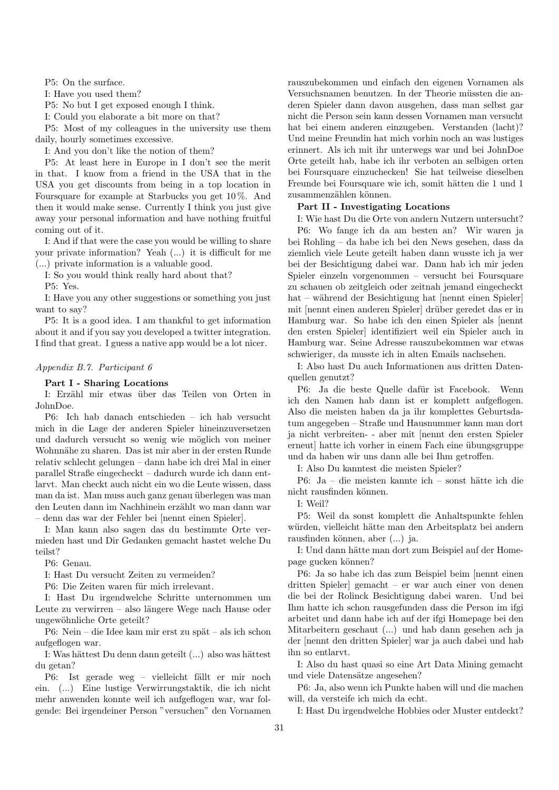P5: On the surface.

I: Have you used them?

P5: No but I get exposed enough I think.

I: Could you elaborate a bit more on that?

P5: Most of my colleagues in the university use them daily, hourly sometimes excessive.

I: And you don't like the notion of them?

P5: At least here in Europe in I don't see the merit in that. I know from a friend in the USA that in the USA you get discounts from being in a top location in Foursquare for example at Starbucks you get 10 %. And then it would make sense. Currently I think you just give away your personal information and have nothing fruitful coming out of it.

I: And if that were the case you would be willing to share your private information? Yeah (...) it is difficult for me (...) private information is a valuable good.

I: So you would think really hard about that?

P5: Yes.

I: Have you any other suggestions or something you just want to say?

P5: It is a good idea. I am thankful to get information about it and if you say you developed a twitter integration. I find that great. I guess a native app would be a lot nicer.

## Appendix B.7. Participant 6

## Part I - Sharing Locations

I: Erzähl mir etwas über das Teilen von Orten in JohnDoe.

P6: Ich hab danach entschieden – ich hab versucht mich in die Lage der anderen Spieler hineinzuversetzen und dadurch versucht so wenig wie möglich von meiner Wohnnähe zu sharen. Das ist mir aber in der ersten Runde relativ schlecht gelungen – dann habe ich drei Mal in einer parallel Straße eingecheckt – dadurch wurde ich dann entlarvt. Man checkt auch nicht ein wo die Leute wissen, dass man da ist. Man muss auch ganz genau überlegen was man den Leuten dann im Nachhinein erzählt wo man dann war – denn das war der Fehler bei [nennt einen Spieler].

I: Man kann also sagen das du bestimmte Orte vermieden hast und Dir Gedanken gemacht hastet welche Du teilst?

P6: Genau.

I: Hast Du versucht Zeiten zu vermeiden?

P6: Die Zeiten waren für mich irrelevant.

I: Hast Du irgendwelche Schritte unternommen um Leute zu verwirren – also längere Wege nach Hause oder ungewöhnliche Orte geteilt?

P6: Nein – die Idee kam mir erst zu spät – als ich schon aufgeflogen war.

I: Was hättest Du denn dann geteilt (...) also was hättest du getan?

P6: Ist gerade weg – vielleicht fällt er mir noch ein. (...) Eine lustige Verwirrungstaktik, die ich nicht mehr anwenden konnte weil ich aufgeflogen war, war folgende: Bei irgendeiner Person "versuchen" den Vornamen

rauszubekommen und einfach den eigenen Vornamen als Versuchsnamen benutzen. In der Theorie müssten die anderen Spieler dann davon ausgehen, dass man selbst gar nicht die Person sein kann dessen Vornamen man versucht hat bei einem anderen einzugeben. Verstanden (lacht)? Und meine Freundin hat mich vorhin noch an was lustiges erinnert. Als ich mit ihr unterwegs war und bei JohnDoe Orte geteilt hab, habe ich ihr verboten an selbigen orten bei Foursquare einzuchecken! Sie hat teilweise dieselben Freunde bei Foursquare wie ich, somit hätten die 1 und 1 zusammenzählen können.

## Part II - Investigating Locations

I: Wie hast Du die Orte von andern Nutzern untersucht?

P6: Wo fange ich da am besten an? Wir waren ja bei Rohling – da habe ich bei den News gesehen, dass da ziemlich viele Leute geteilt haben dann wusste ich ja wer bei der Besichtigung dabei war. Dann hab ich mir jeden Spieler einzeln vorgenommen – versucht bei Foursquare zu schauen ob zeitgleich oder zeitnah jemand eingecheckt hat – während der Besichtigung hat [nennt einen Spieler] mit [nennt einen anderen Spieler] drüber geredet das er in Hamburg war. So habe ich den einen Spieler als [nennt den ersten Spieler] identifiziert weil ein Spieler auch in Hamburg war. Seine Adresse rauszubekommen war etwas schwieriger, da musste ich in alten Emails nachsehen.

I: Also hast Du auch Informationen aus dritten Datenquellen genutzt?

P6: Ja die beste Quelle dafür ist Facebook. Wenn ich den Namen hab dann ist er komplett aufgeflogen. Also die meisten haben da ja ihr komplettes Geburtsdatum angegeben – Straße und Hausnummer kann man dort ja nicht verbreiten- - aber mit [nennt den ersten Spieler erneut] hatte ich vorher in einem Fach eine übungsgruppe und da haben wir uns dann alle bei Ihm getroffen.

I: Also Du kanntest die meisten Spieler?

P6: Ja – die meisten kannte ich – sonst hätte ich die nicht rausfinden können.

I: Weil?

P5: Weil da sonst komplett die Anhaltspunkte fehlen würden, vielleicht hätte man den Arbeitsplatz bei andern rausfinden können, aber (...) ja.

I: Und dann hätte man dort zum Beispiel auf der Homepage gucken können?

P6: Ja so habe ich das zum Beispiel beim [nennt einen dritten Spieler] gemacht – er war auch einer von denen die bei der Rolinck Besichtigung dabei waren. Und bei Ihm hatte ich schon rausgefunden dass die Person im ifgi arbeitet und dann habe ich auf der ifgi Homepage bei den Mitarbeitern geschaut (...) und hab dann gesehen ach ja der [nennt den dritten Spieler] war ja auch dabei und hab ihn so entlarvt.

I: Also du hast quasi so eine Art Data Mining gemacht und viele Datensätze angesehen?

P6: Ja, also wenn ich Punkte haben will und die machen will, da versteife ich mich da echt.

I: Hast Du irgendwelche Hobbies oder Muster entdeckt?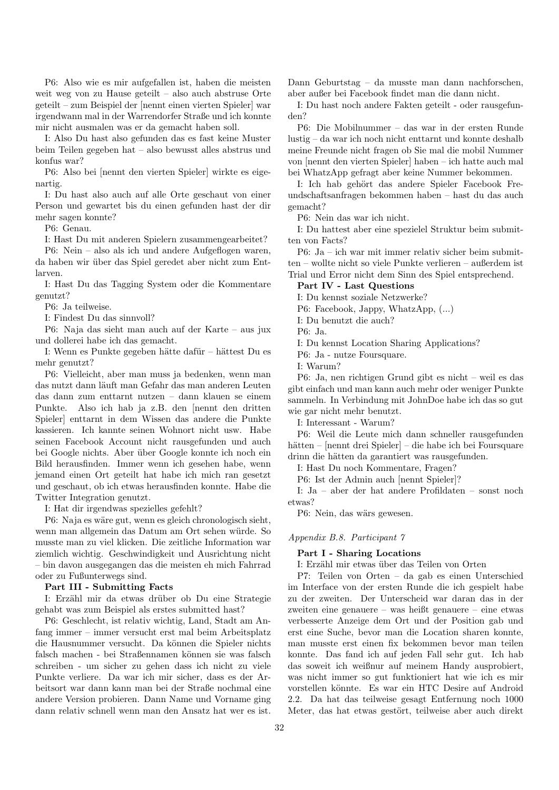P6: Also wie es mir aufgefallen ist, haben die meisten weit weg von zu Hause geteilt – also auch abstruse Orte geteilt – zum Beispiel der [nennt einen vierten Spieler] war irgendwann mal in der Warrendorfer Straße und ich konnte mir nicht ausmalen was er da gemacht haben soll.

I: Also Du hast also gefunden das es fast keine Muster beim Teilen gegeben hat – also bewusst alles abstrus und konfus war?

P6: Also bei [nennt den vierten Spieler] wirkte es eigenartig.

I: Du hast also auch auf alle Orte geschaut von einer Person und gewartet bis du einen gefunden hast der dir mehr sagen konnte?

P6: Genau.

I: Hast Du mit anderen Spielern zusammengearbeitet?

P6: Nein – also als ich und andere Aufgeflogen waren, da haben wir über das Spiel geredet aber nicht zum Entlarven.

I: Hast Du das Tagging System oder die Kommentare genutzt?

P6: Ja teilweise.

I: Findest Du das sinnvoll?

P6: Naja das sieht man auch auf der Karte – aus jux und dollerei habe ich das gemacht.

I: Wenn es Punkte gegeben hätte dafür – hättest Du es mehr genutzt?

P6: Vielleicht, aber man muss ja bedenken, wenn man das nutzt dann läuft man Gefahr das man anderen Leuten das dann zum enttarnt nutzen – dann klauen se einem Punkte. Also ich hab ja z.B. den [nennt den dritten Spieler] enttarnt in dem Wissen das andere die Punkte kassieren. Ich kannte seinen Wohnort nicht usw. Habe seinen Facebook Account nicht rausgefunden und auch bei Google nichts. Aber über Google konnte ich noch ein Bild herausfinden. Immer wenn ich gesehen habe, wenn jemand einen Ort geteilt hat habe ich mich ran gesetzt und geschaut, ob ich etwas herausfinden konnte. Habe die Twitter Integration genutzt.

I: Hat dir irgendwas spezielles gefehlt?

P6: Naja es wäre gut, wenn es gleich chronologisch sieht, wenn man allgemein das Datum am Ort sehen würde. So musste man zu viel klicken. Die zeitliche Information war ziemlich wichtig. Geschwindigkeit und Ausrichtung nicht – bin davon ausgegangen das die meisten eh mich Fahrrad oder zu Fußunterwegs sind.

Part III - Submitting Facts

I: Erzähl mir da etwas drüber ob Du eine Strategie gehabt was zum Beispiel als erstes submitted hast?

P6: Geschlecht, ist relativ wichtig, Land, Stadt am Anfang immer – immer versucht erst mal beim Arbeitsplatz die Hausnummer versucht. Da können die Spieler nichts falsch machen - bei Straßennamen können sie was falsch schreiben - um sicher zu gehen dass ich nicht zu viele Punkte verliere. Da war ich mir sicher, dass es der Arbeitsort war dann kann man bei der Straße nochmal eine andere Version probieren. Dann Name und Vorname ging dann relativ schnell wenn man den Ansatz hat wer es ist.

Dann Geburtstag – da musste man dann nachforschen, aber außer bei Facebook findet man die dann nicht.

I: Du hast noch andere Fakten geteilt - oder rausgefunden?

P6: Die Mobilnummer – das war in der ersten Runde lustig – da war ich noch nicht enttarnt und konnte deshalb meine Freunde nicht fragen ob Sie mal die mobil Nummer von [nennt den vierten Spieler] haben – ich hatte auch mal bei WhatzApp gefragt aber keine Nummer bekommen.

I: Ich hab gehört das andere Spieler Facebook Freundschaftsanfragen bekommen haben – hast du das auch gemacht?

P6: Nein das war ich nicht.

I: Du hattest aber eine spezielel Struktur beim submitten von Facts?

P6: Ja – ich war mit immer relativ sicher beim submitten – wollte nicht so viele Punkte verlieren – außerdem ist Trial und Error nicht dem Sinn des Spiel entsprechend.

#### Part IV - Last Questions

I: Du kennst soziale Netzwerke?

P6: Facebook, Jappy, WhatzApp, (...)

I: Du benutzt die auch?

P6: Ja.

I: Du kennst Location Sharing Applications?

P6: Ja - nutze Foursquare.

I: Warum?

P6: Ja, nen richtigen Grund gibt es nicht – weil es das gibt einfach und man kann auch mehr oder weniger Punkte sammeln. In Verbindung mit JohnDoe habe ich das so gut wie gar nicht mehr benutzt.

I: Interessant - Warum?

P6: Weil die Leute mich dann schneller rausgefunden hätten – [nennt drei Spieler] – die habe ich bei Foursquare drinn die hätten da garantiert was rausgefunden.

I: Hast Du noch Kommentare, Fragen?

P6: Ist der Admin auch [nennt Spieler]?

I: Ja – aber der hat andere Profildaten – sonst noch etwas?

P6: Nein, das wärs gewesen.

## Appendix B.8. Participant 7

## Part I - Sharing Locations

I: Erzähl mir etwas über das Teilen von Orten

P7: Teilen von Orten – da gab es einen Unterschied im Interface von der ersten Runde die ich gespielt habe zu der zweiten. Der Unterscheid war daran das in der zweiten eine genauere – was heißt genauere – eine etwas verbesserte Anzeige dem Ort und der Position gab und erst eine Suche, bevor man die Location sharen konnte, man musste erst einen fix bekommen bevor man teilen konnte. Das fand ich auf jeden Fall sehr gut. Ich hab das soweit ich weißnur auf meinem Handy ausprobiert, was nicht immer so gut funktioniert hat wie ich es mir vorstellen könnte. Es war ein HTC Desire auf Android 2.2. Da hat das teilweise gesagt Entfernung noch 1000 Meter, das hat etwas gestört, teilweise aber auch direkt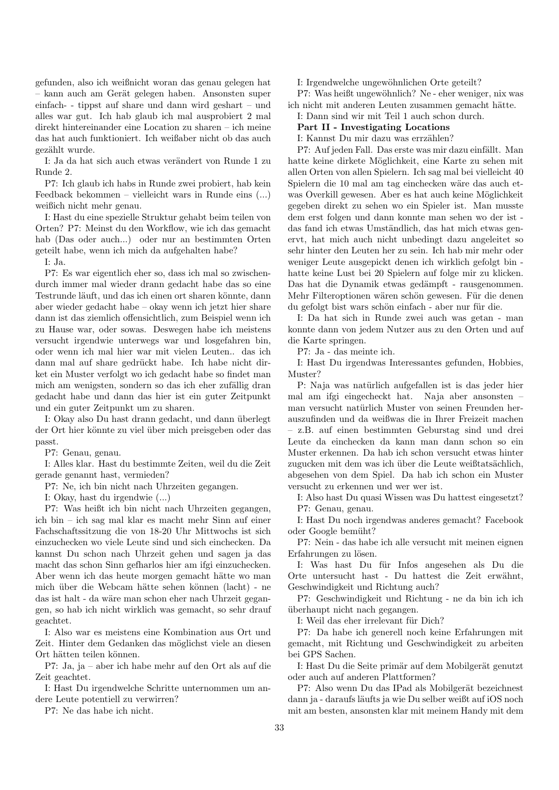gefunden, also ich weißnicht woran das genau gelegen hat – kann auch am Gerät gelegen haben. Ansonsten super einfach- - tippst auf share und dann wird geshart – und alles war gut. Ich hab glaub ich mal ausprobiert 2 mal direkt hintereinander eine Location zu sharen – ich meine das hat auch funktioniert. Ich weißaber nicht ob das auch gezählt wurde.

I: Ja da hat sich auch etwas verändert von Runde 1 zu Runde 2.

P7: Ich glaub ich habs in Runde zwei probiert, hab kein Feedback bekommen – vielleicht wars in Runde eins (...) weißich nicht mehr genau.

I: Hast du eine spezielle Struktur gehabt beim teilen von Orten? P7: Meinst du den Workflow, wie ich das gemacht hab (Das oder auch...) oder nur an bestimmten Orten geteilt habe, wenn ich mich da aufgehalten habe?

I: Ja.

P7: Es war eigentlich eher so, dass ich mal so zwischendurch immer mal wieder drann gedacht habe das so eine Testrunde läuft, und das ich einen ort sharen könnte, dann aber wieder gedacht habe – okay wenn ich jetzt hier share dann ist das ziemlich offensichtlich, zum Beispiel wenn ich zu Hause war, oder sowas. Deswegen habe ich meistens versucht irgendwie unterwegs war und losgefahren bin, oder wenn ich mal hier war mit vielen Leuten.. das ich dann mal auf share gedrückt habe. Ich habe nicht dirket ein Muster verfolgt wo ich gedacht habe so findet man mich am wenigsten, sondern so das ich eher zufällig dran gedacht habe und dann das hier ist ein guter Zeitpunkt und ein guter Zeitpunkt um zu sharen.

I: Okay also Du hast drann gedacht, und dann überlegt der Ort hier könnte zu viel über mich preisgeben oder das passt.

P7: Genau, genau.

I: Alles klar. Hast du bestimmte Zeiten, weil du die Zeit gerade genannt hast, vermieden?

P7: Ne, ich bin nicht nach Uhrzeiten gegangen.

I: Okay, hast du irgendwie (...)

P7: Was heißt ich bin nicht nach Uhrzeiten gegangen, ich bin – ich sag mal klar es macht mehr Sinn auf einer Fachschaftssitzung die von 18-20 Uhr Mittwochs ist sich einzuchecken wo viele Leute sind und sich einchecken. Da kannst Du schon nach Uhrzeit gehen und sagen ja das macht das schon Sinn gefharlos hier am ifgi einzuchecken. Aber wenn ich das heute morgen gemacht hätte wo man mich über die Webcam hätte sehen können (lacht) - ne das ist halt - da wäre man schon eher nach Uhrzeit gegangen, so hab ich nicht wirklich was gemacht, so sehr drauf geachtet.

I: Also war es meistens eine Kombination aus Ort und Zeit. Hinter dem Gedanken das möglichst viele an diesen Ort hätten teilen können.

P7: Ja, ja – aber ich habe mehr auf den Ort als auf die Zeit geachtet.

I: Hast Du irgendwelche Schritte unternommen um andere Leute potentiell zu verwirren?

P7: Ne das habe ich nicht.

I: Irgendwelche ungewöhnlichen Orte geteilt?

P7: Was heißt ungewöhnlich? Ne - eher weniger, nix was ich nicht mit anderen Leuten zusammen gemacht hätte.

I: Dann sind wir mit Teil 1 auch schon durch.

Part II - Investigating Locations

I: Kannst Du mir dazu was errzählen?

P7: Auf jeden Fall. Das erste was mir dazu einfällt. Man hatte keine dirkete Möglichkeit, eine Karte zu sehen mit allen Orten von allen Spielern. Ich sag mal bei vielleicht 40 Spielern die 10 mal am tag einchecken wäre das auch etwas Overkill gewesen. Aber es hat auch keine Möglichkeit gegeben direkt zu sehen wo ein Spieler ist. Man musste dem erst folgen und dann konnte man sehen wo der ist das fand ich etwas Umständlich, das hat mich etwas genervt, hat mich auch nicht unbedingt dazu angeleitet so sehr hinter den Leuten her zu sein. Ich hab mir mehr oder weniger Leute ausgepickt denen ich wirklich gefolgt bin hatte keine Lust bei 20 Spielern auf folge mir zu klicken. Das hat die Dynamik etwas gedämpft - rausgenommen. Mehr Filteroptionen wären schön gewesen. Für die denen du gefolgt bist wars schön einfach - aber nur für die.

I: Da hat sich in Runde zwei auch was getan - man konnte dann von jedem Nutzer aus zu den Orten und auf die Karte springen.

P7: Ja - das meinte ich.

I: Hast Du irgendwas Interessantes gefunden, Hobbies, Muster?

P: Naja was natürlich aufgefallen ist is das jeder hier mal am ifgi eingecheckt hat. Naja aber ansonsten – man versucht natürlich Muster von seinen Freunden herauszufinden und da weißwas die in Ihrer Freizeit machen – z.B. auf einen bestimmten Geburstag sind und drei Leute da einchecken da kann man dann schon so ein Muster erkennen. Da hab ich schon versucht etwas hinter zugucken mit dem was ich über die Leute weißtatsächlich, abgesehen von dem Spiel. Da hab ich schon ein Muster versucht zu erkennen und wer wer ist.

I: Also hast Du quasi Wissen was Du hattest eingesetzt? P7: Genau, genau.

I: Hast Du noch irgendwas anderes gemacht? Facebook oder Google bemüht?

P7: Nein - das habe ich alle versucht mit meinen eignen Erfahrungen zu lösen.

I: Was hast Du für Infos angesehen als Du die Orte untersucht hast - Du hattest die Zeit erwähnt, Geschwindigkeit und Richtung auch?

P7: Geschwindigkeit und Richtung - ne da bin ich ich ¨uberhaupt nicht nach gegangen.

I: Weil das eher irrelevant für Dich?

P7: Da habe ich generell noch keine Erfahrungen mit gemacht, mit Richtung und Geschwindigkeit zu arbeiten bei GPS Sachen.

I: Hast Du die Seite primär auf dem Mobilgerät genutzt oder auch auf anderen Plattformen?

P7: Also wenn Du das IPad als Mobilgerät bezeichnest dann ja - daraufs läufts ja wie Du selber weißt auf iOS noch mit am besten, ansonsten klar mit meinem Handy mit dem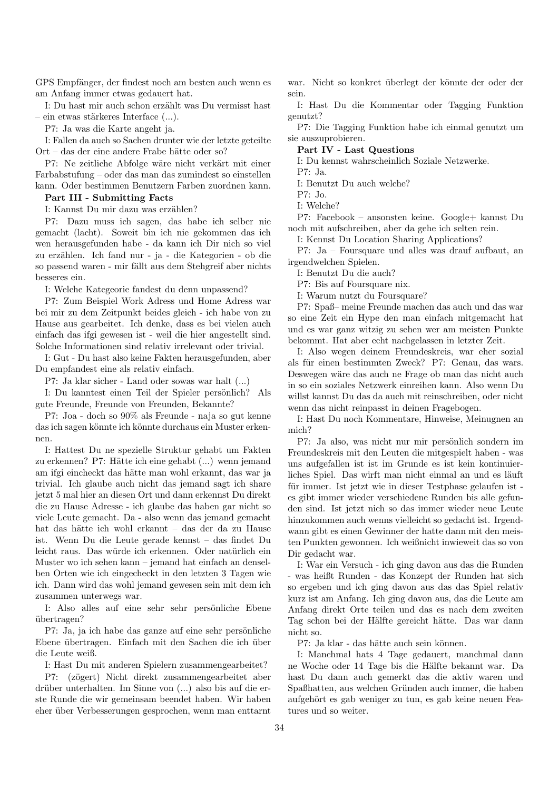GPS Empfänger, der findest noch am besten auch wenn es am Anfang immer etwas gedauert hat.

I: Du hast mir auch schon erzählt was Du vermisst hast  $-$  ein etwas stärkeres Interface  $(...).$ 

P7: Ja was die Karte angeht ja.

I: Fallen da auch so Sachen drunter wie der letzte geteilte Ort – das der eine andere Frabe hätte oder so?

P7: Ne zeitliche Abfolge wäre nicht verkärt mit einer Farbabstufung – oder das man das zumindest so einstellen kann. Oder bestimmen Benutzern Farben zuordnen kann.

## Part III - Submitting Facts

I: Kannst Du mir dazu was erzählen?

P7: Dazu muss ich sagen, das habe ich selber nie gemacht (lacht). Soweit bin ich nie gekommen das ich wen herausgefunden habe - da kann ich Dir nich so viel zu erzählen. Ich fand nur - ja - die Kategorien - ob die so passend waren - mir fällt aus dem Stehgreif aber nichts besseres ein.

I: Welche Kategeorie fandest du denn unpassend?

P7: Zum Beispiel Work Adress und Home Adress war bei mir zu dem Zeitpunkt beides gleich - ich habe von zu Hause aus gearbeitet. Ich denke, dass es bei vielen auch einfach das ifgi gewesen ist - weil die hier angestellt sind. Solche Informationen sind relativ irrelevant oder trivial.

I: Gut - Du hast also keine Fakten herausgefunden, aber Du empfandest eine als relativ einfach.

P7: Ja klar sicher - Land oder sowas war halt (...)

I: Du kanntest einen Teil der Spieler persönlich? Als gute Freunde, Freunde von Freunden, Bekannte?

P7: Joa - doch so 90% als Freunde - naja so gut kenne das ich sagen könnte ich könnte durchaus ein Muster erkennen.

I: Hattest Du ne spezielle Struktur gehabt um Fakten zu erkennen? P7: Hätte ich eine gehabt (...) wenn jemand am ifgi eincheckt das hätte man wohl erkannt, das war ja trivial. Ich glaube auch nicht das jemand sagt ich share jetzt 5 mal hier an diesen Ort und dann erkennst Du direkt die zu Hause Adresse - ich glaube das haben gar nicht so viele Leute gemacht. Da - also wenn das jemand gemacht hat das hätte ich wohl erkannt – das der da zu Hause ist. Wenn Du die Leute gerade kennst – das findet Du leicht raus. Das würde ich erkennen. Oder natürlich ein Muster wo ich sehen kann – jemand hat einfach an denselben Orten wie ich eingecheckt in den letzten 3 Tagen wie ich. Dann wird das wohl jemand gewesen sein mit dem ich zusammen unterwegs war.

I: Also alles auf eine sehr sehr persönliche Ebene ¨ubertragen?

P7: Ja, ja ich habe das ganze auf eine sehr persönliche Ebene übertragen. Einfach mit den Sachen die ich über die Leute weiß.

I: Hast Du mit anderen Spielern zusammengearbeitet?

P7: (z¨ogert) Nicht direkt zusammengearbeitet aber drüber unterhalten. Im Sinne von (...) also bis auf die erste Runde die wir gemeinsam beendet haben. Wir haben eher über Verbesserungen gesprochen, wenn man enttarnt

war. Nicht so konkret überlegt der könnte der oder der sein.

I: Hast Du die Kommentar oder Tagging Funktion genutzt?

P7: Die Tagging Funktion habe ich einmal genutzt um sie auszuprobieren.

Part IV - Last Questions

I: Du kennst wahrscheinlich Soziale Netzwerke.

P7: Ja.

I: Benutzt Du auch welche?

P7: Jo.

I: Welche?

P7: Facebook – ansonsten keine. Google+ kannst Du noch mit aufschreiben, aber da gehe ich selten rein.

I: Kennst Du Location Sharing Applications?

P7: Ja – Foursquare und alles was drauf aufbaut, an irgendwelchen Spielen.

I: Benutzt Du die auch?

P7: Bis auf Foursquare nix.

I: Warum nutzt du Foursquare?

P7: Spaß– meine Freunde machen das auch und das war so eine Zeit ein Hype den man einfach mitgemacht hat und es war ganz witzig zu sehen wer am meisten Punkte bekommt. Hat aber echt nachgelassen in letzter Zeit.

I: Also wegen deinem Freundeskreis, war eher sozial als für einen bestimmten Zweck? P7: Genau, das wars. Deswegen wäre das auch ne Frage ob man das nicht auch in so ein soziales Netzwerk einreihen kann. Also wenn Du willst kannst Du das da auch mit reinschreiben, oder nicht wenn das nicht reinpasst in deinen Fragebogen.

I: Hast Du noch Kommentare, Hinweise, Meinugnen an mich?

P7: Ja also, was nicht nur mir persönlich sondern im Freundeskreis mit den Leuten die mitgespielt haben - was uns aufgefallen ist ist im Grunde es ist kein kontinuierliches Spiel. Das wirft man nicht einmal an und es läuft für immer. Ist jetzt wie in dieser Testphase gelaufen ist es gibt immer wieder verschiedene Runden bis alle gefunden sind. Ist jetzt nich so das immer wieder neue Leute hinzukommen auch wenns vielleicht so gedacht ist. Irgendwann gibt es einen Gewinner der hatte dann mit den meisten Punkten gewonnen. Ich weißnicht inwieweit das so von Dir gedacht war.

I: War ein Versuch - ich ging davon aus das die Runden - was heißt Runden - das Konzept der Runden hat sich so ergeben und ich ging davon aus das das Spiel relativ kurz ist am Anfang. Ich ging davon aus, das die Leute am Anfang direkt Orte teilen und das es nach dem zweiten Tag schon bei der Hälfte gereicht hätte. Das war dann nicht so.

P7: Ja klar - das hätte auch sein können.

I: Manchmal hats 4 Tage gedauert, manchmal dann ne Woche oder 14 Tage bis die Hälfte bekannt war. Da hast Du dann auch gemerkt das die aktiv waren und Spaßhatten, aus welchen Gründen auch immer, die haben aufgehört es gab weniger zu tun, es gab keine neuen Features und so weiter.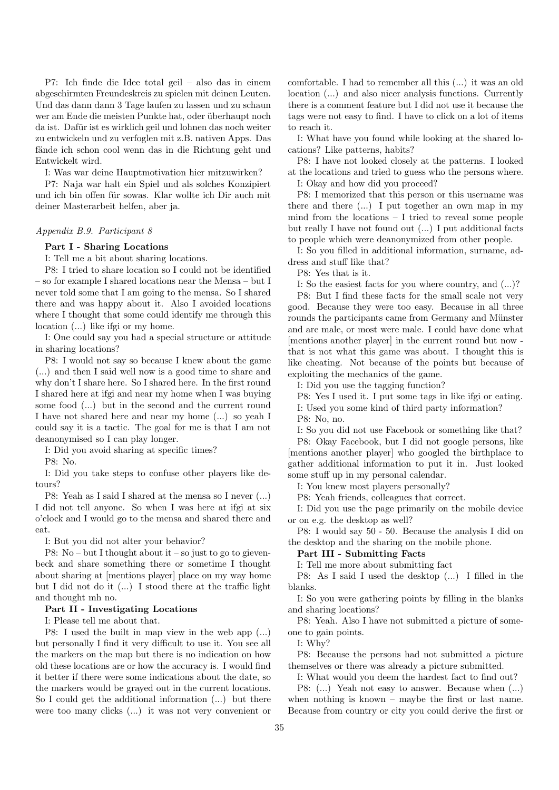P7: Ich finde die Idee total geil – also das in einem abgeschirmten Freundeskreis zu spielen mit deinen Leuten. Und das dann dann 3 Tage laufen zu lassen und zu schaun wer am Ende die meisten Punkte hat, oder überhaupt noch da ist. Dafür ist es wirklich geil und lohnen das noch weiter zu entwickeln und zu verfoglen mit z.B. nativen Apps. Das fände ich schon cool wenn das in die Richtung geht und Entwickelt wird.

I: Was war deine Hauptmotivation hier mitzuwirken?

P7: Naja war halt ein Spiel und als solches Konzipiert und ich bin offen für sowas. Klar wollte ich Dir auch mit deiner Masterarbeit helfen, aber ja.

## Appendix B.9. Participant 8

Part I - Sharing Locations

I: Tell me a bit about sharing locations.

P8: I tried to share location so I could not be identified – so for example I shared locations near the Mensa – but I never told some that I am going to the mensa. So I shared there and was happy about it. Also I avoided locations where I thought that some could identify me through this location (...) like ifgi or my home.

I: One could say you had a special structure or attitude in sharing locations?

P8: I would not say so because I knew about the game (...) and then I said well now is a good time to share and why don't I share here. So I shared here. In the first round I shared here at ifgi and near my home when I was buying some food (...) but in the second and the current round I have not shared here and near my home (...) so yeah I could say it is a tactic. The goal for me is that I am not deanonymised so I can play longer.

I: Did you avoid sharing at specific times?

P8: No.

I: Did you take steps to confuse other players like detours?

P8: Yeah as I said I shared at the mensa so I never (...) I did not tell anyone. So when I was here at ifgi at six o'clock and I would go to the mensa and shared there and eat.

I: But you did not alter your behavior?

P8: No – but I thought about it – so just to go to gievenbeck and share something there or sometime I thought about sharing at [mentions player] place on my way home but I did not do it (...) I stood there at the traffic light and thought mh no.

## Part II - Investigating Locations

I: Please tell me about that.

P8: I used the built in map view in the web app (...) but personally I find it very difficult to use it. You see all the markers on the map but there is no indication on how old these locations are or how the accuracy is. I would find it better if there were some indications about the date, so the markers would be grayed out in the current locations. So I could get the additional information (...) but there were too many clicks (...) it was not very convenient or

comfortable. I had to remember all this (...) it was an old location (...) and also nicer analysis functions. Currently there is a comment feature but I did not use it because the tags were not easy to find. I have to click on a lot of items to reach it.

I: What have you found while looking at the shared locations? Like patterns, habits?

P8: I have not looked closely at the patterns. I looked at the locations and tried to guess who the persons where.

I: Okay and how did you proceed?

P8: I memorized that this person or this username was there and there  $(...)$  I put together an own map in my mind from the locations – I tried to reveal some people but really I have not found out (...) I put additional facts to people which were deanonymized from other people.

I: So you filled in additional information, surname, address and stuff like that?

P8: Yes that is it.

I: So the easiest facts for you where country, and (...)?

P8: But I find these facts for the small scale not very good. Because they were too easy. Because in all three rounds the participants came from Germany and Münster and are male, or most were male. I could have done what [mentions another player] in the current round but now that is not what this game was about. I thought this is like cheating. Not because of the points but because of exploiting the mechanics of the game.

I: Did you use the tagging function?

P8: Yes I used it. I put some tags in like ifgi or eating. I: Used you some kind of third party information?

P8: No, no.

I: So you did not use Facebook or something like that? P8: Okay Facebook, but I did not google persons, like [mentions another player] who googled the birthplace to gather additional information to put it in. Just looked some stuff up in my personal calendar.

I: You knew most players personally?

P8: Yeah friends, colleagues that correct.

I: Did you use the page primarily on the mobile device or on e.g. the desktop as well?

P8: I would say 50 - 50. Because the analysis I did on the desktop and the sharing on the mobile phone.

## Part III - Submitting Facts

I: Tell me more about submitting fact

P8: As I said I used the desktop (...) I filled in the blanks.

I: So you were gathering points by filling in the blanks and sharing locations?

P8: Yeah. Also I have not submitted a picture of someone to gain points.

I: Why?

P8: Because the persons had not submitted a picture themselves or there was already a picture submitted.

I: What would you deem the hardest fact to find out?

P8: (...) Yeah not easy to answer. Because when (...) when nothing is known – maybe the first or last name. Because from country or city you could derive the first or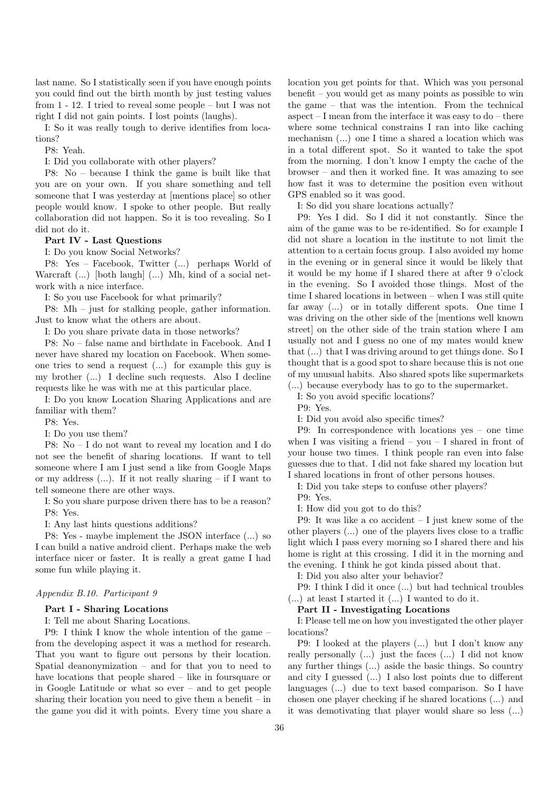last name. So I statistically seen if you have enough points you could find out the birth month by just testing values from 1 - 12. I tried to reveal some people – but I was not right I did not gain points. I lost points (laughs).

I: So it was really tough to derive identifies from locations?

P8: Yeah.

I: Did you collaborate with other players?

P8: No – because I think the game is built like that you are on your own. If you share something and tell someone that I was yesterday at [mentions place] so other people would know. I spoke to other people. But really collaboration did not happen. So it is too revealing. So I did not do it.

## Part IV - Last Questions

I: Do you know Social Networks?

P8: Yes – Facebook, Twitter (...) perhaps World of Warcraft (...) [both laugh] (...) Mh, kind of a social network with a nice interface.

I: So you use Facebook for what primarily?

P8: Mh – just for stalking people, gather information. Just to know what the others are about.

I: Do you share private data in those networks?

P8: No – false name and birthdate in Facebook. And I never have shared my location on Facebook. When someone tries to send a request (...) for example this guy is my brother (...) I decline such requests. Also I decline requests like he was with me at this particular place.

I: Do you know Location Sharing Applications and are familiar with them?

P8: Yes.

I: Do you use them?

P8: No – I do not want to reveal my location and I do not see the benefit of sharing locations. If want to tell someone where I am I just send a like from Google Maps or my address  $(...)$ . If it not really sharing – if I want to tell someone there are other ways.

I: So you share purpose driven there has to be a reason? P8: Yes.

I: Any last hints questions additions?

P8: Yes - maybe implement the JSON interface (...) so I can build a native android client. Perhaps make the web interface nicer or faster. It is really a great game I had some fun while playing it.

## Appendix B.10. Participant 9

## Part I - Sharing Locations

I: Tell me about Sharing Locations.

P9: I think I know the whole intention of the game – from the developing aspect it was a method for research. That you want to figure out persons by their location. Spatial deanonymization – and for that you to need to have locations that people shared – like in foursquare or in Google Latitude or what so ever – and to get people sharing their location you need to give them a benefit  $-$  in the game you did it with points. Every time you share a

location you get points for that. Which was you personal benefit – you would get as many points as possible to win the game – that was the intention. From the technical aspect  $-I$  mean from the interface it was easy to  $do -$  there where some technical constrains I ran into like caching mechanism (...) one I time a shared a location which was in a total different spot. So it wanted to take the spot from the morning. I don't know I empty the cache of the browser – and then it worked fine. It was amazing to see how fast it was to determine the position even without GPS enabled so it was good.

I: So did you share locations actually?

P9: Yes I did. So I did it not constantly. Since the aim of the game was to be re-identified. So for example I did not share a location in the institute to not limit the attention to a certain focus group. I also avoided my home in the evening or in general since it would be likely that it would be my home if I shared there at after 9 o'clock in the evening. So I avoided those things. Most of the time I shared locations in between – when I was still quite far away (...) or in totally different spots. One time I was driving on the other side of the [mentions well known street] on the other side of the train station where I am usually not and I guess no one of my mates would knew that (...) that I was driving around to get things done. So I thought that is a good spot to share because this is not one of my unusual habits. Also shared spots like supermarkets

(...) because everybody has to go to the supermarket.

I: So you avoid specific locations?

P9: Yes.

I: Did you avoid also specific times?

P9: In correspondence with locations yes – one time when I was visiting a friend – you – I shared in front of your house two times. I think people ran even into false guesses due to that. I did not fake shared my location but I shared locations in front of other persons houses.

I: Did you take steps to confuse other players?

P9: Yes.

I: How did you got to do this?

P9: It was like a co accident – I just knew some of the other players (...) one of the players lives close to a traffic light which I pass every morning so I shared there and his home is right at this crossing. I did it in the morning and the evening. I think he got kinda pissed about that.

I: Did you also alter your behavior?

P9: I think I did it once (...) but had technical troubles (...) at least I started it (...) I wanted to do it.

## Part II - Investigating Locations

I: Please tell me on how you investigated the other player locations?

P9: I looked at the players (...) but I don't know any really personally (...) just the faces (...) I did not know any further things (...) aside the basic things. So country and city I guessed (...) I also lost points due to different languages (...) due to text based comparison. So I have chosen one player checking if he shared locations (...) and it was demotivating that player would share so less (...)